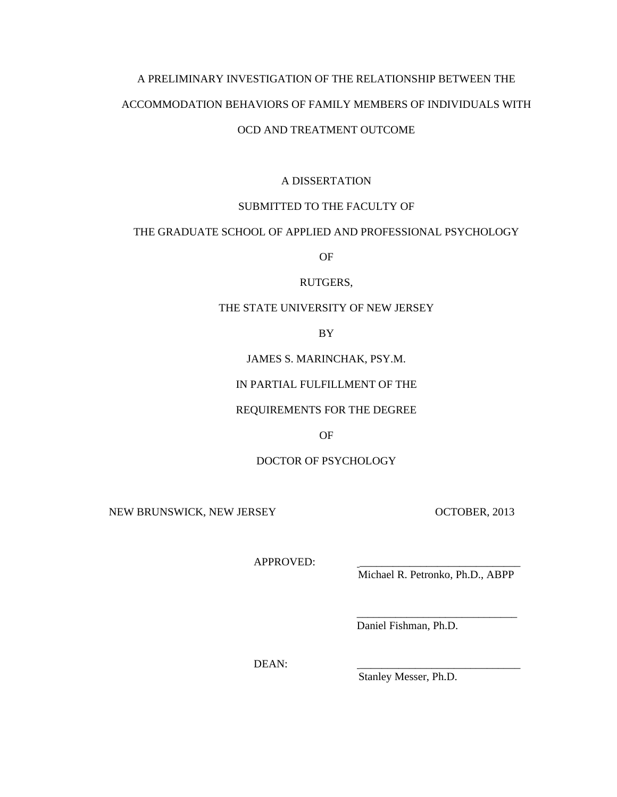# A PRELIMINARY INVESTIGATION OF THE RELATIONSHIP BETWEEN THE ACCOMMODATION BEHAVIORS OF FAMILY MEMBERS OF INDIVIDUALS WITH OCD AND TREATMENT OUTCOME

## A DISSERTATION

## SUBMITTED TO THE FACULTY OF

## THE GRADUATE SCHOOL OF APPLIED AND PROFESSIONAL PSYCHOLOGY

OF

## RUTGERS,

## THE STATE UNIVERSITY OF NEW JERSEY

BY

## JAMES S. MARINCHAK, PSY.M.

## IN PARTIAL FULFILLMENT OF THE

## REQUIREMENTS FOR THE DEGREE

## OF

## DOCTOR OF PSYCHOLOGY

 $\overline{\phantom{a}}$  , and the contract of the contract of the contract of the contract of the contract of the contract of the contract of the contract of the contract of the contract of the contract of the contract of the contrac

NEW BRUNSWICK, NEW JERSEY OCTOBER, 2013

APPROVED:

Michael R. Petronko, Ph.D., ABPP

Daniel Fishman, Ph.D.

DEAN: \_\_\_\_\_\_\_\_\_\_\_\_\_\_\_\_\_\_\_\_\_\_\_\_\_\_\_\_\_

Stanley Messer, Ph.D.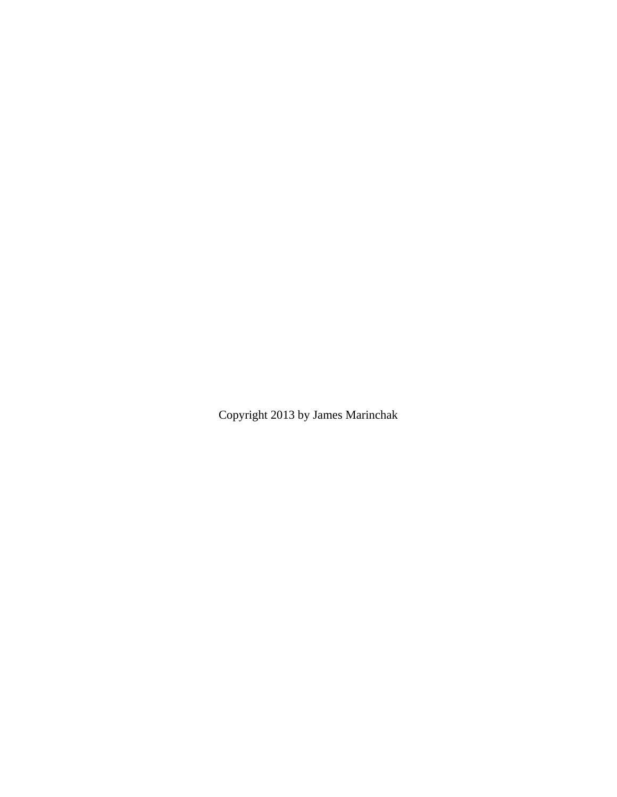Copyright 2013 by James Marinchak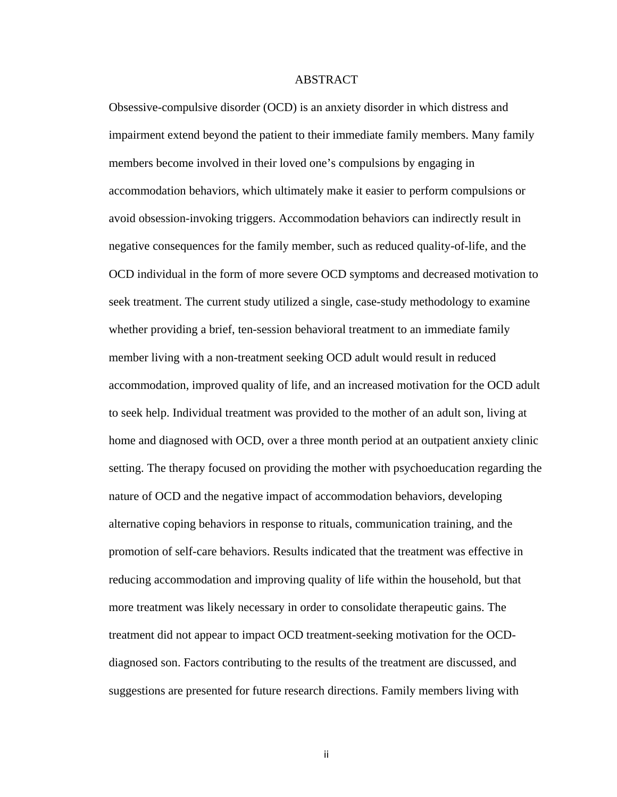#### ABSTRACT

Obsessive-compulsive disorder (OCD) is an anxiety disorder in which distress and impairment extend beyond the patient to their immediate family members. Many family members become involved in their loved one's compulsions by engaging in accommodation behaviors, which ultimately make it easier to perform compulsions or avoid obsession-invoking triggers. Accommodation behaviors can indirectly result in negative consequences for the family member, such as reduced quality-of-life, and the OCD individual in the form of more severe OCD symptoms and decreased motivation to seek treatment. The current study utilized a single, case-study methodology to examine whether providing a brief, ten-session behavioral treatment to an immediate family member living with a non-treatment seeking OCD adult would result in reduced accommodation, improved quality of life, and an increased motivation for the OCD adult to seek help. Individual treatment was provided to the mother of an adult son, living at home and diagnosed with OCD, over a three month period at an outpatient anxiety clinic setting. The therapy focused on providing the mother with psychoeducation regarding the nature of OCD and the negative impact of accommodation behaviors, developing alternative coping behaviors in response to rituals, communication training, and the promotion of self-care behaviors. Results indicated that the treatment was effective in reducing accommodation and improving quality of life within the household, but that more treatment was likely necessary in order to consolidate therapeutic gains. The treatment did not appear to impact OCD treatment-seeking motivation for the OCDdiagnosed son. Factors contributing to the results of the treatment are discussed, and suggestions are presented for future research directions. Family members living with

ii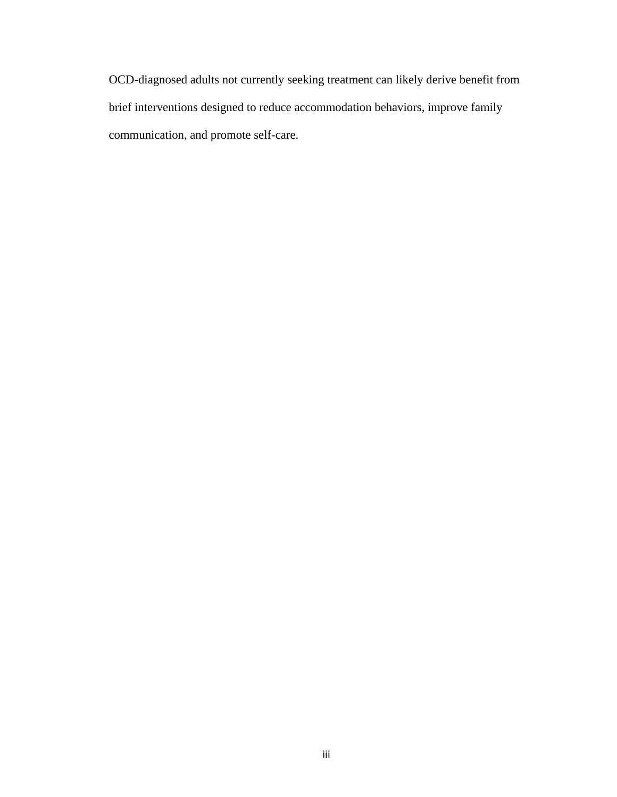OCD-diagnosed adults not currently seeking treatment can likely derive benefit from brief interventions designed to reduce accommodation behaviors, improve family communication, and promote self-care.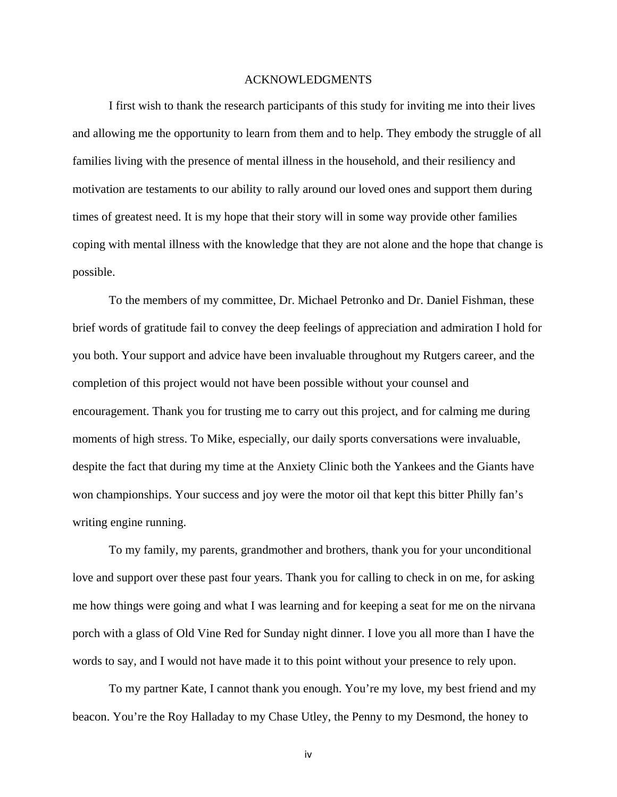#### ACKNOWLEDGMENTS

 I first wish to thank the research participants of this study for inviting me into their lives and allowing me the opportunity to learn from them and to help. They embody the struggle of all families living with the presence of mental illness in the household, and their resiliency and motivation are testaments to our ability to rally around our loved ones and support them during times of greatest need. It is my hope that their story will in some way provide other families coping with mental illness with the knowledge that they are not alone and the hope that change is possible.

 To the members of my committee, Dr. Michael Petronko and Dr. Daniel Fishman, these brief words of gratitude fail to convey the deep feelings of appreciation and admiration I hold for you both. Your support and advice have been invaluable throughout my Rutgers career, and the completion of this project would not have been possible without your counsel and encouragement. Thank you for trusting me to carry out this project, and for calming me during moments of high stress. To Mike, especially, our daily sports conversations were invaluable, despite the fact that during my time at the Anxiety Clinic both the Yankees and the Giants have won championships. Your success and joy were the motor oil that kept this bitter Philly fan's writing engine running.

To my family, my parents, grandmother and brothers, thank you for your unconditional love and support over these past four years. Thank you for calling to check in on me, for asking me how things were going and what I was learning and for keeping a seat for me on the nirvana porch with a glass of Old Vine Red for Sunday night dinner. I love you all more than I have the words to say, and I would not have made it to this point without your presence to rely upon.

 To my partner Kate, I cannot thank you enough. You're my love, my best friend and my beacon. You're the Roy Halladay to my Chase Utley, the Penny to my Desmond, the honey to

iv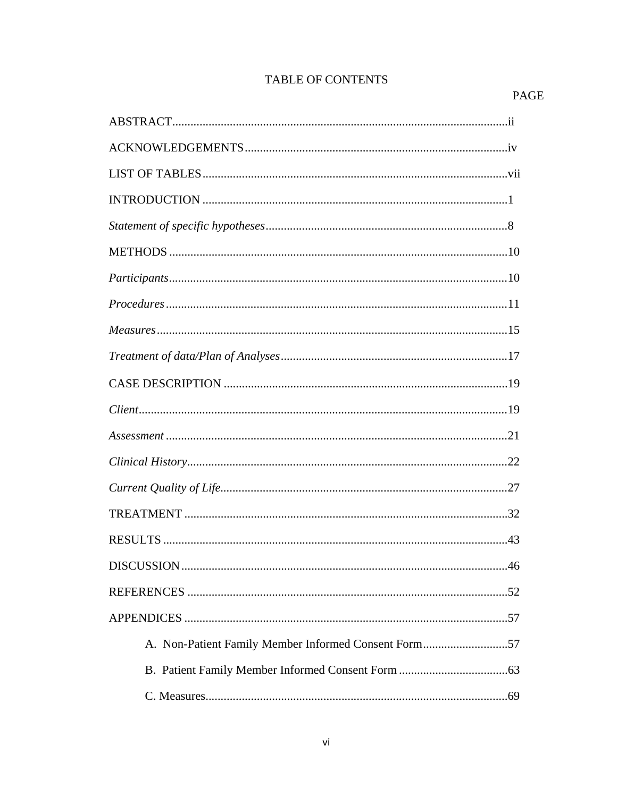## TABLE OF CONTENTS

## PAGE

| $\bf INTRODUCTION \,\,{} \dots \,\,{} \dots \,\,{} \dots \,\,{} \dots \,\,{} \dots \,\,{} \dots \,\,{} \dots \,\,{} \dots \,\,{} \dots \,\,{} \dots \,\,{} \dots \,\,{} \dots \,\,{} \dots \,\,{} \dots \,\,{} \dots \,\,{} \dots \,\,{} \dots \,\,{} \dots \,\,{} \dots \,\,{} \dots \,\,{} \dots \,\,{} \dots \,\,{} \dots \,\,{} \dots \,\,{} \dots \,\,{} \dots \,\,{} \dots \,\,{} \dots \,\,{} \dots \,\,{} \dots \,\,{} \dots \,\,{} \dots \,\,{} \dots \,\,{} \dots \,\,{} \dots \,\,{} \dots$ |
|--------------------------------------------------------------------------------------------------------------------------------------------------------------------------------------------------------------------------------------------------------------------------------------------------------------------------------------------------------------------------------------------------------------------------------------------------------------------------------------------------------|
|                                                                                                                                                                                                                                                                                                                                                                                                                                                                                                        |
|                                                                                                                                                                                                                                                                                                                                                                                                                                                                                                        |
|                                                                                                                                                                                                                                                                                                                                                                                                                                                                                                        |
|                                                                                                                                                                                                                                                                                                                                                                                                                                                                                                        |
|                                                                                                                                                                                                                                                                                                                                                                                                                                                                                                        |
|                                                                                                                                                                                                                                                                                                                                                                                                                                                                                                        |
|                                                                                                                                                                                                                                                                                                                                                                                                                                                                                                        |
|                                                                                                                                                                                                                                                                                                                                                                                                                                                                                                        |
|                                                                                                                                                                                                                                                                                                                                                                                                                                                                                                        |
|                                                                                                                                                                                                                                                                                                                                                                                                                                                                                                        |
|                                                                                                                                                                                                                                                                                                                                                                                                                                                                                                        |
|                                                                                                                                                                                                                                                                                                                                                                                                                                                                                                        |
|                                                                                                                                                                                                                                                                                                                                                                                                                                                                                                        |
|                                                                                                                                                                                                                                                                                                                                                                                                                                                                                                        |
|                                                                                                                                                                                                                                                                                                                                                                                                                                                                                                        |
|                                                                                                                                                                                                                                                                                                                                                                                                                                                                                                        |
| A. Non-Patient Family Member Informed Consent Form57                                                                                                                                                                                                                                                                                                                                                                                                                                                   |
|                                                                                                                                                                                                                                                                                                                                                                                                                                                                                                        |
|                                                                                                                                                                                                                                                                                                                                                                                                                                                                                                        |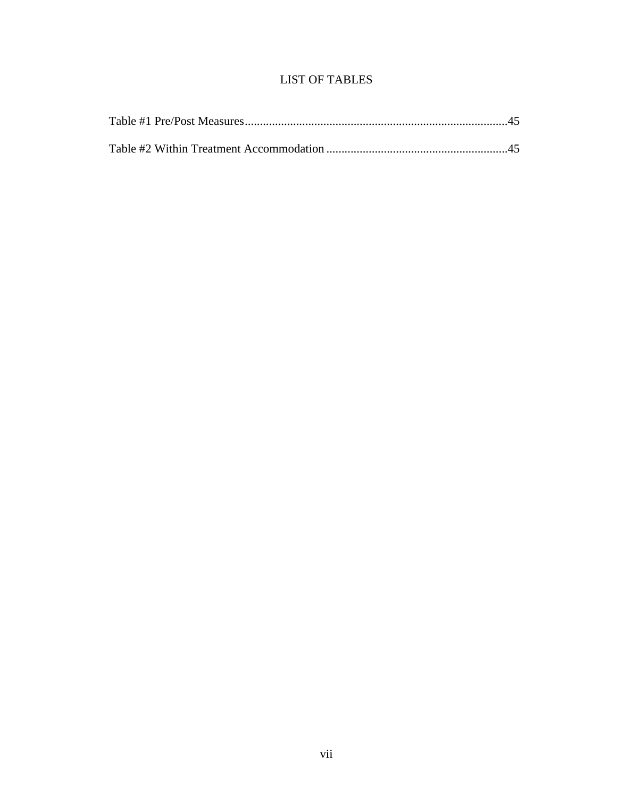## LIST OF TABLES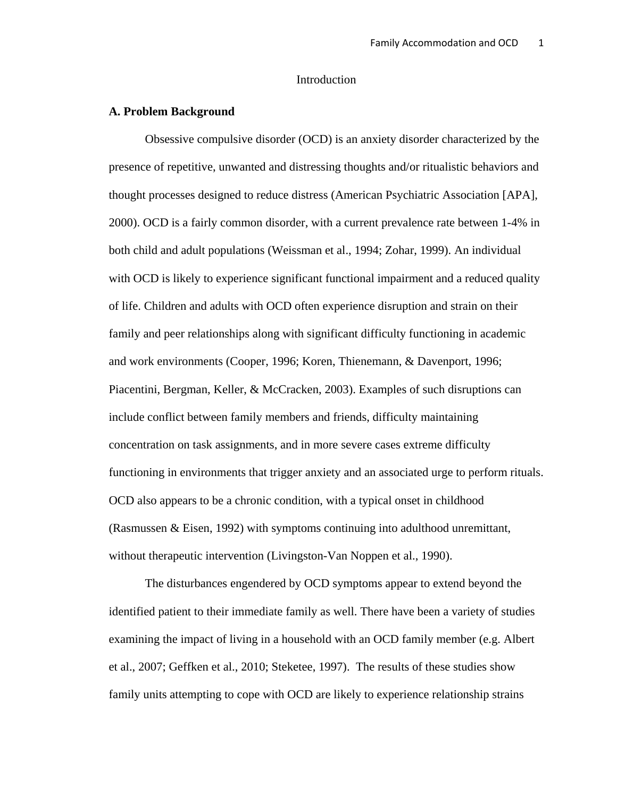## Introduction

#### **A. Problem Background**

Obsessive compulsive disorder (OCD) is an anxiety disorder characterized by the presence of repetitive, unwanted and distressing thoughts and/or ritualistic behaviors and thought processes designed to reduce distress (American Psychiatric Association [APA], 2000). OCD is a fairly common disorder, with a current prevalence rate between 1-4% in both child and adult populations (Weissman et al., 1994; Zohar, 1999). An individual with OCD is likely to experience significant functional impairment and a reduced quality of life. Children and adults with OCD often experience disruption and strain on their family and peer relationships along with significant difficulty functioning in academic and work environments (Cooper, 1996; Koren, Thienemann, & Davenport, 1996; Piacentini, Bergman, Keller, & McCracken, 2003). Examples of such disruptions can include conflict between family members and friends, difficulty maintaining concentration on task assignments, and in more severe cases extreme difficulty functioning in environments that trigger anxiety and an associated urge to perform rituals. OCD also appears to be a chronic condition, with a typical onset in childhood (Rasmussen & Eisen, 1992) with symptoms continuing into adulthood unremittant, without therapeutic intervention (Livingston-Van Noppen et al., 1990).

 The disturbances engendered by OCD symptoms appear to extend beyond the identified patient to their immediate family as well. There have been a variety of studies examining the impact of living in a household with an OCD family member (e.g. Albert et al., 2007; Geffken et al., 2010; Steketee, 1997). The results of these studies show family units attempting to cope with OCD are likely to experience relationship strains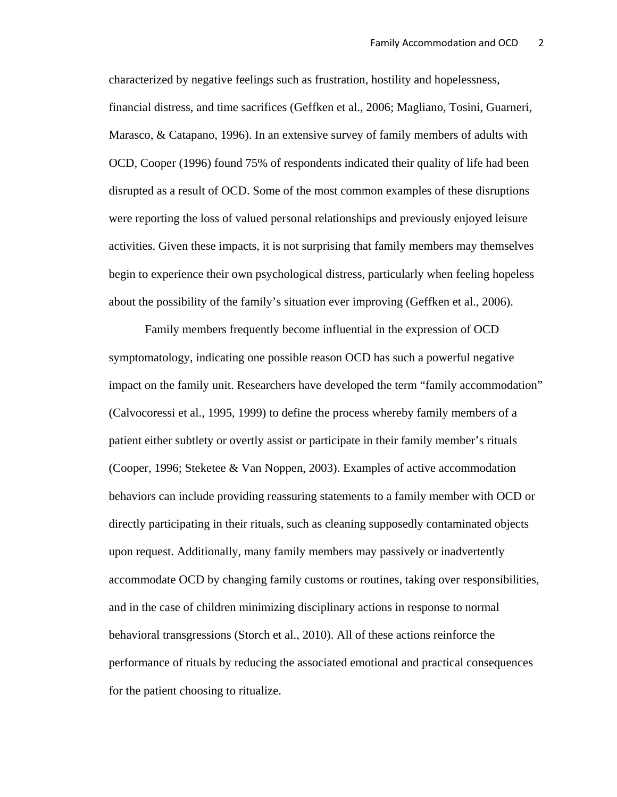characterized by negative feelings such as frustration, hostility and hopelessness, financial distress, and time sacrifices (Geffken et al., 2006; Magliano, Tosini, Guarneri, Marasco, & Catapano, 1996). In an extensive survey of family members of adults with OCD, Cooper (1996) found 75% of respondents indicated their quality of life had been disrupted as a result of OCD. Some of the most common examples of these disruptions were reporting the loss of valued personal relationships and previously enjoyed leisure activities. Given these impacts, it is not surprising that family members may themselves begin to experience their own psychological distress, particularly when feeling hopeless about the possibility of the family's situation ever improving (Geffken et al., 2006).

 Family members frequently become influential in the expression of OCD symptomatology, indicating one possible reason OCD has such a powerful negative impact on the family unit. Researchers have developed the term "family accommodation" (Calvocoressi et al., 1995, 1999) to define the process whereby family members of a patient either subtlety or overtly assist or participate in their family member's rituals (Cooper, 1996; Steketee & Van Noppen, 2003). Examples of active accommodation behaviors can include providing reassuring statements to a family member with OCD or directly participating in their rituals, such as cleaning supposedly contaminated objects upon request. Additionally, many family members may passively or inadvertently accommodate OCD by changing family customs or routines, taking over responsibilities, and in the case of children minimizing disciplinary actions in response to normal behavioral transgressions (Storch et al., 2010). All of these actions reinforce the performance of rituals by reducing the associated emotional and practical consequences for the patient choosing to ritualize.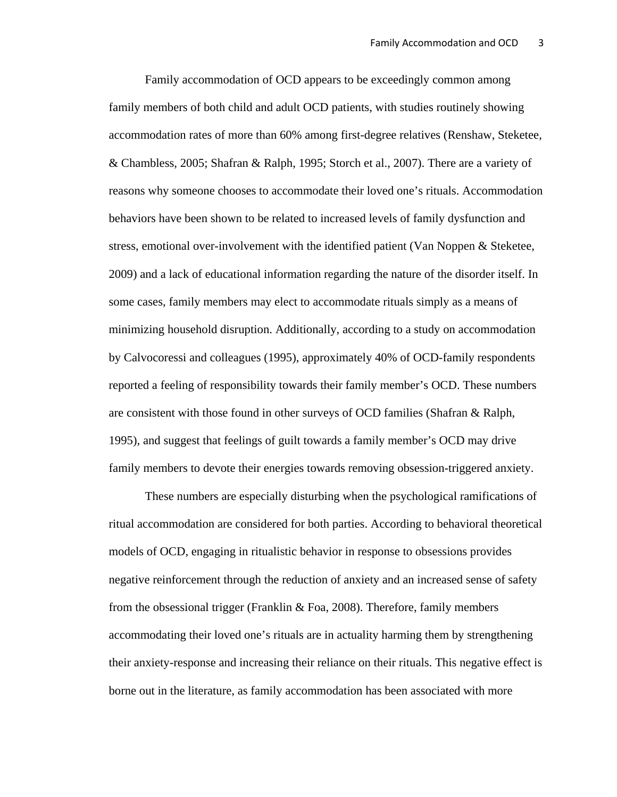Family accommodation of OCD appears to be exceedingly common among family members of both child and adult OCD patients, with studies routinely showing accommodation rates of more than 60% among first-degree relatives (Renshaw, Steketee, & Chambless, 2005; Shafran & Ralph, 1995; Storch et al., 2007). There are a variety of reasons why someone chooses to accommodate their loved one's rituals. Accommodation behaviors have been shown to be related to increased levels of family dysfunction and stress, emotional over-involvement with the identified patient (Van Noppen & Steketee, 2009) and a lack of educational information regarding the nature of the disorder itself. In some cases, family members may elect to accommodate rituals simply as a means of minimizing household disruption. Additionally, according to a study on accommodation by Calvocoressi and colleagues (1995), approximately 40% of OCD-family respondents reported a feeling of responsibility towards their family member's OCD. These numbers are consistent with those found in other surveys of OCD families (Shafran & Ralph, 1995), and suggest that feelings of guilt towards a family member's OCD may drive family members to devote their energies towards removing obsession-triggered anxiety.

These numbers are especially disturbing when the psychological ramifications of ritual accommodation are considered for both parties. According to behavioral theoretical models of OCD, engaging in ritualistic behavior in response to obsessions provides negative reinforcement through the reduction of anxiety and an increased sense of safety from the obsessional trigger (Franklin & Foa, 2008). Therefore, family members accommodating their loved one's rituals are in actuality harming them by strengthening their anxiety-response and increasing their reliance on their rituals. This negative effect is borne out in the literature, as family accommodation has been associated with more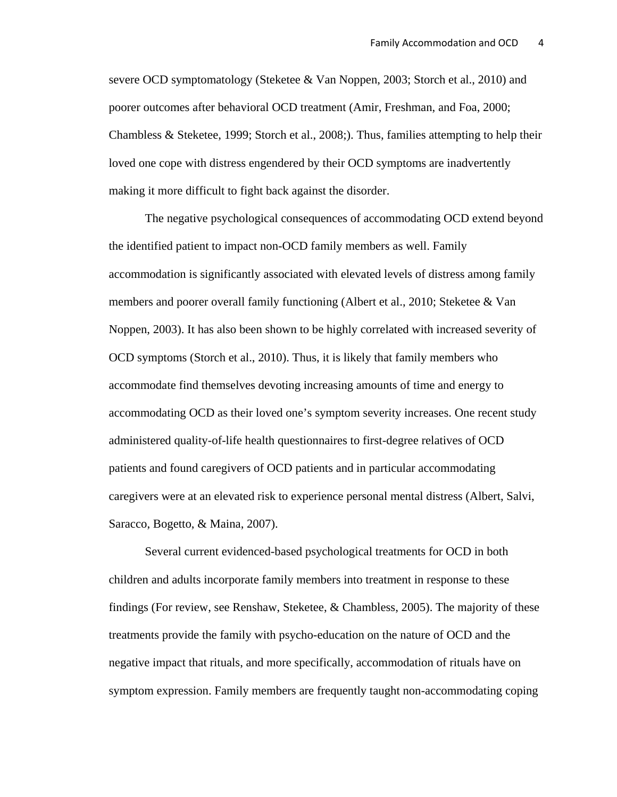severe OCD symptomatology (Steketee & Van Noppen, 2003; Storch et al., 2010) and poorer outcomes after behavioral OCD treatment (Amir, Freshman, and Foa, 2000; Chambless & Steketee, 1999; Storch et al., 2008;). Thus, families attempting to help their loved one cope with distress engendered by their OCD symptoms are inadvertently making it more difficult to fight back against the disorder.

The negative psychological consequences of accommodating OCD extend beyond the identified patient to impact non-OCD family members as well. Family accommodation is significantly associated with elevated levels of distress among family members and poorer overall family functioning (Albert et al., 2010; Steketee & Van Noppen, 2003). It has also been shown to be highly correlated with increased severity of OCD symptoms (Storch et al., 2010). Thus, it is likely that family members who accommodate find themselves devoting increasing amounts of time and energy to accommodating OCD as their loved one's symptom severity increases. One recent study administered quality-of-life health questionnaires to first-degree relatives of OCD patients and found caregivers of OCD patients and in particular accommodating caregivers were at an elevated risk to experience personal mental distress (Albert, Salvi, Saracco, Bogetto, & Maina, 2007).

Several current evidenced-based psychological treatments for OCD in both children and adults incorporate family members into treatment in response to these findings (For review, see Renshaw, Steketee, & Chambless, 2005). The majority of these treatments provide the family with psycho-education on the nature of OCD and the negative impact that rituals, and more specifically, accommodation of rituals have on symptom expression. Family members are frequently taught non-accommodating coping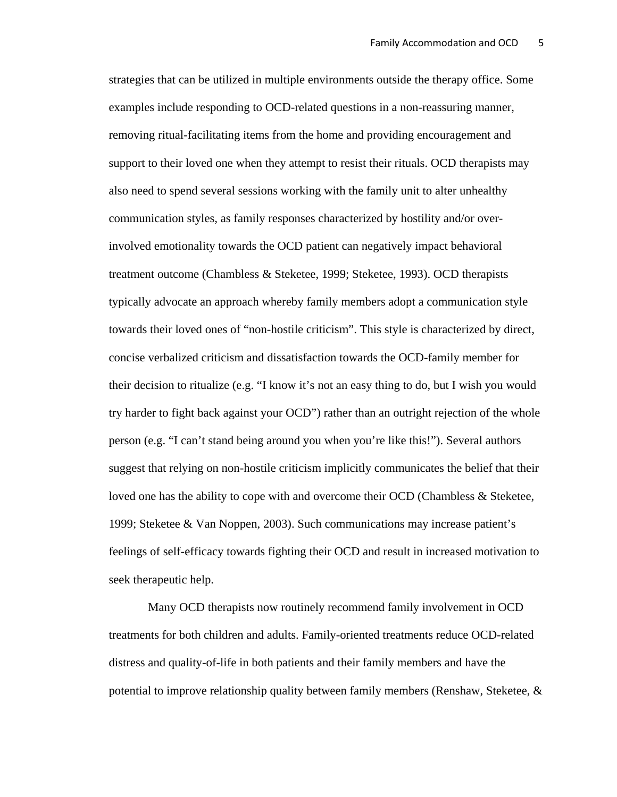strategies that can be utilized in multiple environments outside the therapy office. Some examples include responding to OCD-related questions in a non-reassuring manner, removing ritual-facilitating items from the home and providing encouragement and support to their loved one when they attempt to resist their rituals. OCD therapists may also need to spend several sessions working with the family unit to alter unhealthy communication styles, as family responses characterized by hostility and/or overinvolved emotionality towards the OCD patient can negatively impact behavioral treatment outcome (Chambless & Steketee, 1999; Steketee, 1993). OCD therapists typically advocate an approach whereby family members adopt a communication style towards their loved ones of "non-hostile criticism". This style is characterized by direct, concise verbalized criticism and dissatisfaction towards the OCD-family member for their decision to ritualize (e.g. "I know it's not an easy thing to do, but I wish you would try harder to fight back against your OCD") rather than an outright rejection of the whole person (e.g. "I can't stand being around you when you're like this!"). Several authors suggest that relying on non-hostile criticism implicitly communicates the belief that their loved one has the ability to cope with and overcome their OCD (Chambless & Steketee, 1999; Steketee & Van Noppen, 2003). Such communications may increase patient's feelings of self-efficacy towards fighting their OCD and result in increased motivation to seek therapeutic help.

 Many OCD therapists now routinely recommend family involvement in OCD treatments for both children and adults. Family-oriented treatments reduce OCD-related distress and quality-of-life in both patients and their family members and have the potential to improve relationship quality between family members (Renshaw, Steketee, &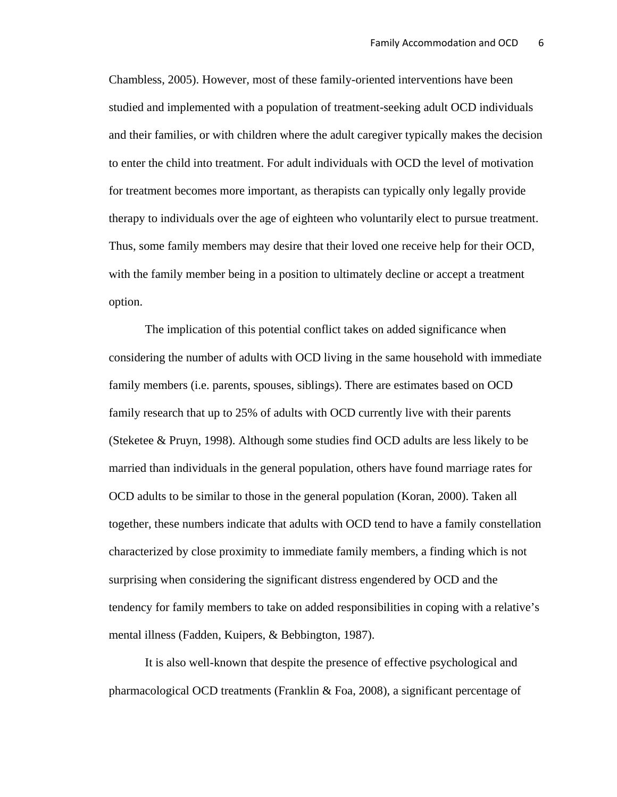Chambless, 2005). However, most of these family-oriented interventions have been studied and implemented with a population of treatment-seeking adult OCD individuals and their families, or with children where the adult caregiver typically makes the decision to enter the child into treatment. For adult individuals with OCD the level of motivation for treatment becomes more important, as therapists can typically only legally provide therapy to individuals over the age of eighteen who voluntarily elect to pursue treatment. Thus, some family members may desire that their loved one receive help for their OCD, with the family member being in a position to ultimately decline or accept a treatment option.

The implication of this potential conflict takes on added significance when considering the number of adults with OCD living in the same household with immediate family members (i.e. parents, spouses, siblings). There are estimates based on OCD family research that up to 25% of adults with OCD currently live with their parents (Steketee & Pruyn, 1998). Although some studies find OCD adults are less likely to be married than individuals in the general population, others have found marriage rates for OCD adults to be similar to those in the general population (Koran, 2000). Taken all together, these numbers indicate that adults with OCD tend to have a family constellation characterized by close proximity to immediate family members, a finding which is not surprising when considering the significant distress engendered by OCD and the tendency for family members to take on added responsibilities in coping with a relative's mental illness (Fadden, Kuipers, & Bebbington, 1987).

It is also well-known that despite the presence of effective psychological and pharmacological OCD treatments (Franklin & Foa, 2008), a significant percentage of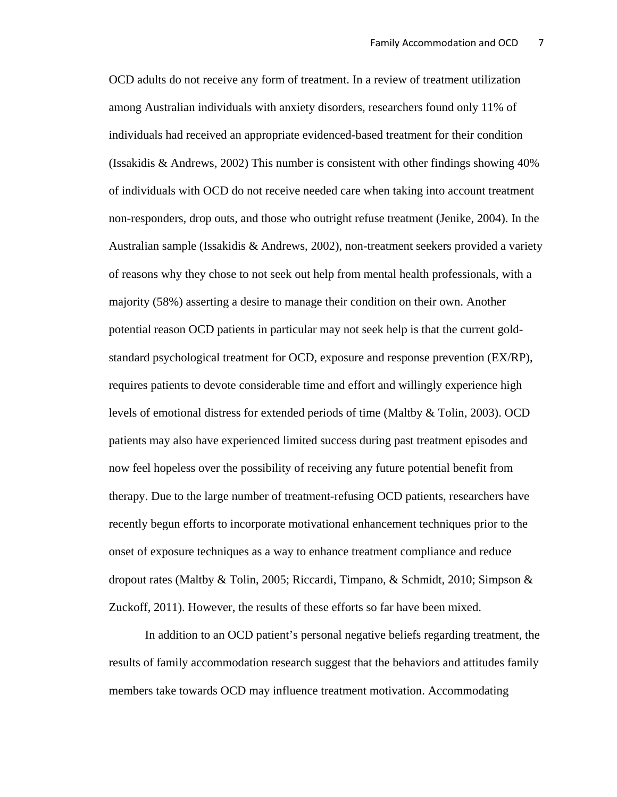OCD adults do not receive any form of treatment. In a review of treatment utilization among Australian individuals with anxiety disorders, researchers found only 11% of individuals had received an appropriate evidenced-based treatment for their condition (Issakidis & Andrews, 2002) This number is consistent with other findings showing 40% of individuals with OCD do not receive needed care when taking into account treatment non-responders, drop outs, and those who outright refuse treatment (Jenike, 2004). In the Australian sample (Issakidis & Andrews, 2002), non-treatment seekers provided a variety of reasons why they chose to not seek out help from mental health professionals, with a majority (58%) asserting a desire to manage their condition on their own. Another potential reason OCD patients in particular may not seek help is that the current goldstandard psychological treatment for OCD, exposure and response prevention (EX/RP), requires patients to devote considerable time and effort and willingly experience high levels of emotional distress for extended periods of time (Maltby & Tolin, 2003). OCD patients may also have experienced limited success during past treatment episodes and now feel hopeless over the possibility of receiving any future potential benefit from therapy. Due to the large number of treatment-refusing OCD patients, researchers have recently begun efforts to incorporate motivational enhancement techniques prior to the onset of exposure techniques as a way to enhance treatment compliance and reduce dropout rates (Maltby & Tolin, 2005; Riccardi, Timpano, & Schmidt, 2010; Simpson & Zuckoff, 2011). However, the results of these efforts so far have been mixed.

In addition to an OCD patient's personal negative beliefs regarding treatment, the results of family accommodation research suggest that the behaviors and attitudes family members take towards OCD may influence treatment motivation. Accommodating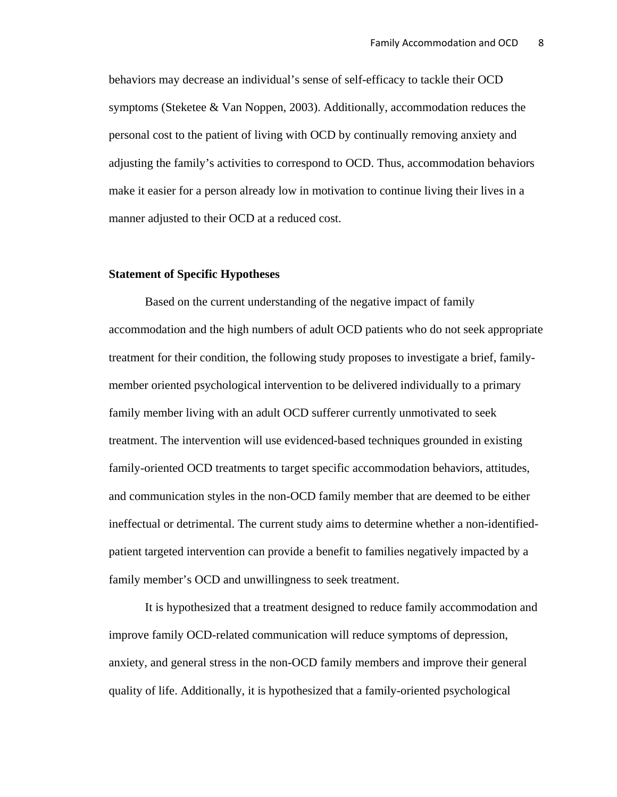behaviors may decrease an individual's sense of self-efficacy to tackle their OCD symptoms (Steketee & Van Noppen, 2003). Additionally, accommodation reduces the personal cost to the patient of living with OCD by continually removing anxiety and adjusting the family's activities to correspond to OCD. Thus, accommodation behaviors make it easier for a person already low in motivation to continue living their lives in a manner adjusted to their OCD at a reduced cost.

#### **Statement of Specific Hypotheses**

Based on the current understanding of the negative impact of family accommodation and the high numbers of adult OCD patients who do not seek appropriate treatment for their condition, the following study proposes to investigate a brief, familymember oriented psychological intervention to be delivered individually to a primary family member living with an adult OCD sufferer currently unmotivated to seek treatment. The intervention will use evidenced-based techniques grounded in existing family-oriented OCD treatments to target specific accommodation behaviors, attitudes, and communication styles in the non-OCD family member that are deemed to be either ineffectual or detrimental. The current study aims to determine whether a non-identifiedpatient targeted intervention can provide a benefit to families negatively impacted by a family member's OCD and unwillingness to seek treatment.

It is hypothesized that a treatment designed to reduce family accommodation and improve family OCD-related communication will reduce symptoms of depression, anxiety, and general stress in the non-OCD family members and improve their general quality of life. Additionally, it is hypothesized that a family-oriented psychological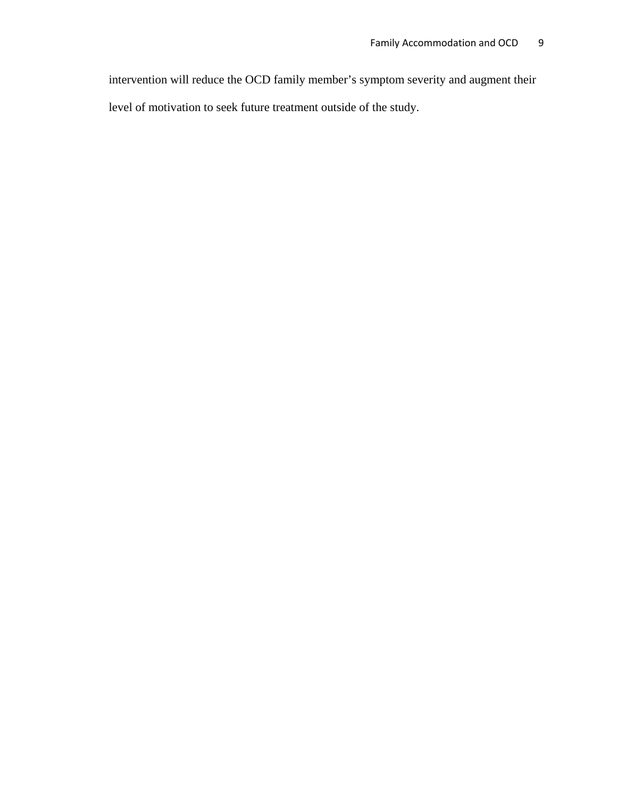intervention will reduce the OCD family member's symptom severity and augment their level of motivation to seek future treatment outside of the study.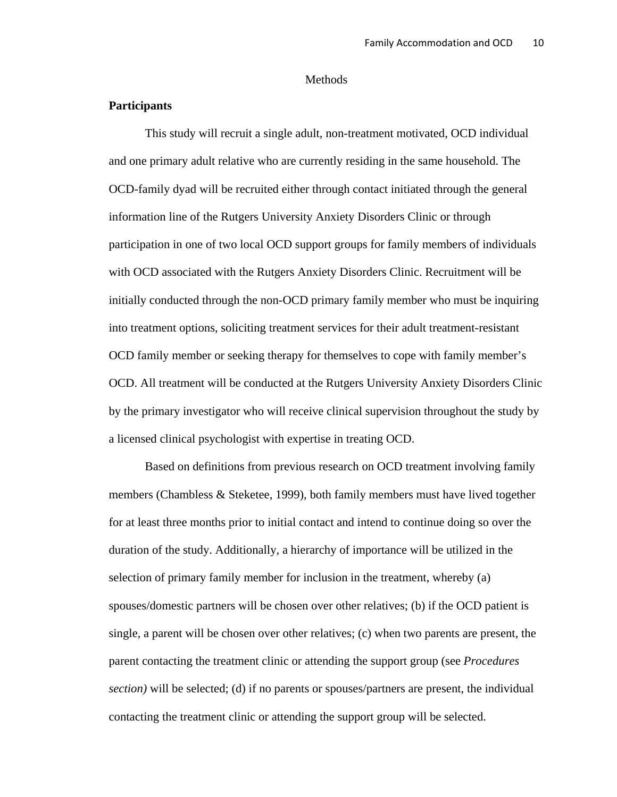#### Methods

## **Participants**

 This study will recruit a single adult, non-treatment motivated, OCD individual and one primary adult relative who are currently residing in the same household. The OCD-family dyad will be recruited either through contact initiated through the general information line of the Rutgers University Anxiety Disorders Clinic or through participation in one of two local OCD support groups for family members of individuals with OCD associated with the Rutgers Anxiety Disorders Clinic. Recruitment will be initially conducted through the non-OCD primary family member who must be inquiring into treatment options, soliciting treatment services for their adult treatment-resistant OCD family member or seeking therapy for themselves to cope with family member's OCD. All treatment will be conducted at the Rutgers University Anxiety Disorders Clinic by the primary investigator who will receive clinical supervision throughout the study by a licensed clinical psychologist with expertise in treating OCD.

Based on definitions from previous research on OCD treatment involving family members (Chambless  $\&$  Steketee, 1999), both family members must have lived together for at least three months prior to initial contact and intend to continue doing so over the duration of the study. Additionally, a hierarchy of importance will be utilized in the selection of primary family member for inclusion in the treatment, whereby (a) spouses/domestic partners will be chosen over other relatives; (b) if the OCD patient is single, a parent will be chosen over other relatives; (c) when two parents are present, the parent contacting the treatment clinic or attending the support group (see *Procedures section)* will be selected; (d) if no parents or spouses/partners are present, the individual contacting the treatment clinic or attending the support group will be selected.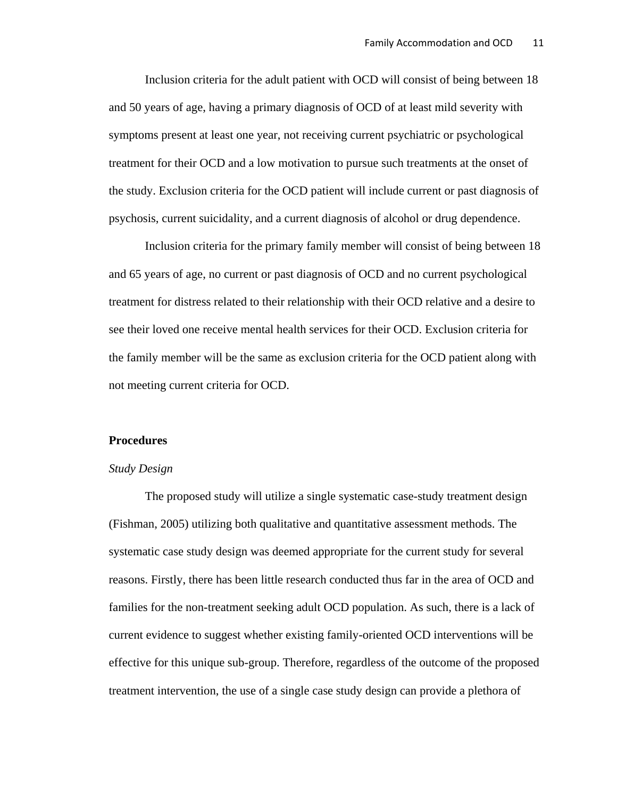Inclusion criteria for the adult patient with OCD will consist of being between 18 and 50 years of age, having a primary diagnosis of OCD of at least mild severity with symptoms present at least one year, not receiving current psychiatric or psychological treatment for their OCD and a low motivation to pursue such treatments at the onset of the study. Exclusion criteria for the OCD patient will include current or past diagnosis of psychosis, current suicidality, and a current diagnosis of alcohol or drug dependence.

 Inclusion criteria for the primary family member will consist of being between 18 and 65 years of age, no current or past diagnosis of OCD and no current psychological treatment for distress related to their relationship with their OCD relative and a desire to see their loved one receive mental health services for their OCD. Exclusion criteria for the family member will be the same as exclusion criteria for the OCD patient along with not meeting current criteria for OCD.

#### **Procedures**

#### *Study Design*

The proposed study will utilize a single systematic case-study treatment design (Fishman, 2005) utilizing both qualitative and quantitative assessment methods. The systematic case study design was deemed appropriate for the current study for several reasons. Firstly, there has been little research conducted thus far in the area of OCD and families for the non-treatment seeking adult OCD population. As such, there is a lack of current evidence to suggest whether existing family-oriented OCD interventions will be effective for this unique sub-group. Therefore, regardless of the outcome of the proposed treatment intervention, the use of a single case study design can provide a plethora of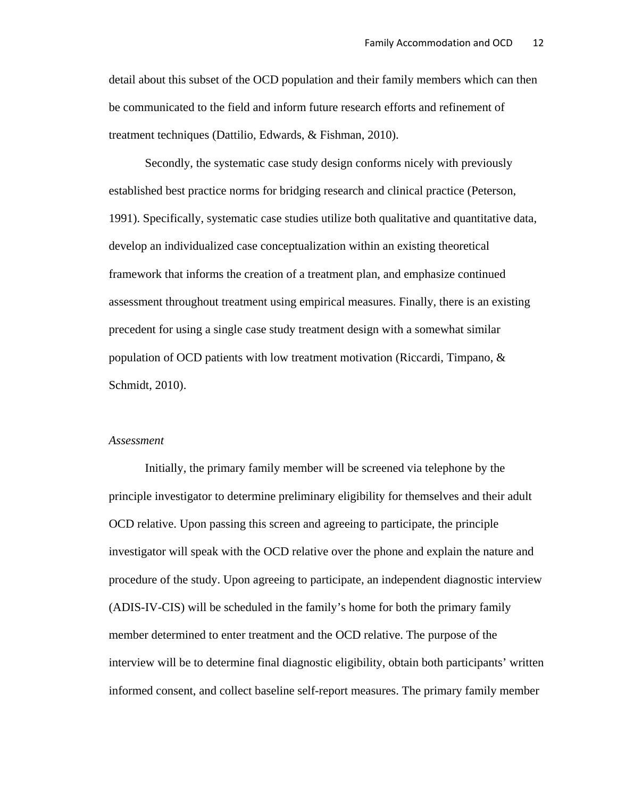detail about this subset of the OCD population and their family members which can then be communicated to the field and inform future research efforts and refinement of treatment techniques (Dattilio, Edwards, & Fishman, 2010).

Secondly, the systematic case study design conforms nicely with previously established best practice norms for bridging research and clinical practice (Peterson, 1991). Specifically, systematic case studies utilize both qualitative and quantitative data, develop an individualized case conceptualization within an existing theoretical framework that informs the creation of a treatment plan, and emphasize continued assessment throughout treatment using empirical measures. Finally, there is an existing precedent for using a single case study treatment design with a somewhat similar population of OCD patients with low treatment motivation (Riccardi, Timpano, & Schmidt, 2010).

#### *Assessment*

Initially, the primary family member will be screened via telephone by the principle investigator to determine preliminary eligibility for themselves and their adult OCD relative. Upon passing this screen and agreeing to participate, the principle investigator will speak with the OCD relative over the phone and explain the nature and procedure of the study. Upon agreeing to participate, an independent diagnostic interview (ADIS-IV-CIS) will be scheduled in the family's home for both the primary family member determined to enter treatment and the OCD relative. The purpose of the interview will be to determine final diagnostic eligibility, obtain both participants' written informed consent, and collect baseline self-report measures. The primary family member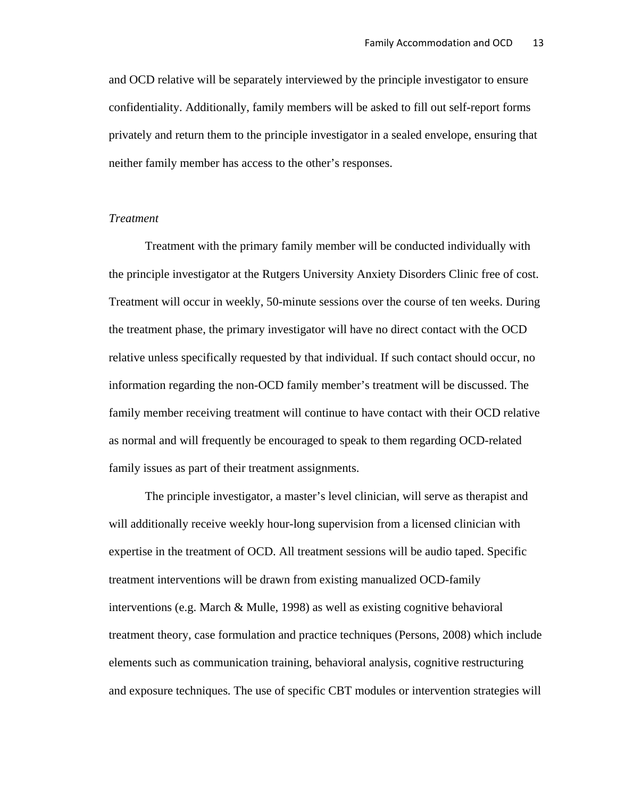and OCD relative will be separately interviewed by the principle investigator to ensure confidentiality. Additionally, family members will be asked to fill out self-report forms privately and return them to the principle investigator in a sealed envelope, ensuring that neither family member has access to the other's responses.

#### *Treatment*

Treatment with the primary family member will be conducted individually with the principle investigator at the Rutgers University Anxiety Disorders Clinic free of cost. Treatment will occur in weekly, 50-minute sessions over the course of ten weeks. During the treatment phase, the primary investigator will have no direct contact with the OCD relative unless specifically requested by that individual. If such contact should occur, no information regarding the non-OCD family member's treatment will be discussed. The family member receiving treatment will continue to have contact with their OCD relative as normal and will frequently be encouraged to speak to them regarding OCD-related family issues as part of their treatment assignments.

 The principle investigator, a master's level clinician, will serve as therapist and will additionally receive weekly hour-long supervision from a licensed clinician with expertise in the treatment of OCD. All treatment sessions will be audio taped. Specific treatment interventions will be drawn from existing manualized OCD-family interventions (e.g. March & Mulle, 1998) as well as existing cognitive behavioral treatment theory, case formulation and practice techniques (Persons, 2008) which include elements such as communication training, behavioral analysis, cognitive restructuring and exposure techniques. The use of specific CBT modules or intervention strategies will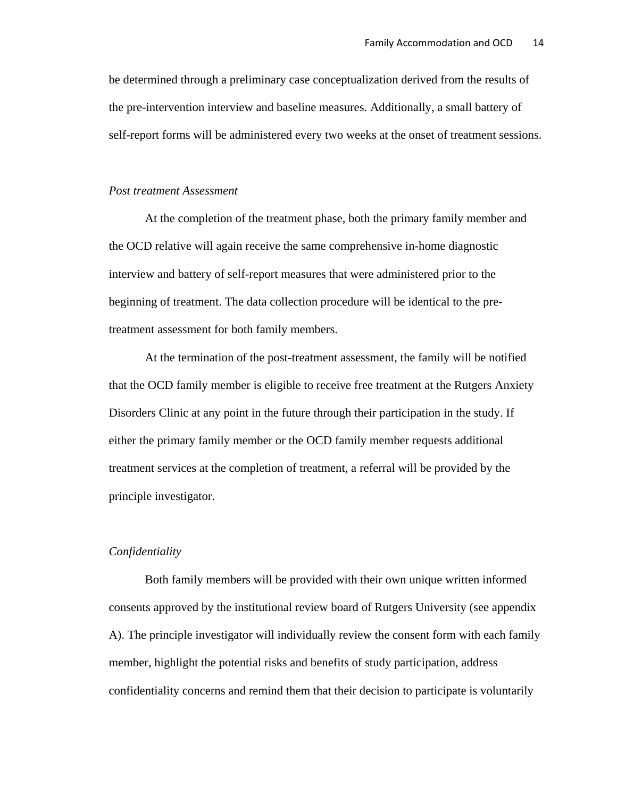be determined through a preliminary case conceptualization derived from the results of the pre-intervention interview and baseline measures. Additionally, a small battery of self-report forms will be administered every two weeks at the onset of treatment sessions.

#### *Post treatment Assessment*

 At the completion of the treatment phase, both the primary family member and the OCD relative will again receive the same comprehensive in-home diagnostic interview and battery of self-report measures that were administered prior to the beginning of treatment. The data collection procedure will be identical to the pretreatment assessment for both family members.

At the termination of the post-treatment assessment, the family will be notified that the OCD family member is eligible to receive free treatment at the Rutgers Anxiety Disorders Clinic at any point in the future through their participation in the study. If either the primary family member or the OCD family member requests additional treatment services at the completion of treatment, a referral will be provided by the principle investigator.

#### *Confidentiality*

 Both family members will be provided with their own unique written informed consents approved by the institutional review board of Rutgers University (see appendix A). The principle investigator will individually review the consent form with each family member, highlight the potential risks and benefits of study participation, address confidentiality concerns and remind them that their decision to participate is voluntarily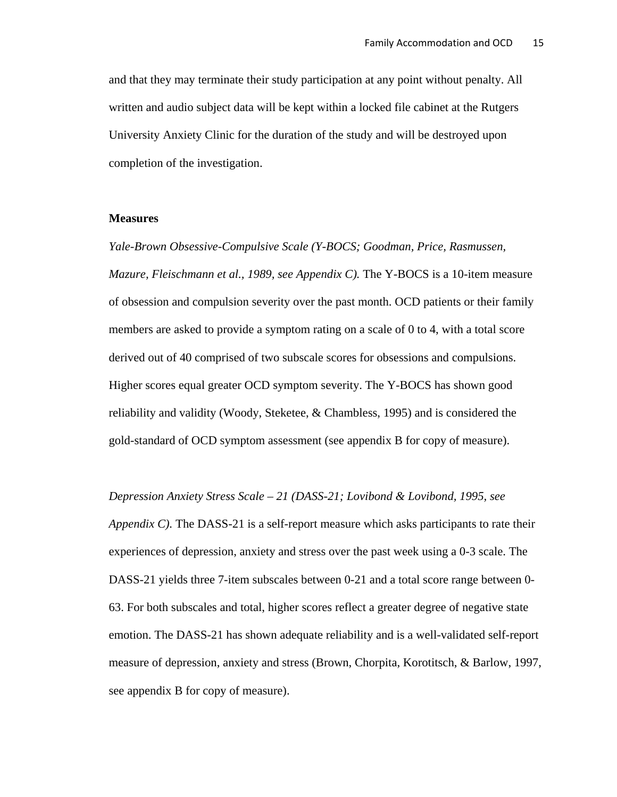and that they may terminate their study participation at any point without penalty. All written and audio subject data will be kept within a locked file cabinet at the Rutgers University Anxiety Clinic for the duration of the study and will be destroyed upon completion of the investigation.

#### **Measures**

*Yale-Brown Obsessive-Compulsive Scale (Y-BOCS; Goodman, Price, Rasmussen, Mazure, Fleischmann et al., 1989, see Appendix C).* The Y-BOCS is a 10-item measure of obsession and compulsion severity over the past month. OCD patients or their family members are asked to provide a symptom rating on a scale of 0 to 4, with a total score derived out of 40 comprised of two subscale scores for obsessions and compulsions. Higher scores equal greater OCD symptom severity. The Y-BOCS has shown good reliability and validity (Woody, Steketee, & Chambless, 1995) and is considered the gold-standard of OCD symptom assessment (see appendix B for copy of measure).

*Depression Anxiety Stress Scale – 21 (DASS-21; Lovibond & Lovibond, 1995, see Appendix C).* The DASS-21 is a self-report measure which asks participants to rate their experiences of depression, anxiety and stress over the past week using a 0-3 scale. The DASS-21 yields three 7-item subscales between 0-21 and a total score range between 0- 63. For both subscales and total, higher scores reflect a greater degree of negative state emotion. The DASS-21 has shown adequate reliability and is a well-validated self-report measure of depression, anxiety and stress (Brown, Chorpita, Korotitsch, & Barlow, 1997, see appendix B for copy of measure).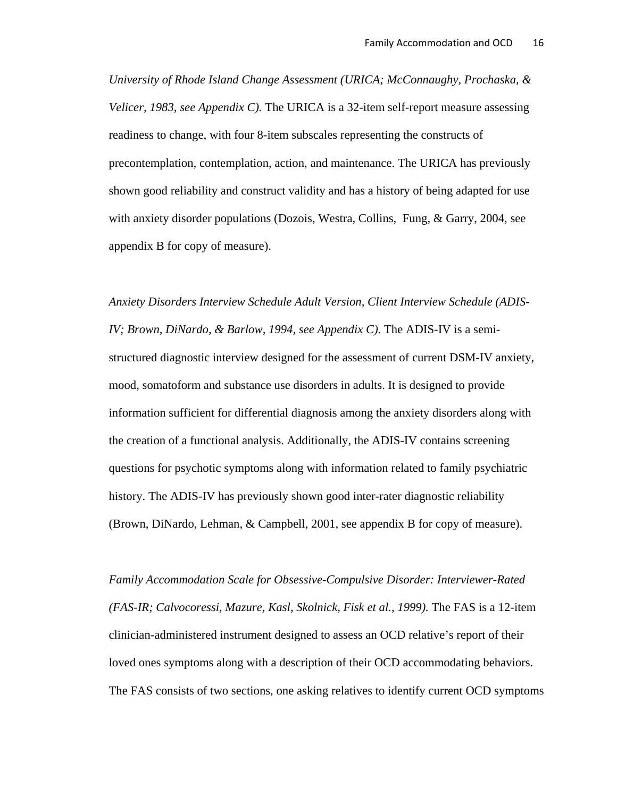*University of Rhode Island Change Assessment (URICA; McConnaughy, Prochaska, & Velicer, 1983, see Appendix C).* The URICA is a 32-item self-report measure assessing readiness to change, with four 8-item subscales representing the constructs of precontemplation, contemplation, action, and maintenance. The URICA has previously shown good reliability and construct validity and has a history of being adapted for use with anxiety disorder populations (Dozois, Westra, Collins, Fung, & Garry, 2004, see appendix B for copy of measure).

*Anxiety Disorders Interview Schedule Adult Version, Client Interview Schedule (ADIS-IV; Brown, DiNardo, & Barlow, 1994, see Appendix C).* The ADIS-IV is a semistructured diagnostic interview designed for the assessment of current DSM-IV anxiety, mood, somatoform and substance use disorders in adults. It is designed to provide information sufficient for differential diagnosis among the anxiety disorders along with the creation of a functional analysis. Additionally, the ADIS-IV contains screening questions for psychotic symptoms along with information related to family psychiatric history. The ADIS-IV has previously shown good inter-rater diagnostic reliability (Brown, DiNardo, Lehman, & Campbell, 2001, see appendix B for copy of measure).

*Family Accommodation Scale for Obsessive-Compulsive Disorder: Interviewer-Rated (FAS-IR; Calvocoressi, Mazure, Kasl, Skolnick, Fisk et al., 1999).* The FAS is a 12-item clinician-administered instrument designed to assess an OCD relative's report of their loved ones symptoms along with a description of their OCD accommodating behaviors. The FAS consists of two sections, one asking relatives to identify current OCD symptoms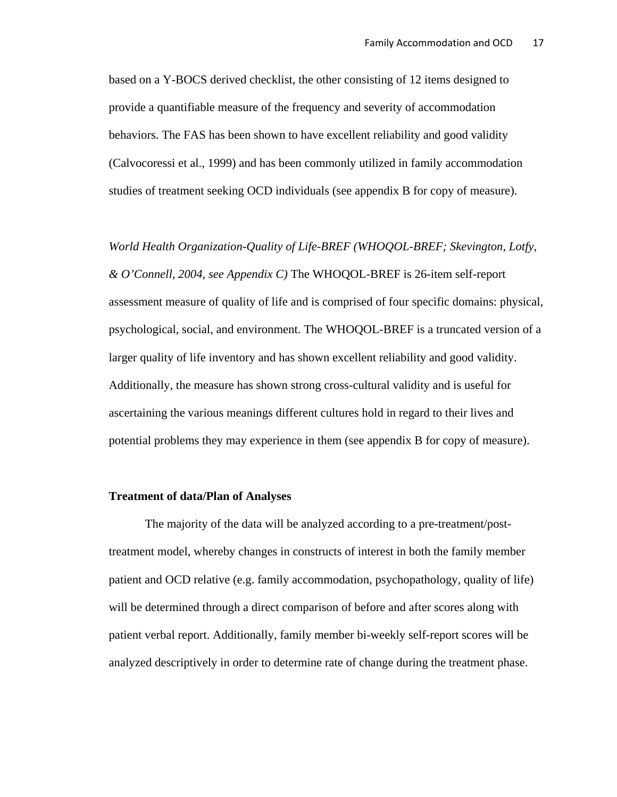based on a Y-BOCS derived checklist, the other consisting of 12 items designed to provide a quantifiable measure of the frequency and severity of accommodation behaviors. The FAS has been shown to have excellent reliability and good validity (Calvocoressi et al., 1999) and has been commonly utilized in family accommodation studies of treatment seeking OCD individuals (see appendix B for copy of measure).

*World Health Organization-Quality of Life-BREF (WHOQOL-BREF; Skevington, Lotfy, & O'Connell, 2004, see Appendix C)* The WHOQOL-BREF is 26-item self-report assessment measure of quality of life and is comprised of four specific domains: physical, psychological, social, and environment. The WHOQOL-BREF is a truncated version of a larger quality of life inventory and has shown excellent reliability and good validity. Additionally, the measure has shown strong cross-cultural validity and is useful for ascertaining the various meanings different cultures hold in regard to their lives and potential problems they may experience in them (see appendix B for copy of measure).

## **Treatment of data/Plan of Analyses**

 The majority of the data will be analyzed according to a pre-treatment/posttreatment model, whereby changes in constructs of interest in both the family member patient and OCD relative (e.g. family accommodation, psychopathology, quality of life) will be determined through a direct comparison of before and after scores along with patient verbal report. Additionally, family member bi-weekly self-report scores will be analyzed descriptively in order to determine rate of change during the treatment phase.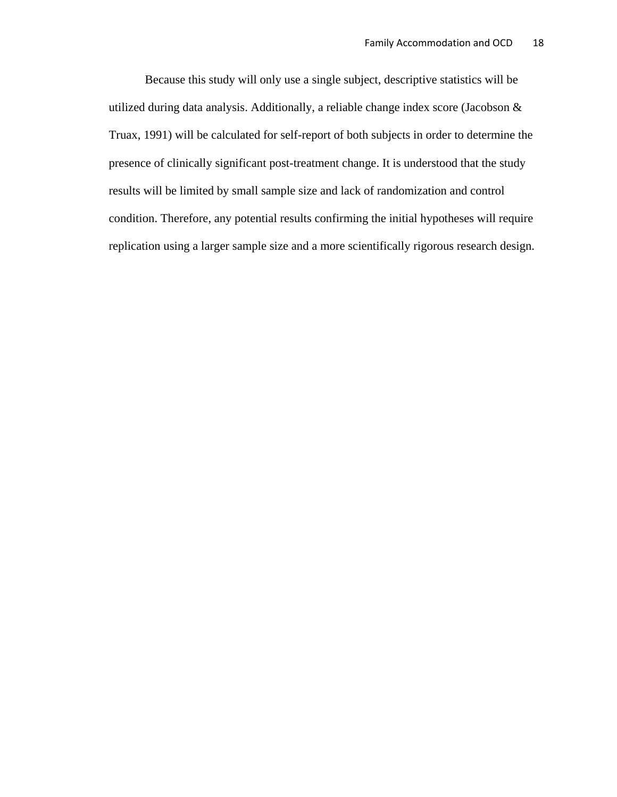Because this study will only use a single subject, descriptive statistics will be utilized during data analysis. Additionally, a reliable change index score (Jacobson & Truax, 1991) will be calculated for self-report of both subjects in order to determine the presence of clinically significant post-treatment change. It is understood that the study results will be limited by small sample size and lack of randomization and control condition. Therefore, any potential results confirming the initial hypotheses will require replication using a larger sample size and a more scientifically rigorous research design.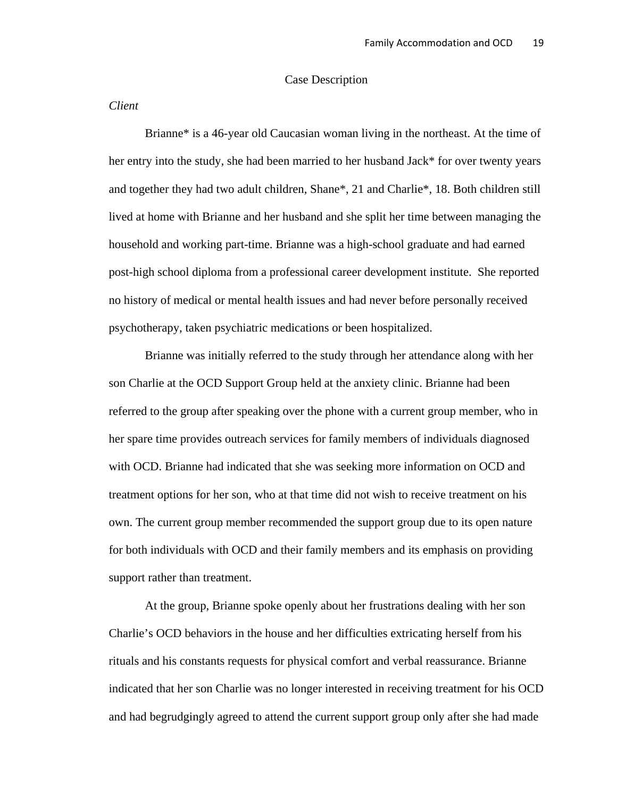#### Case Description

## *Client*

Brianne\* is a 46-year old Caucasian woman living in the northeast. At the time of her entry into the study, she had been married to her husband Jack\* for over twenty years and together they had two adult children, Shane\*, 21 and Charlie\*, 18. Both children still lived at home with Brianne and her husband and she split her time between managing the household and working part-time. Brianne was a high-school graduate and had earned post-high school diploma from a professional career development institute. She reported no history of medical or mental health issues and had never before personally received psychotherapy, taken psychiatric medications or been hospitalized.

Brianne was initially referred to the study through her attendance along with her son Charlie at the OCD Support Group held at the anxiety clinic. Brianne had been referred to the group after speaking over the phone with a current group member, who in her spare time provides outreach services for family members of individuals diagnosed with OCD. Brianne had indicated that she was seeking more information on OCD and treatment options for her son, who at that time did not wish to receive treatment on his own. The current group member recommended the support group due to its open nature for both individuals with OCD and their family members and its emphasis on providing support rather than treatment.

At the group, Brianne spoke openly about her frustrations dealing with her son Charlie's OCD behaviors in the house and her difficulties extricating herself from his rituals and his constants requests for physical comfort and verbal reassurance. Brianne indicated that her son Charlie was no longer interested in receiving treatment for his OCD and had begrudgingly agreed to attend the current support group only after she had made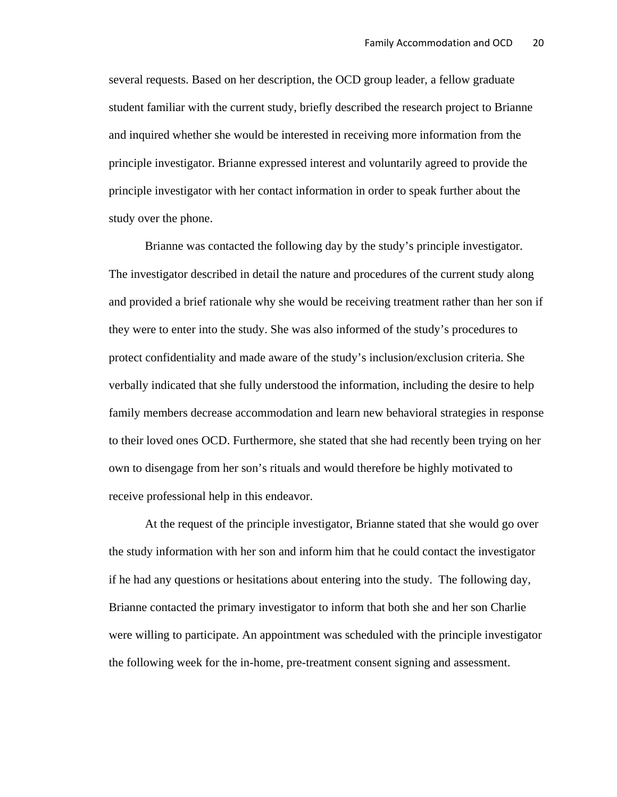several requests. Based on her description, the OCD group leader, a fellow graduate student familiar with the current study, briefly described the research project to Brianne and inquired whether she would be interested in receiving more information from the principle investigator. Brianne expressed interest and voluntarily agreed to provide the principle investigator with her contact information in order to speak further about the study over the phone.

Brianne was contacted the following day by the study's principle investigator. The investigator described in detail the nature and procedures of the current study along and provided a brief rationale why she would be receiving treatment rather than her son if they were to enter into the study. She was also informed of the study's procedures to protect confidentiality and made aware of the study's inclusion/exclusion criteria. She verbally indicated that she fully understood the information, including the desire to help family members decrease accommodation and learn new behavioral strategies in response to their loved ones OCD. Furthermore, she stated that she had recently been trying on her own to disengage from her son's rituals and would therefore be highly motivated to receive professional help in this endeavor.

At the request of the principle investigator, Brianne stated that she would go over the study information with her son and inform him that he could contact the investigator if he had any questions or hesitations about entering into the study. The following day, Brianne contacted the primary investigator to inform that both she and her son Charlie were willing to participate. An appointment was scheduled with the principle investigator the following week for the in-home, pre-treatment consent signing and assessment.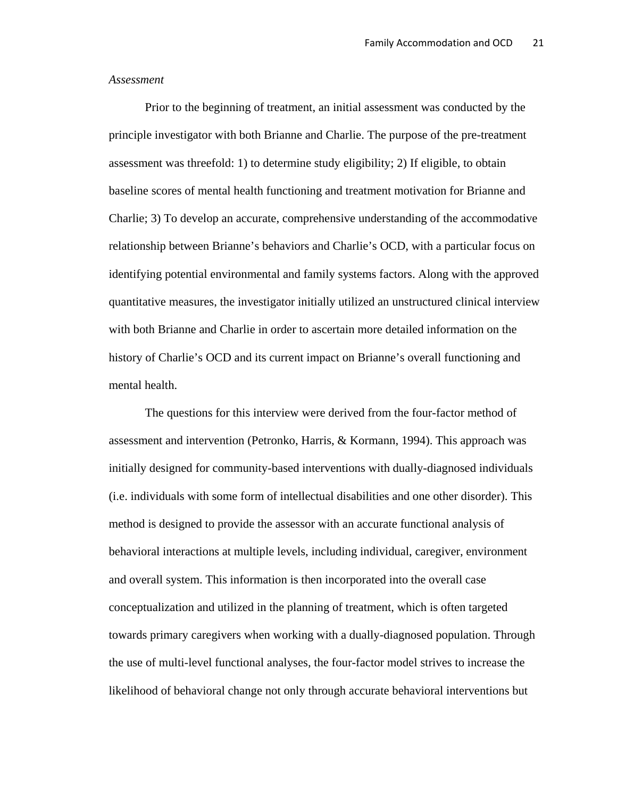#### *Assessment*

 Prior to the beginning of treatment, an initial assessment was conducted by the principle investigator with both Brianne and Charlie. The purpose of the pre-treatment assessment was threefold: 1) to determine study eligibility; 2) If eligible, to obtain baseline scores of mental health functioning and treatment motivation for Brianne and Charlie; 3) To develop an accurate, comprehensive understanding of the accommodative relationship between Brianne's behaviors and Charlie's OCD, with a particular focus on identifying potential environmental and family systems factors. Along with the approved quantitative measures, the investigator initially utilized an unstructured clinical interview with both Brianne and Charlie in order to ascertain more detailed information on the history of Charlie's OCD and its current impact on Brianne's overall functioning and mental health.

The questions for this interview were derived from the four-factor method of assessment and intervention (Petronko, Harris, & Kormann, 1994). This approach was initially designed for community-based interventions with dually-diagnosed individuals (i.e. individuals with some form of intellectual disabilities and one other disorder). This method is designed to provide the assessor with an accurate functional analysis of behavioral interactions at multiple levels, including individual, caregiver, environment and overall system. This information is then incorporated into the overall case conceptualization and utilized in the planning of treatment, which is often targeted towards primary caregivers when working with a dually-diagnosed population. Through the use of multi-level functional analyses, the four-factor model strives to increase the likelihood of behavioral change not only through accurate behavioral interventions but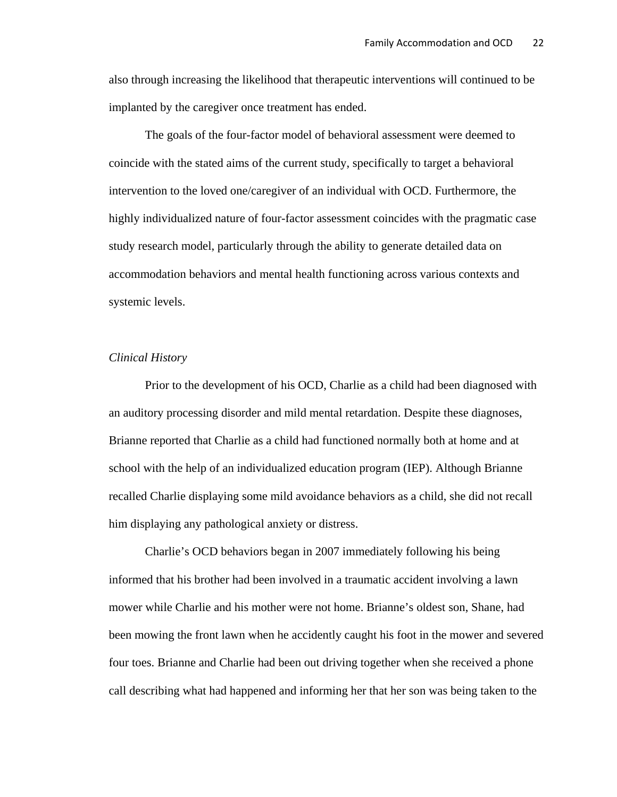also through increasing the likelihood that therapeutic interventions will continued to be implanted by the caregiver once treatment has ended.

The goals of the four-factor model of behavioral assessment were deemed to coincide with the stated aims of the current study, specifically to target a behavioral intervention to the loved one/caregiver of an individual with OCD. Furthermore, the highly individualized nature of four-factor assessment coincides with the pragmatic case study research model, particularly through the ability to generate detailed data on accommodation behaviors and mental health functioning across various contexts and systemic levels.

#### *Clinical History*

 Prior to the development of his OCD, Charlie as a child had been diagnosed with an auditory processing disorder and mild mental retardation. Despite these diagnoses, Brianne reported that Charlie as a child had functioned normally both at home and at school with the help of an individualized education program (IEP). Although Brianne recalled Charlie displaying some mild avoidance behaviors as a child, she did not recall him displaying any pathological anxiety or distress.

Charlie's OCD behaviors began in 2007 immediately following his being informed that his brother had been involved in a traumatic accident involving a lawn mower while Charlie and his mother were not home. Brianne's oldest son, Shane, had been mowing the front lawn when he accidently caught his foot in the mower and severed four toes. Brianne and Charlie had been out driving together when she received a phone call describing what had happened and informing her that her son was being taken to the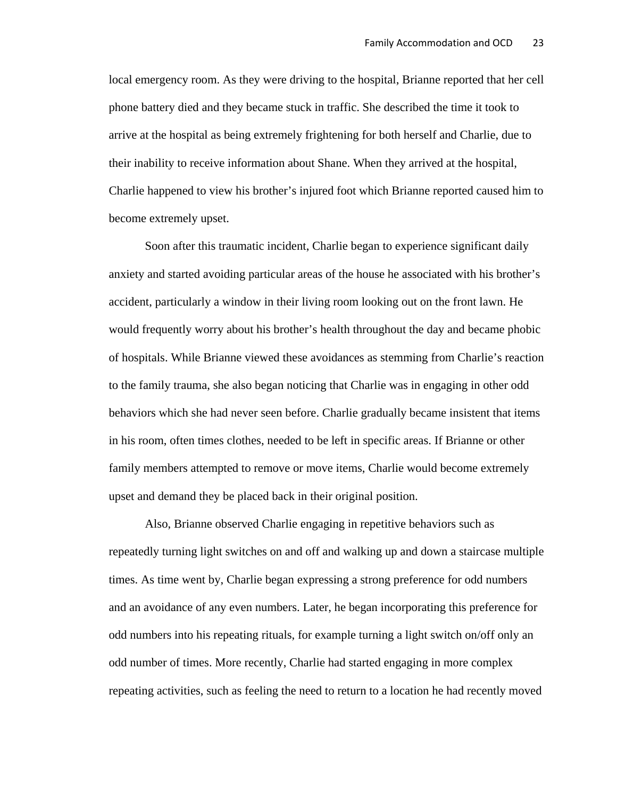local emergency room. As they were driving to the hospital, Brianne reported that her cell phone battery died and they became stuck in traffic. She described the time it took to arrive at the hospital as being extremely frightening for both herself and Charlie, due to their inability to receive information about Shane. When they arrived at the hospital, Charlie happened to view his brother's injured foot which Brianne reported caused him to become extremely upset.

 Soon after this traumatic incident, Charlie began to experience significant daily anxiety and started avoiding particular areas of the house he associated with his brother's accident, particularly a window in their living room looking out on the front lawn. He would frequently worry about his brother's health throughout the day and became phobic of hospitals. While Brianne viewed these avoidances as stemming from Charlie's reaction to the family trauma, she also began noticing that Charlie was in engaging in other odd behaviors which she had never seen before. Charlie gradually became insistent that items in his room, often times clothes, needed to be left in specific areas. If Brianne or other family members attempted to remove or move items, Charlie would become extremely upset and demand they be placed back in their original position.

 Also, Brianne observed Charlie engaging in repetitive behaviors such as repeatedly turning light switches on and off and walking up and down a staircase multiple times. As time went by, Charlie began expressing a strong preference for odd numbers and an avoidance of any even numbers. Later, he began incorporating this preference for odd numbers into his repeating rituals, for example turning a light switch on/off only an odd number of times. More recently, Charlie had started engaging in more complex repeating activities, such as feeling the need to return to a location he had recently moved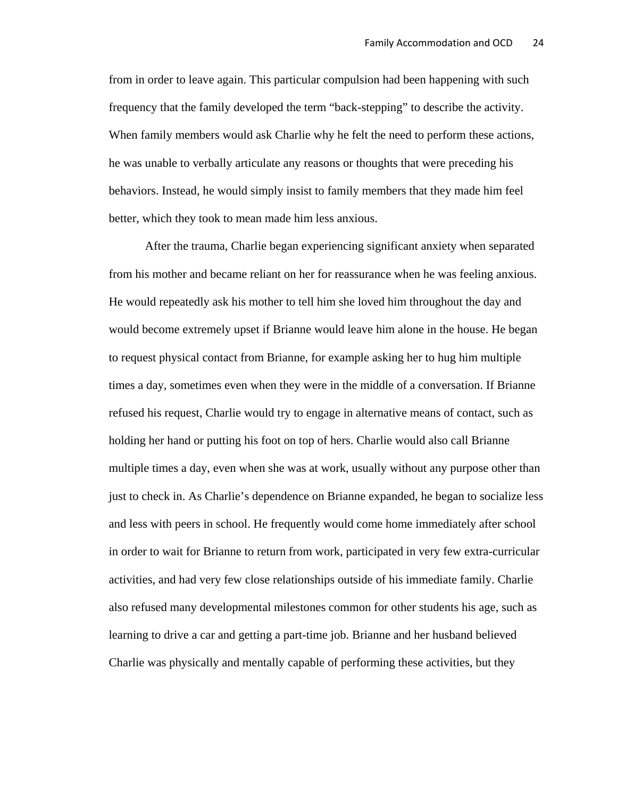from in order to leave again. This particular compulsion had been happening with such frequency that the family developed the term "back-stepping" to describe the activity. When family members would ask Charlie why he felt the need to perform these actions, he was unable to verbally articulate any reasons or thoughts that were preceding his behaviors. Instead, he would simply insist to family members that they made him feel better, which they took to mean made him less anxious.

 After the trauma, Charlie began experiencing significant anxiety when separated from his mother and became reliant on her for reassurance when he was feeling anxious. He would repeatedly ask his mother to tell him she loved him throughout the day and would become extremely upset if Brianne would leave him alone in the house. He began to request physical contact from Brianne, for example asking her to hug him multiple times a day, sometimes even when they were in the middle of a conversation. If Brianne refused his request, Charlie would try to engage in alternative means of contact, such as holding her hand or putting his foot on top of hers. Charlie would also call Brianne multiple times a day, even when she was at work, usually without any purpose other than just to check in. As Charlie's dependence on Brianne expanded, he began to socialize less and less with peers in school. He frequently would come home immediately after school in order to wait for Brianne to return from work, participated in very few extra-curricular activities, and had very few close relationships outside of his immediate family. Charlie also refused many developmental milestones common for other students his age, such as learning to drive a car and getting a part-time job. Brianne and her husband believed Charlie was physically and mentally capable of performing these activities, but they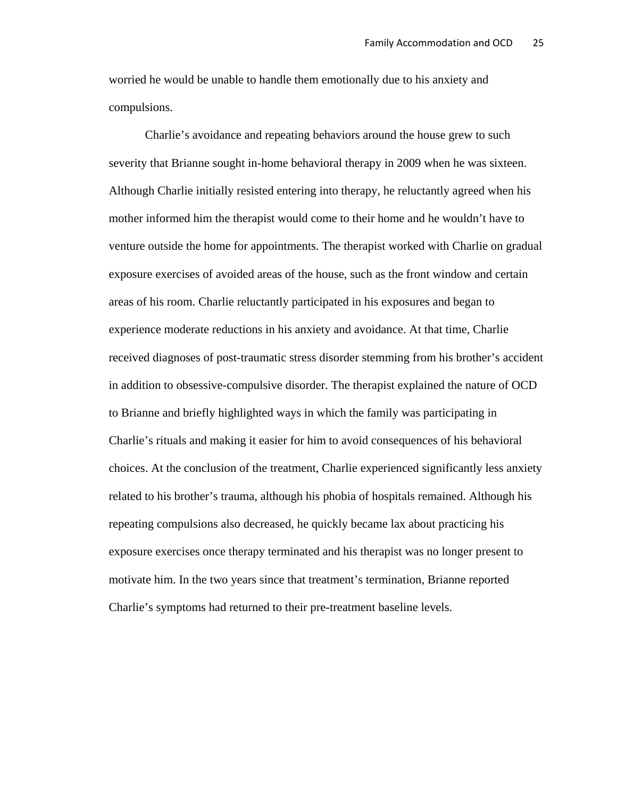worried he would be unable to handle them emotionally due to his anxiety and compulsions.

 Charlie's avoidance and repeating behaviors around the house grew to such severity that Brianne sought in-home behavioral therapy in 2009 when he was sixteen. Although Charlie initially resisted entering into therapy, he reluctantly agreed when his mother informed him the therapist would come to their home and he wouldn't have to venture outside the home for appointments. The therapist worked with Charlie on gradual exposure exercises of avoided areas of the house, such as the front window and certain areas of his room. Charlie reluctantly participated in his exposures and began to experience moderate reductions in his anxiety and avoidance. At that time, Charlie received diagnoses of post-traumatic stress disorder stemming from his brother's accident in addition to obsessive-compulsive disorder. The therapist explained the nature of OCD to Brianne and briefly highlighted ways in which the family was participating in Charlie's rituals and making it easier for him to avoid consequences of his behavioral choices. At the conclusion of the treatment, Charlie experienced significantly less anxiety related to his brother's trauma, although his phobia of hospitals remained. Although his repeating compulsions also decreased, he quickly became lax about practicing his exposure exercises once therapy terminated and his therapist was no longer present to motivate him. In the two years since that treatment's termination, Brianne reported Charlie's symptoms had returned to their pre-treatment baseline levels.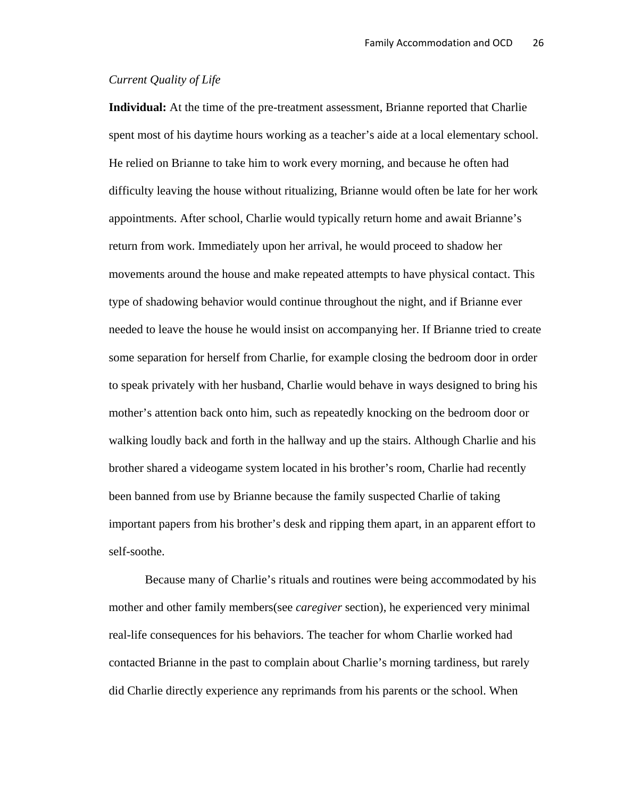## *Current Quality of Life*

**Individual:** At the time of the pre-treatment assessment, Brianne reported that Charlie spent most of his daytime hours working as a teacher's aide at a local elementary school. He relied on Brianne to take him to work every morning, and because he often had difficulty leaving the house without ritualizing, Brianne would often be late for her work appointments. After school, Charlie would typically return home and await Brianne's return from work. Immediately upon her arrival, he would proceed to shadow her movements around the house and make repeated attempts to have physical contact. This type of shadowing behavior would continue throughout the night, and if Brianne ever needed to leave the house he would insist on accompanying her. If Brianne tried to create some separation for herself from Charlie, for example closing the bedroom door in order to speak privately with her husband, Charlie would behave in ways designed to bring his mother's attention back onto him, such as repeatedly knocking on the bedroom door or walking loudly back and forth in the hallway and up the stairs. Although Charlie and his brother shared a videogame system located in his brother's room, Charlie had recently been banned from use by Brianne because the family suspected Charlie of taking important papers from his brother's desk and ripping them apart, in an apparent effort to self-soothe.

 Because many of Charlie's rituals and routines were being accommodated by his mother and other family members(see *caregiver* section), he experienced very minimal real-life consequences for his behaviors. The teacher for whom Charlie worked had contacted Brianne in the past to complain about Charlie's morning tardiness, but rarely did Charlie directly experience any reprimands from his parents or the school. When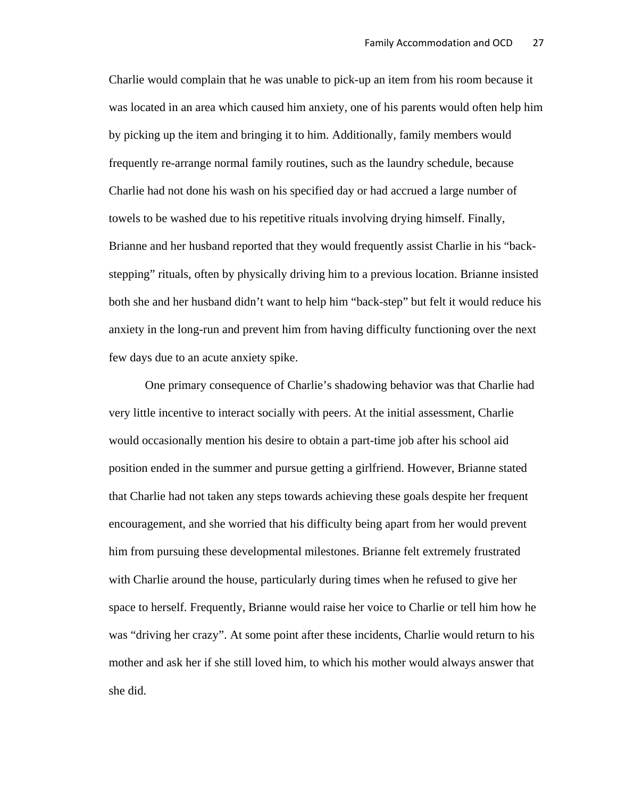Charlie would complain that he was unable to pick-up an item from his room because it was located in an area which caused him anxiety, one of his parents would often help him by picking up the item and bringing it to him. Additionally, family members would frequently re-arrange normal family routines, such as the laundry schedule, because Charlie had not done his wash on his specified day or had accrued a large number of towels to be washed due to his repetitive rituals involving drying himself. Finally, Brianne and her husband reported that they would frequently assist Charlie in his "backstepping" rituals, often by physically driving him to a previous location. Brianne insisted both she and her husband didn't want to help him "back-step" but felt it would reduce his anxiety in the long-run and prevent him from having difficulty functioning over the next few days due to an acute anxiety spike.

 One primary consequence of Charlie's shadowing behavior was that Charlie had very little incentive to interact socially with peers. At the initial assessment, Charlie would occasionally mention his desire to obtain a part-time job after his school aid position ended in the summer and pursue getting a girlfriend. However, Brianne stated that Charlie had not taken any steps towards achieving these goals despite her frequent encouragement, and she worried that his difficulty being apart from her would prevent him from pursuing these developmental milestones. Brianne felt extremely frustrated with Charlie around the house, particularly during times when he refused to give her space to herself. Frequently, Brianne would raise her voice to Charlie or tell him how he was "driving her crazy". At some point after these incidents, Charlie would return to his mother and ask her if she still loved him, to which his mother would always answer that she did.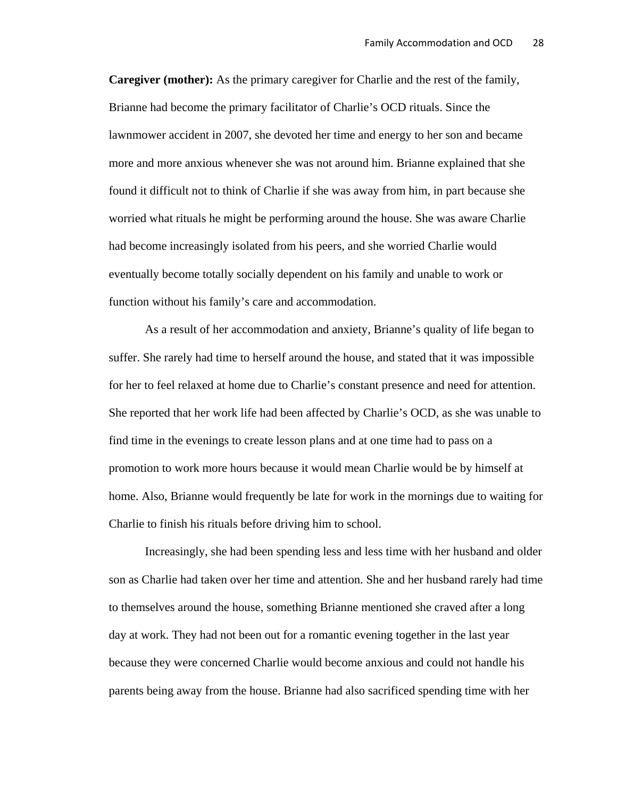**Caregiver (mother):** As the primary caregiver for Charlie and the rest of the family, Brianne had become the primary facilitator of Charlie's OCD rituals. Since the lawnmower accident in 2007, she devoted her time and energy to her son and became more and more anxious whenever she was not around him. Brianne explained that she found it difficult not to think of Charlie if she was away from him, in part because she worried what rituals he might be performing around the house. She was aware Charlie had become increasingly isolated from his peers, and she worried Charlie would eventually become totally socially dependent on his family and unable to work or function without his family's care and accommodation.

 As a result of her accommodation and anxiety, Brianne's quality of life began to suffer. She rarely had time to herself around the house, and stated that it was impossible for her to feel relaxed at home due to Charlie's constant presence and need for attention. She reported that her work life had been affected by Charlie's OCD, as she was unable to find time in the evenings to create lesson plans and at one time had to pass on a promotion to work more hours because it would mean Charlie would be by himself at home. Also, Brianne would frequently be late for work in the mornings due to waiting for Charlie to finish his rituals before driving him to school.

 Increasingly, she had been spending less and less time with her husband and older son as Charlie had taken over her time and attention. She and her husband rarely had time to themselves around the house, something Brianne mentioned she craved after a long day at work. They had not been out for a romantic evening together in the last year because they were concerned Charlie would become anxious and could not handle his parents being away from the house. Brianne had also sacrificed spending time with her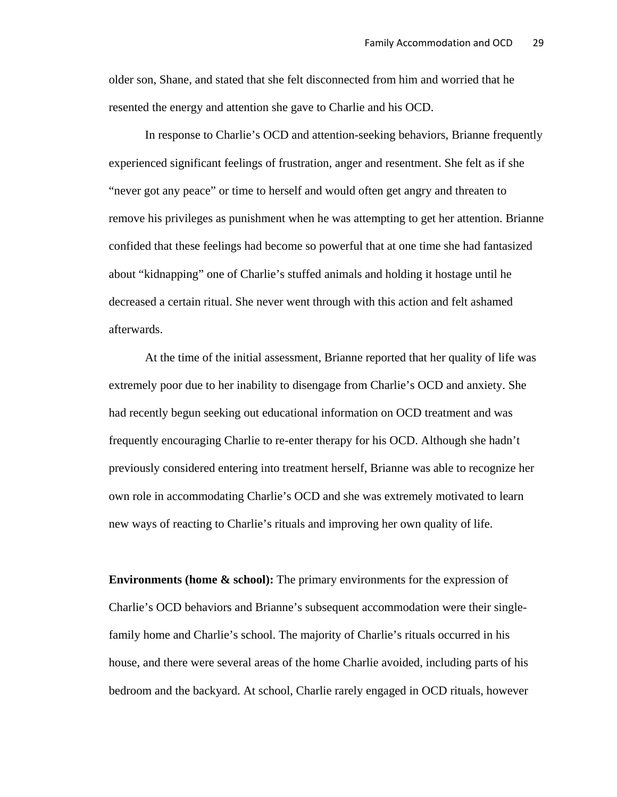older son, Shane, and stated that she felt disconnected from him and worried that he resented the energy and attention she gave to Charlie and his OCD.

 In response to Charlie's OCD and attention-seeking behaviors, Brianne frequently experienced significant feelings of frustration, anger and resentment. She felt as if she "never got any peace" or time to herself and would often get angry and threaten to remove his privileges as punishment when he was attempting to get her attention. Brianne confided that these feelings had become so powerful that at one time she had fantasized about "kidnapping" one of Charlie's stuffed animals and holding it hostage until he decreased a certain ritual. She never went through with this action and felt ashamed afterwards.

 At the time of the initial assessment, Brianne reported that her quality of life was extremely poor due to her inability to disengage from Charlie's OCD and anxiety. She had recently begun seeking out educational information on OCD treatment and was frequently encouraging Charlie to re-enter therapy for his OCD. Although she hadn't previously considered entering into treatment herself, Brianne was able to recognize her own role in accommodating Charlie's OCD and she was extremely motivated to learn new ways of reacting to Charlie's rituals and improving her own quality of life.

**Environments (home & school):** The primary environments for the expression of Charlie's OCD behaviors and Brianne's subsequent accommodation were their singlefamily home and Charlie's school. The majority of Charlie's rituals occurred in his house, and there were several areas of the home Charlie avoided, including parts of his bedroom and the backyard. At school, Charlie rarely engaged in OCD rituals, however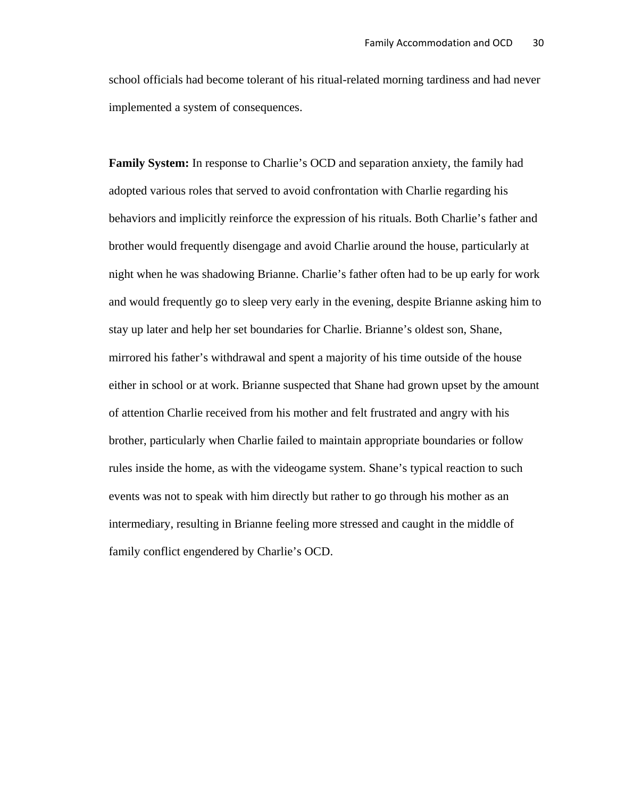school officials had become tolerant of his ritual-related morning tardiness and had never implemented a system of consequences.

**Family System:** In response to Charlie's OCD and separation anxiety, the family had adopted various roles that served to avoid confrontation with Charlie regarding his behaviors and implicitly reinforce the expression of his rituals. Both Charlie's father and brother would frequently disengage and avoid Charlie around the house, particularly at night when he was shadowing Brianne. Charlie's father often had to be up early for work and would frequently go to sleep very early in the evening, despite Brianne asking him to stay up later and help her set boundaries for Charlie. Brianne's oldest son, Shane, mirrored his father's withdrawal and spent a majority of his time outside of the house either in school or at work. Brianne suspected that Shane had grown upset by the amount of attention Charlie received from his mother and felt frustrated and angry with his brother, particularly when Charlie failed to maintain appropriate boundaries or follow rules inside the home, as with the videogame system. Shane's typical reaction to such events was not to speak with him directly but rather to go through his mother as an intermediary, resulting in Brianne feeling more stressed and caught in the middle of family conflict engendered by Charlie's OCD.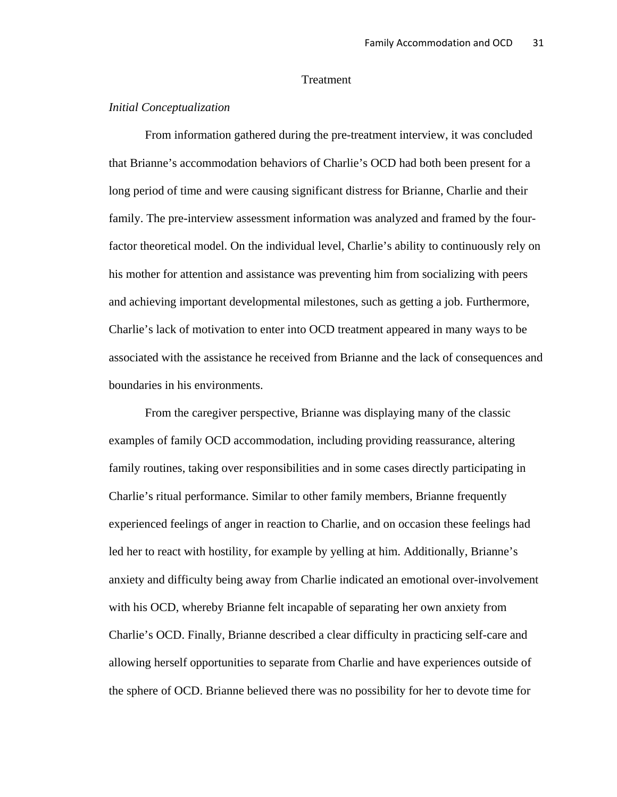## Treatment

### *Initial Conceptualization*

From information gathered during the pre-treatment interview, it was concluded that Brianne's accommodation behaviors of Charlie's OCD had both been present for a long period of time and were causing significant distress for Brianne, Charlie and their family. The pre-interview assessment information was analyzed and framed by the fourfactor theoretical model. On the individual level, Charlie's ability to continuously rely on his mother for attention and assistance was preventing him from socializing with peers and achieving important developmental milestones, such as getting a job. Furthermore, Charlie's lack of motivation to enter into OCD treatment appeared in many ways to be associated with the assistance he received from Brianne and the lack of consequences and boundaries in his environments.

From the caregiver perspective, Brianne was displaying many of the classic examples of family OCD accommodation, including providing reassurance, altering family routines, taking over responsibilities and in some cases directly participating in Charlie's ritual performance. Similar to other family members, Brianne frequently experienced feelings of anger in reaction to Charlie, and on occasion these feelings had led her to react with hostility, for example by yelling at him. Additionally, Brianne's anxiety and difficulty being away from Charlie indicated an emotional over-involvement with his OCD, whereby Brianne felt incapable of separating her own anxiety from Charlie's OCD. Finally, Brianne described a clear difficulty in practicing self-care and allowing herself opportunities to separate from Charlie and have experiences outside of the sphere of OCD. Brianne believed there was no possibility for her to devote time for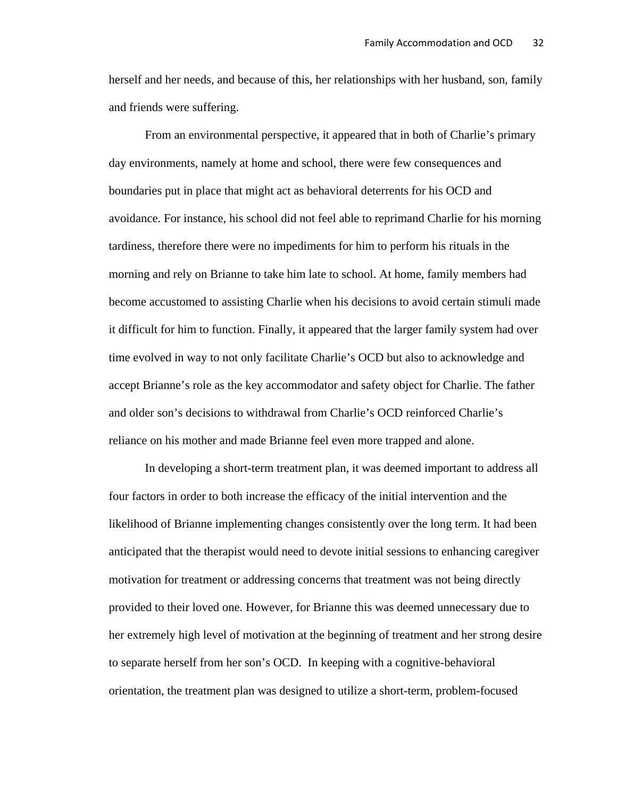herself and her needs, and because of this, her relationships with her husband, son, family and friends were suffering.

 From an environmental perspective, it appeared that in both of Charlie's primary day environments, namely at home and school, there were few consequences and boundaries put in place that might act as behavioral deterrents for his OCD and avoidance. For instance, his school did not feel able to reprimand Charlie for his morning tardiness, therefore there were no impediments for him to perform his rituals in the morning and rely on Brianne to take him late to school. At home, family members had become accustomed to assisting Charlie when his decisions to avoid certain stimuli made it difficult for him to function. Finally, it appeared that the larger family system had over time evolved in way to not only facilitate Charlie's OCD but also to acknowledge and accept Brianne's role as the key accommodator and safety object for Charlie. The father and older son's decisions to withdrawal from Charlie's OCD reinforced Charlie's reliance on his mother and made Brianne feel even more trapped and alone.

 In developing a short-term treatment plan, it was deemed important to address all four factors in order to both increase the efficacy of the initial intervention and the likelihood of Brianne implementing changes consistently over the long term. It had been anticipated that the therapist would need to devote initial sessions to enhancing caregiver motivation for treatment or addressing concerns that treatment was not being directly provided to their loved one. However, for Brianne this was deemed unnecessary due to her extremely high level of motivation at the beginning of treatment and her strong desire to separate herself from her son's OCD. In keeping with a cognitive-behavioral orientation, the treatment plan was designed to utilize a short-term, problem-focused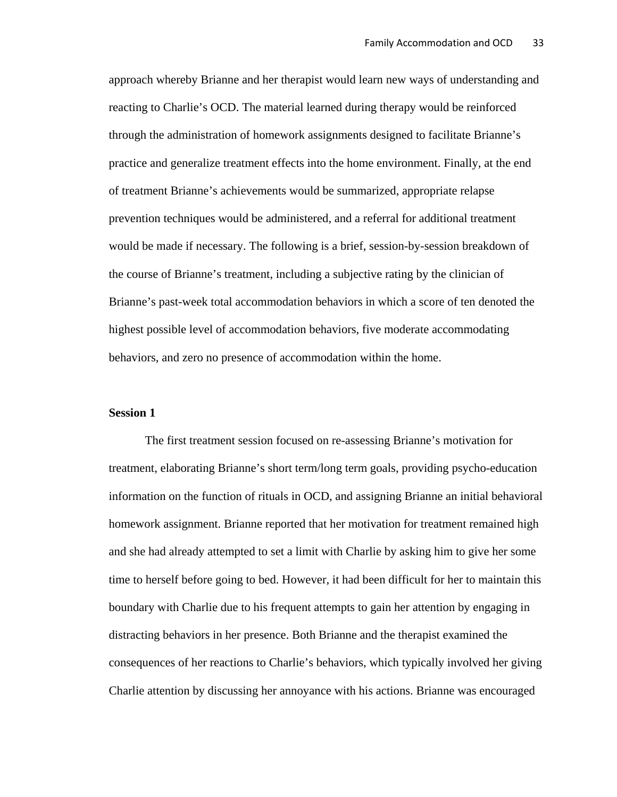approach whereby Brianne and her therapist would learn new ways of understanding and reacting to Charlie's OCD. The material learned during therapy would be reinforced through the administration of homework assignments designed to facilitate Brianne's practice and generalize treatment effects into the home environment. Finally, at the end of treatment Brianne's achievements would be summarized, appropriate relapse prevention techniques would be administered, and a referral for additional treatment would be made if necessary. The following is a brief, session-by-session breakdown of the course of Brianne's treatment, including a subjective rating by the clinician of Brianne's past-week total accommodation behaviors in which a score of ten denoted the highest possible level of accommodation behaviors, five moderate accommodating behaviors, and zero no presence of accommodation within the home.

### **Session 1**

The first treatment session focused on re-assessing Brianne's motivation for treatment, elaborating Brianne's short term/long term goals, providing psycho-education information on the function of rituals in OCD, and assigning Brianne an initial behavioral homework assignment. Brianne reported that her motivation for treatment remained high and she had already attempted to set a limit with Charlie by asking him to give her some time to herself before going to bed. However, it had been difficult for her to maintain this boundary with Charlie due to his frequent attempts to gain her attention by engaging in distracting behaviors in her presence. Both Brianne and the therapist examined the consequences of her reactions to Charlie's behaviors, which typically involved her giving Charlie attention by discussing her annoyance with his actions. Brianne was encouraged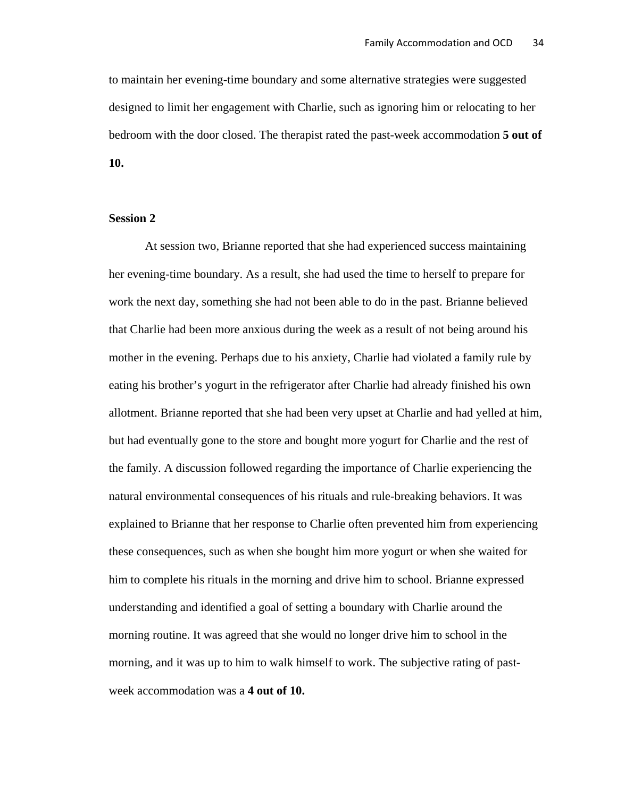to maintain her evening-time boundary and some alternative strategies were suggested designed to limit her engagement with Charlie, such as ignoring him or relocating to her bedroom with the door closed. The therapist rated the past-week accommodation **5 out of 10.** 

### **Session 2**

 At session two, Brianne reported that she had experienced success maintaining her evening-time boundary. As a result, she had used the time to herself to prepare for work the next day, something she had not been able to do in the past. Brianne believed that Charlie had been more anxious during the week as a result of not being around his mother in the evening. Perhaps due to his anxiety, Charlie had violated a family rule by eating his brother's yogurt in the refrigerator after Charlie had already finished his own allotment. Brianne reported that she had been very upset at Charlie and had yelled at him, but had eventually gone to the store and bought more yogurt for Charlie and the rest of the family. A discussion followed regarding the importance of Charlie experiencing the natural environmental consequences of his rituals and rule-breaking behaviors. It was explained to Brianne that her response to Charlie often prevented him from experiencing these consequences, such as when she bought him more yogurt or when she waited for him to complete his rituals in the morning and drive him to school. Brianne expressed understanding and identified a goal of setting a boundary with Charlie around the morning routine. It was agreed that she would no longer drive him to school in the morning, and it was up to him to walk himself to work. The subjective rating of pastweek accommodation was a **4 out of 10.**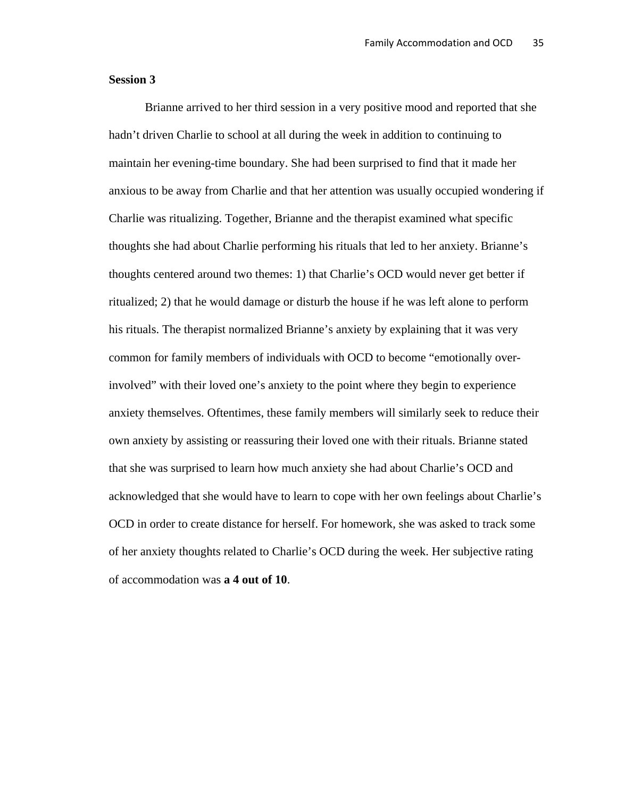### **Session 3**

 Brianne arrived to her third session in a very positive mood and reported that she hadn't driven Charlie to school at all during the week in addition to continuing to maintain her evening-time boundary. She had been surprised to find that it made her anxious to be away from Charlie and that her attention was usually occupied wondering if Charlie was ritualizing. Together, Brianne and the therapist examined what specific thoughts she had about Charlie performing his rituals that led to her anxiety. Brianne's thoughts centered around two themes: 1) that Charlie's OCD would never get better if ritualized; 2) that he would damage or disturb the house if he was left alone to perform his rituals. The therapist normalized Brianne's anxiety by explaining that it was very common for family members of individuals with OCD to become "emotionally overinvolved" with their loved one's anxiety to the point where they begin to experience anxiety themselves. Oftentimes, these family members will similarly seek to reduce their own anxiety by assisting or reassuring their loved one with their rituals. Brianne stated that she was surprised to learn how much anxiety she had about Charlie's OCD and acknowledged that she would have to learn to cope with her own feelings about Charlie's OCD in order to create distance for herself. For homework, she was asked to track some of her anxiety thoughts related to Charlie's OCD during the week. Her subjective rating of accommodation was **a 4 out of 10**.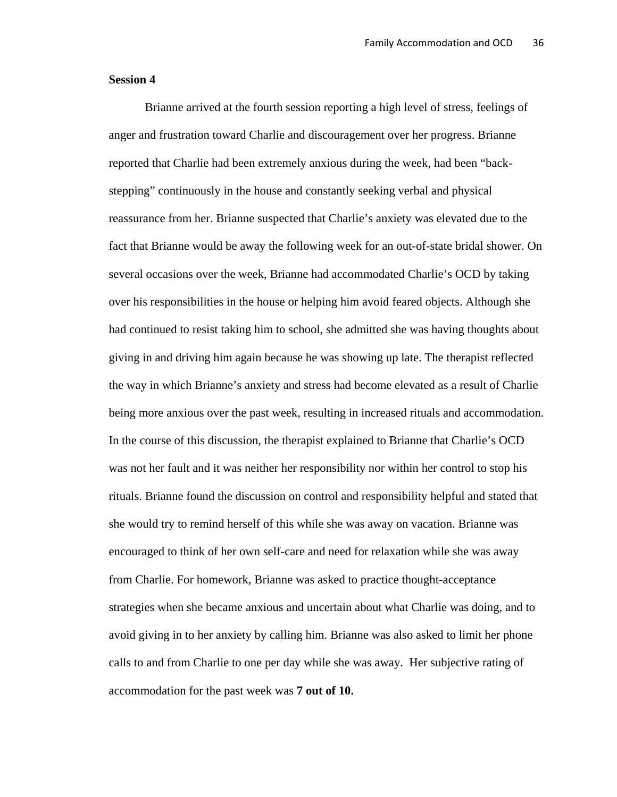### **Session 4**

 Brianne arrived at the fourth session reporting a high level of stress, feelings of anger and frustration toward Charlie and discouragement over her progress. Brianne reported that Charlie had been extremely anxious during the week, had been "backstepping" continuously in the house and constantly seeking verbal and physical reassurance from her. Brianne suspected that Charlie's anxiety was elevated due to the fact that Brianne would be away the following week for an out-of-state bridal shower. On several occasions over the week, Brianne had accommodated Charlie's OCD by taking over his responsibilities in the house or helping him avoid feared objects. Although she had continued to resist taking him to school, she admitted she was having thoughts about giving in and driving him again because he was showing up late. The therapist reflected the way in which Brianne's anxiety and stress had become elevated as a result of Charlie being more anxious over the past week, resulting in increased rituals and accommodation. In the course of this discussion, the therapist explained to Brianne that Charlie's OCD was not her fault and it was neither her responsibility nor within her control to stop his rituals. Brianne found the discussion on control and responsibility helpful and stated that she would try to remind herself of this while she was away on vacation. Brianne was encouraged to think of her own self-care and need for relaxation while she was away from Charlie. For homework, Brianne was asked to practice thought-acceptance strategies when she became anxious and uncertain about what Charlie was doing, and to avoid giving in to her anxiety by calling him. Brianne was also asked to limit her phone calls to and from Charlie to one per day while she was away. Her subjective rating of accommodation for the past week was **7 out of 10.**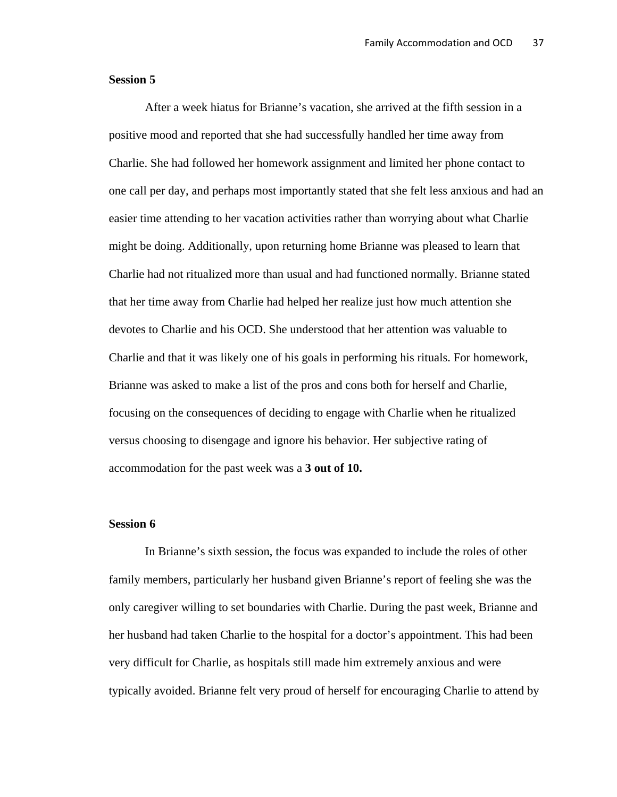#### **Session 5**

After a week hiatus for Brianne's vacation, she arrived at the fifth session in a positive mood and reported that she had successfully handled her time away from Charlie. She had followed her homework assignment and limited her phone contact to one call per day, and perhaps most importantly stated that she felt less anxious and had an easier time attending to her vacation activities rather than worrying about what Charlie might be doing. Additionally, upon returning home Brianne was pleased to learn that Charlie had not ritualized more than usual and had functioned normally. Brianne stated that her time away from Charlie had helped her realize just how much attention she devotes to Charlie and his OCD. She understood that her attention was valuable to Charlie and that it was likely one of his goals in performing his rituals. For homework, Brianne was asked to make a list of the pros and cons both for herself and Charlie, focusing on the consequences of deciding to engage with Charlie when he ritualized versus choosing to disengage and ignore his behavior. Her subjective rating of accommodation for the past week was a **3 out of 10.**

#### **Session 6**

 In Brianne's sixth session, the focus was expanded to include the roles of other family members, particularly her husband given Brianne's report of feeling she was the only caregiver willing to set boundaries with Charlie. During the past week, Brianne and her husband had taken Charlie to the hospital for a doctor's appointment. This had been very difficult for Charlie, as hospitals still made him extremely anxious and were typically avoided. Brianne felt very proud of herself for encouraging Charlie to attend by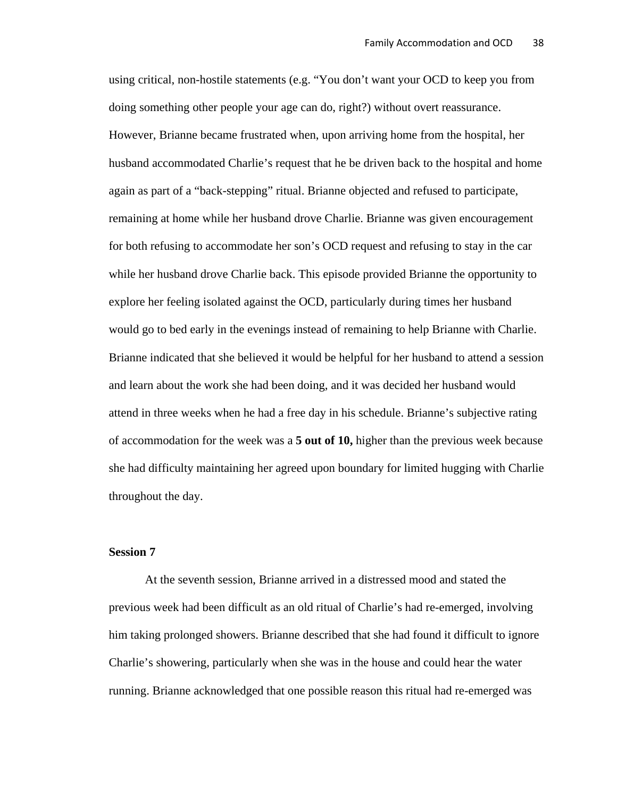using critical, non-hostile statements (e.g. "You don't want your OCD to keep you from doing something other people your age can do, right?) without overt reassurance. However, Brianne became frustrated when, upon arriving home from the hospital, her husband accommodated Charlie's request that he be driven back to the hospital and home again as part of a "back-stepping" ritual. Brianne objected and refused to participate, remaining at home while her husband drove Charlie. Brianne was given encouragement for both refusing to accommodate her son's OCD request and refusing to stay in the car while her husband drove Charlie back. This episode provided Brianne the opportunity to explore her feeling isolated against the OCD, particularly during times her husband would go to bed early in the evenings instead of remaining to help Brianne with Charlie. Brianne indicated that she believed it would be helpful for her husband to attend a session and learn about the work she had been doing, and it was decided her husband would attend in three weeks when he had a free day in his schedule. Brianne's subjective rating of accommodation for the week was a **5 out of 10,** higher than the previous week because she had difficulty maintaining her agreed upon boundary for limited hugging with Charlie throughout the day.

#### **Session 7**

At the seventh session, Brianne arrived in a distressed mood and stated the previous week had been difficult as an old ritual of Charlie's had re-emerged, involving him taking prolonged showers. Brianne described that she had found it difficult to ignore Charlie's showering, particularly when she was in the house and could hear the water running. Brianne acknowledged that one possible reason this ritual had re-emerged was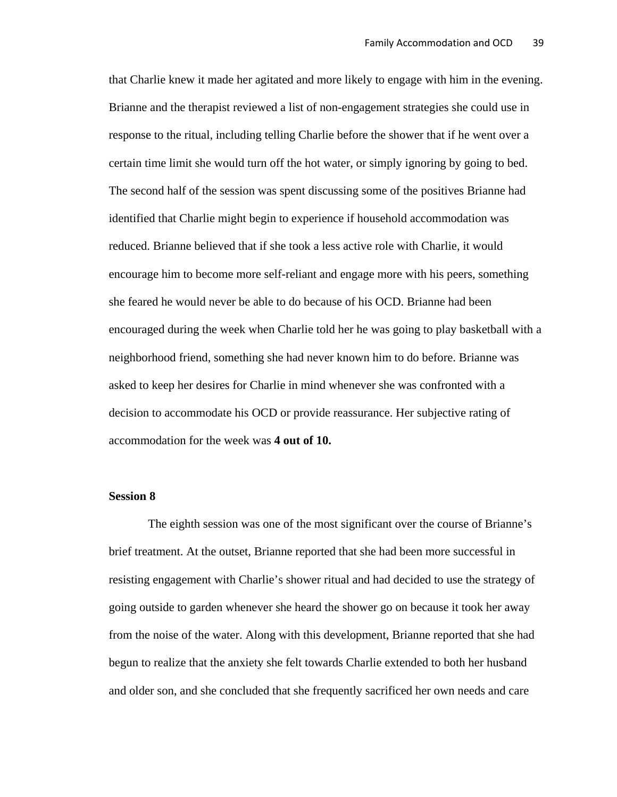that Charlie knew it made her agitated and more likely to engage with him in the evening. Brianne and the therapist reviewed a list of non-engagement strategies she could use in response to the ritual, including telling Charlie before the shower that if he went over a certain time limit she would turn off the hot water, or simply ignoring by going to bed. The second half of the session was spent discussing some of the positives Brianne had identified that Charlie might begin to experience if household accommodation was reduced. Brianne believed that if she took a less active role with Charlie, it would encourage him to become more self-reliant and engage more with his peers, something she feared he would never be able to do because of his OCD. Brianne had been encouraged during the week when Charlie told her he was going to play basketball with a neighborhood friend, something she had never known him to do before. Brianne was asked to keep her desires for Charlie in mind whenever she was confronted with a decision to accommodate his OCD or provide reassurance. Her subjective rating of accommodation for the week was **4 out of 10.** 

#### **Session 8**

 The eighth session was one of the most significant over the course of Brianne's brief treatment. At the outset, Brianne reported that she had been more successful in resisting engagement with Charlie's shower ritual and had decided to use the strategy of going outside to garden whenever she heard the shower go on because it took her away from the noise of the water. Along with this development, Brianne reported that she had begun to realize that the anxiety she felt towards Charlie extended to both her husband and older son, and she concluded that she frequently sacrificed her own needs and care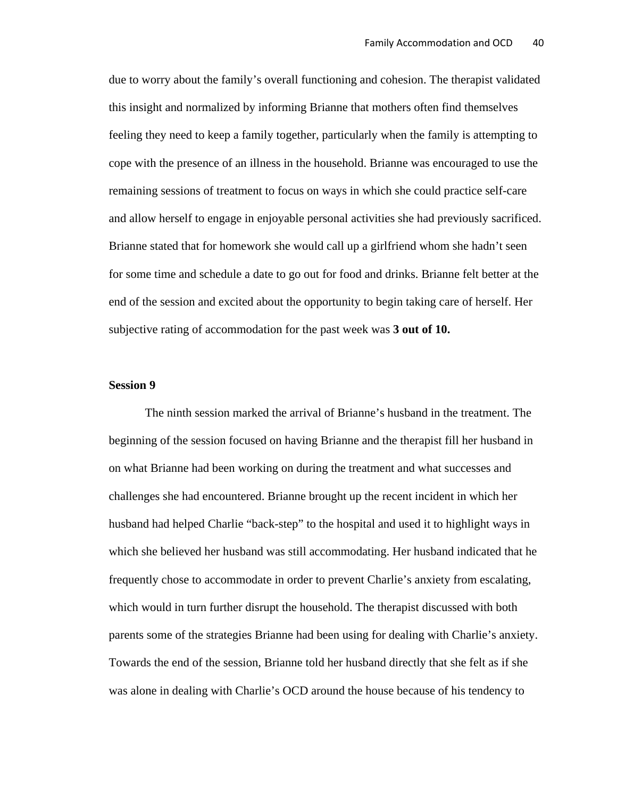due to worry about the family's overall functioning and cohesion. The therapist validated this insight and normalized by informing Brianne that mothers often find themselves feeling they need to keep a family together, particularly when the family is attempting to cope with the presence of an illness in the household. Brianne was encouraged to use the remaining sessions of treatment to focus on ways in which she could practice self-care and allow herself to engage in enjoyable personal activities she had previously sacrificed. Brianne stated that for homework she would call up a girlfriend whom she hadn't seen for some time and schedule a date to go out for food and drinks. Brianne felt better at the end of the session and excited about the opportunity to begin taking care of herself. Her subjective rating of accommodation for the past week was **3 out of 10.**

#### **Session 9**

The ninth session marked the arrival of Brianne's husband in the treatment. The beginning of the session focused on having Brianne and the therapist fill her husband in on what Brianne had been working on during the treatment and what successes and challenges she had encountered. Brianne brought up the recent incident in which her husband had helped Charlie "back-step" to the hospital and used it to highlight ways in which she believed her husband was still accommodating. Her husband indicated that he frequently chose to accommodate in order to prevent Charlie's anxiety from escalating, which would in turn further disrupt the household. The therapist discussed with both parents some of the strategies Brianne had been using for dealing with Charlie's anxiety. Towards the end of the session, Brianne told her husband directly that she felt as if she was alone in dealing with Charlie's OCD around the house because of his tendency to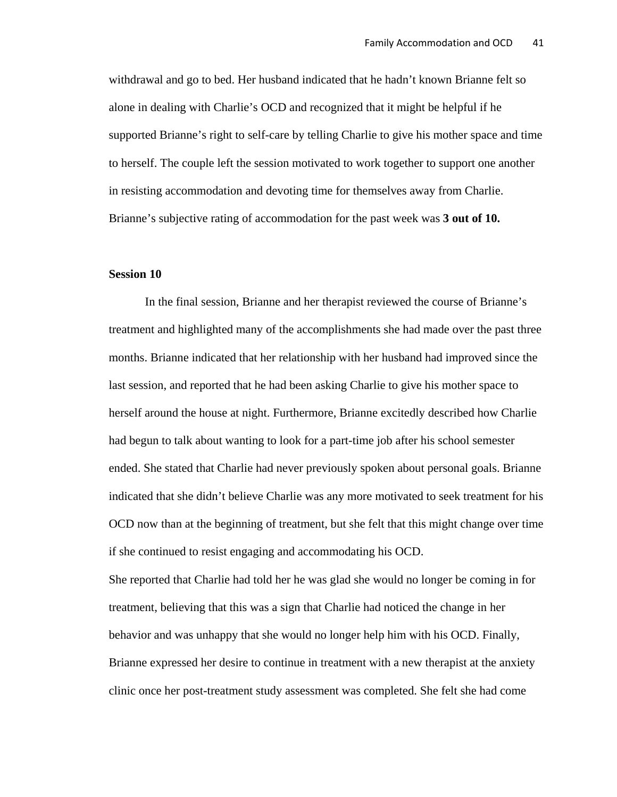withdrawal and go to bed. Her husband indicated that he hadn't known Brianne felt so alone in dealing with Charlie's OCD and recognized that it might be helpful if he supported Brianne's right to self-care by telling Charlie to give his mother space and time to herself. The couple left the session motivated to work together to support one another in resisting accommodation and devoting time for themselves away from Charlie. Brianne's subjective rating of accommodation for the past week was **3 out of 10.** 

### **Session 10**

In the final session, Brianne and her therapist reviewed the course of Brianne's treatment and highlighted many of the accomplishments she had made over the past three months. Brianne indicated that her relationship with her husband had improved since the last session, and reported that he had been asking Charlie to give his mother space to herself around the house at night. Furthermore, Brianne excitedly described how Charlie had begun to talk about wanting to look for a part-time job after his school semester ended. She stated that Charlie had never previously spoken about personal goals. Brianne indicated that she didn't believe Charlie was any more motivated to seek treatment for his OCD now than at the beginning of treatment, but she felt that this might change over time if she continued to resist engaging and accommodating his OCD.

She reported that Charlie had told her he was glad she would no longer be coming in for treatment, believing that this was a sign that Charlie had noticed the change in her behavior and was unhappy that she would no longer help him with his OCD. Finally, Brianne expressed her desire to continue in treatment with a new therapist at the anxiety clinic once her post-treatment study assessment was completed. She felt she had come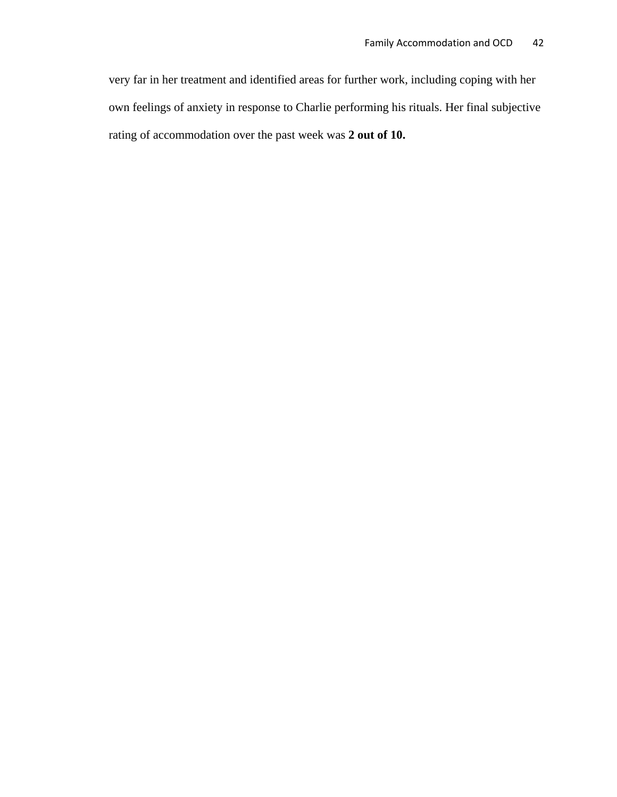very far in her treatment and identified areas for further work, including coping with her own feelings of anxiety in response to Charlie performing his rituals. Her final subjective rating of accommodation over the past week was **2 out of 10.**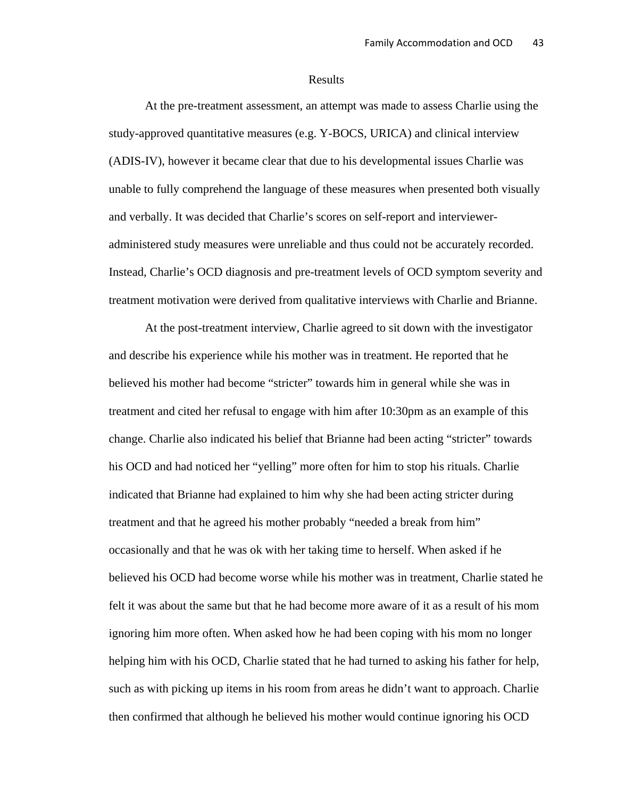#### Results

At the pre-treatment assessment, an attempt was made to assess Charlie using the study-approved quantitative measures (e.g. Y-BOCS, URICA) and clinical interview (ADIS-IV), however it became clear that due to his developmental issues Charlie was unable to fully comprehend the language of these measures when presented both visually and verbally. It was decided that Charlie's scores on self-report and intervieweradministered study measures were unreliable and thus could not be accurately recorded. Instead, Charlie's OCD diagnosis and pre-treatment levels of OCD symptom severity and treatment motivation were derived from qualitative interviews with Charlie and Brianne.

At the post-treatment interview, Charlie agreed to sit down with the investigator and describe his experience while his mother was in treatment. He reported that he believed his mother had become "stricter" towards him in general while she was in treatment and cited her refusal to engage with him after 10:30pm as an example of this change. Charlie also indicated his belief that Brianne had been acting "stricter" towards his OCD and had noticed her "yelling" more often for him to stop his rituals. Charlie indicated that Brianne had explained to him why she had been acting stricter during treatment and that he agreed his mother probably "needed a break from him" occasionally and that he was ok with her taking time to herself. When asked if he believed his OCD had become worse while his mother was in treatment, Charlie stated he felt it was about the same but that he had become more aware of it as a result of his mom ignoring him more often. When asked how he had been coping with his mom no longer helping him with his OCD, Charlie stated that he had turned to asking his father for help, such as with picking up items in his room from areas he didn't want to approach. Charlie then confirmed that although he believed his mother would continue ignoring his OCD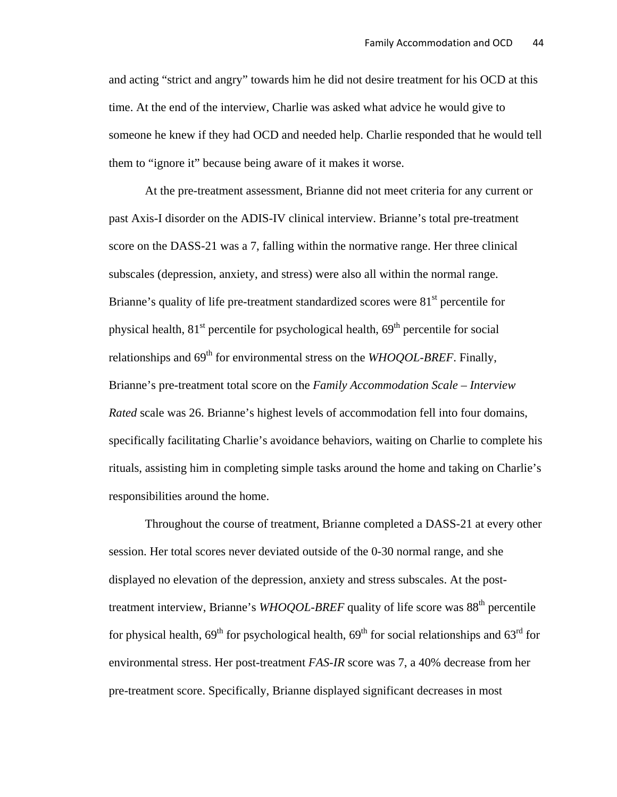and acting "strict and angry" towards him he did not desire treatment for his OCD at this time. At the end of the interview, Charlie was asked what advice he would give to someone he knew if they had OCD and needed help. Charlie responded that he would tell them to "ignore it" because being aware of it makes it worse.

At the pre-treatment assessment, Brianne did not meet criteria for any current or past Axis-I disorder on the ADIS-IV clinical interview. Brianne's total pre-treatment score on the DASS-21 was a 7, falling within the normative range. Her three clinical subscales (depression, anxiety, and stress) were also all within the normal range. Brianne's quality of life pre-treatment standardized scores were  $81<sup>st</sup>$  percentile for physical health,  $81<sup>st</sup>$  percentile for psychological health,  $69<sup>th</sup>$  percentile for social relationships and  $69<sup>th</sup>$  for environmental stress on the *WHOQOL-BREF*. Finally, Brianne's pre-treatment total score on the *Family Accommodation Scale – Interview Rated* scale was 26. Brianne's highest levels of accommodation fell into four domains, specifically facilitating Charlie's avoidance behaviors, waiting on Charlie to complete his rituals, assisting him in completing simple tasks around the home and taking on Charlie's responsibilities around the home.

Throughout the course of treatment, Brianne completed a DASS-21 at every other session. Her total scores never deviated outside of the 0-30 normal range, and she displayed no elevation of the depression, anxiety and stress subscales. At the posttreatment interview, Brianne's *WHOQOL-BREF* quality of life score was 88<sup>th</sup> percentile for physical health,  $69<sup>th</sup>$  for psychological health,  $69<sup>th</sup>$  for social relationships and  $63<sup>rd</sup>$  for environmental stress. Her post-treatment *FAS-IR* score was 7, a 40% decrease from her pre-treatment score. Specifically, Brianne displayed significant decreases in most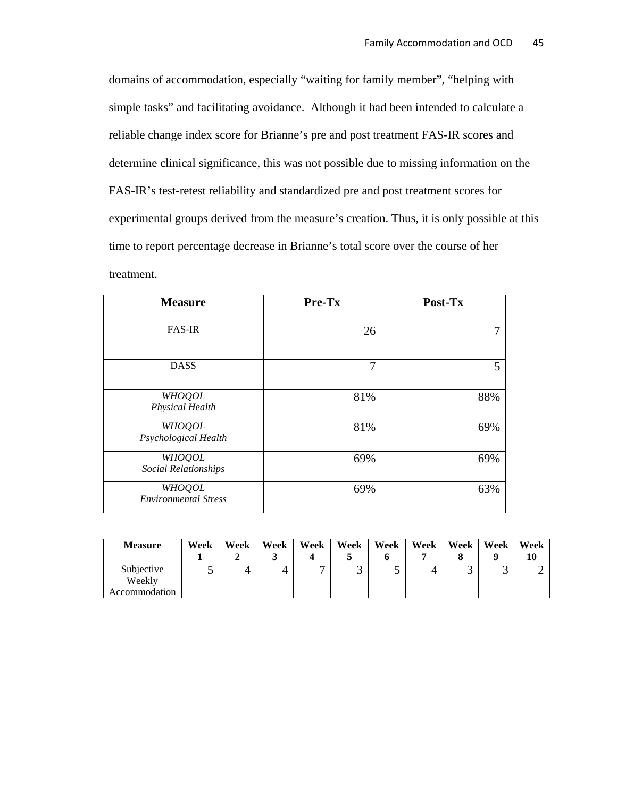domains of accommodation, especially "waiting for family member", "helping with simple tasks" and facilitating avoidance. Although it had been intended to calculate a reliable change index score for Brianne's pre and post treatment FAS-IR scores and determine clinical significance, this was not possible due to missing information on the FAS-IR's test-retest reliability and standardized pre and post treatment scores for experimental groups derived from the measure's creation. Thus, it is only possible at this time to report percentage decrease in Brianne's total score over the course of her treatment.

| <b>Measure</b>                               | Pre-Tx | Post-Tx |  |  |
|----------------------------------------------|--------|---------|--|--|
| <b>FAS-IR</b>                                | 26     |         |  |  |
| <b>DASS</b>                                  | 7      | 5       |  |  |
| <b>WHOQOL</b><br><b>Physical Health</b>      | 81%    | 88%     |  |  |
| <b>WHOQOL</b><br>Psychological Health        | 81%    | 69%     |  |  |
| <b>WHOQOL</b><br><b>Social Relationships</b> | 69%    | 69%     |  |  |
| <b>WHOQOL</b><br><b>Environmental Stress</b> | 69%    | 63%     |  |  |

| <b>Measure</b>                        | Week | Week | Week | Week           | Week | Week | Week | Week | Week | Week<br>10 |
|---------------------------------------|------|------|------|----------------|------|------|------|------|------|------------|
| Subjective<br>Weekly<br>Accommodation |      | 4    | 4    | $\overline{ }$ |      | ັ    | 4    |      | ັ    |            |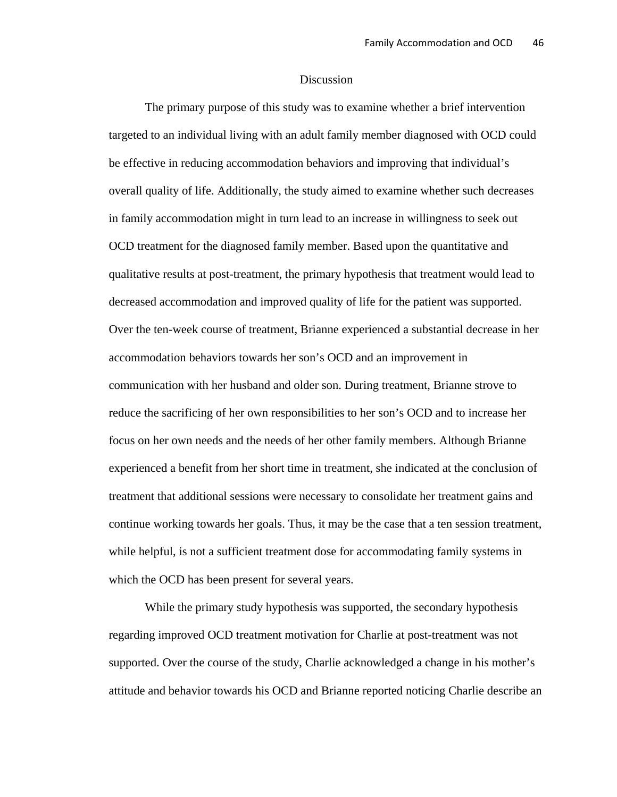#### **Discussion**

The primary purpose of this study was to examine whether a brief intervention targeted to an individual living with an adult family member diagnosed with OCD could be effective in reducing accommodation behaviors and improving that individual's overall quality of life. Additionally, the study aimed to examine whether such decreases in family accommodation might in turn lead to an increase in willingness to seek out OCD treatment for the diagnosed family member. Based upon the quantitative and qualitative results at post-treatment, the primary hypothesis that treatment would lead to decreased accommodation and improved quality of life for the patient was supported. Over the ten-week course of treatment, Brianne experienced a substantial decrease in her accommodation behaviors towards her son's OCD and an improvement in communication with her husband and older son. During treatment, Brianne strove to reduce the sacrificing of her own responsibilities to her son's OCD and to increase her focus on her own needs and the needs of her other family members. Although Brianne experienced a benefit from her short time in treatment, she indicated at the conclusion of treatment that additional sessions were necessary to consolidate her treatment gains and continue working towards her goals. Thus, it may be the case that a ten session treatment, while helpful, is not a sufficient treatment dose for accommodating family systems in which the OCD has been present for several years.

While the primary study hypothesis was supported, the secondary hypothesis regarding improved OCD treatment motivation for Charlie at post-treatment was not supported. Over the course of the study, Charlie acknowledged a change in his mother's attitude and behavior towards his OCD and Brianne reported noticing Charlie describe an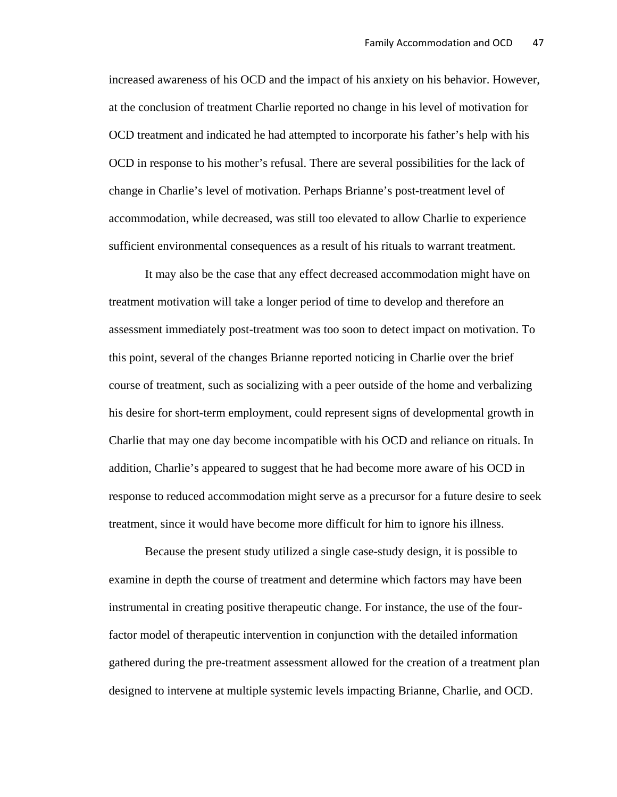increased awareness of his OCD and the impact of his anxiety on his behavior. However, at the conclusion of treatment Charlie reported no change in his level of motivation for OCD treatment and indicated he had attempted to incorporate his father's help with his OCD in response to his mother's refusal. There are several possibilities for the lack of change in Charlie's level of motivation. Perhaps Brianne's post-treatment level of accommodation, while decreased, was still too elevated to allow Charlie to experience sufficient environmental consequences as a result of his rituals to warrant treatment.

It may also be the case that any effect decreased accommodation might have on treatment motivation will take a longer period of time to develop and therefore an assessment immediately post-treatment was too soon to detect impact on motivation. To this point, several of the changes Brianne reported noticing in Charlie over the brief course of treatment, such as socializing with a peer outside of the home and verbalizing his desire for short-term employment, could represent signs of developmental growth in Charlie that may one day become incompatible with his OCD and reliance on rituals. In addition, Charlie's appeared to suggest that he had become more aware of his OCD in response to reduced accommodation might serve as a precursor for a future desire to seek treatment, since it would have become more difficult for him to ignore his illness.

Because the present study utilized a single case-study design, it is possible to examine in depth the course of treatment and determine which factors may have been instrumental in creating positive therapeutic change. For instance, the use of the fourfactor model of therapeutic intervention in conjunction with the detailed information gathered during the pre-treatment assessment allowed for the creation of a treatment plan designed to intervene at multiple systemic levels impacting Brianne, Charlie, and OCD.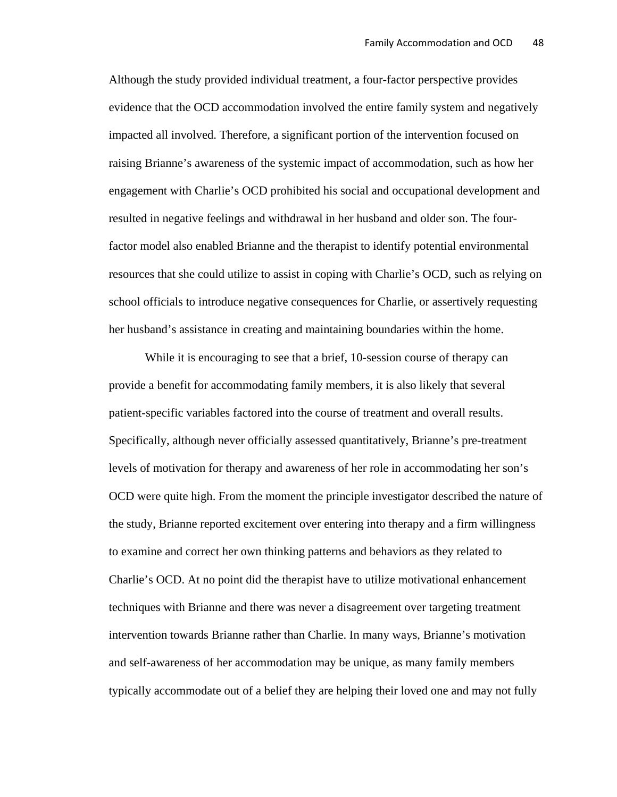Although the study provided individual treatment, a four-factor perspective provides evidence that the OCD accommodation involved the entire family system and negatively impacted all involved. Therefore, a significant portion of the intervention focused on raising Brianne's awareness of the systemic impact of accommodation, such as how her engagement with Charlie's OCD prohibited his social and occupational development and resulted in negative feelings and withdrawal in her husband and older son. The fourfactor model also enabled Brianne and the therapist to identify potential environmental resources that she could utilize to assist in coping with Charlie's OCD, such as relying on school officials to introduce negative consequences for Charlie, or assertively requesting her husband's assistance in creating and maintaining boundaries within the home.

While it is encouraging to see that a brief, 10-session course of therapy can provide a benefit for accommodating family members, it is also likely that several patient-specific variables factored into the course of treatment and overall results. Specifically, although never officially assessed quantitatively, Brianne's pre-treatment levels of motivation for therapy and awareness of her role in accommodating her son's OCD were quite high. From the moment the principle investigator described the nature of the study, Brianne reported excitement over entering into therapy and a firm willingness to examine and correct her own thinking patterns and behaviors as they related to Charlie's OCD. At no point did the therapist have to utilize motivational enhancement techniques with Brianne and there was never a disagreement over targeting treatment intervention towards Brianne rather than Charlie. In many ways, Brianne's motivation and self-awareness of her accommodation may be unique, as many family members typically accommodate out of a belief they are helping their loved one and may not fully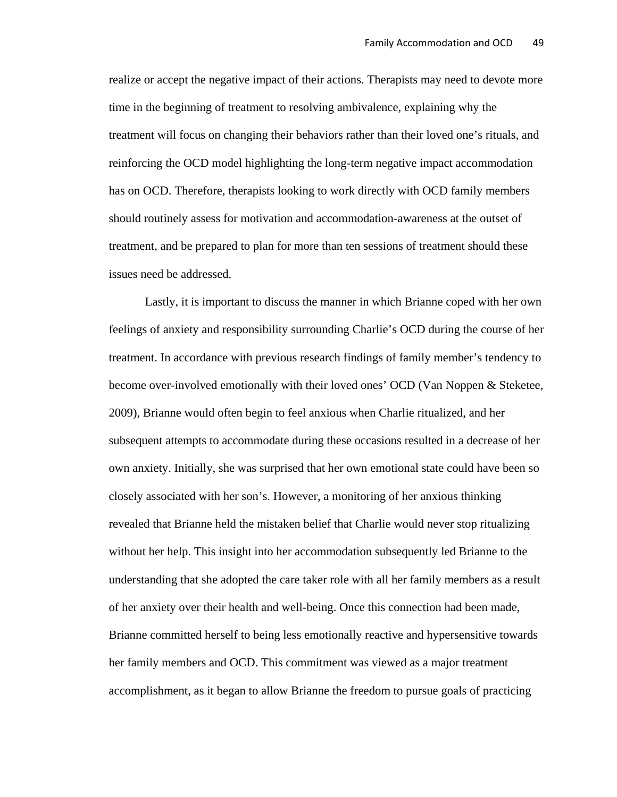realize or accept the negative impact of their actions. Therapists may need to devote more time in the beginning of treatment to resolving ambivalence, explaining why the treatment will focus on changing their behaviors rather than their loved one's rituals, and reinforcing the OCD model highlighting the long-term negative impact accommodation has on OCD. Therefore, therapists looking to work directly with OCD family members should routinely assess for motivation and accommodation-awareness at the outset of treatment, and be prepared to plan for more than ten sessions of treatment should these issues need be addressed.

Lastly, it is important to discuss the manner in which Brianne coped with her own feelings of anxiety and responsibility surrounding Charlie's OCD during the course of her treatment. In accordance with previous research findings of family member's tendency to become over-involved emotionally with their loved ones' OCD (Van Noppen & Steketee, 2009), Brianne would often begin to feel anxious when Charlie ritualized, and her subsequent attempts to accommodate during these occasions resulted in a decrease of her own anxiety. Initially, she was surprised that her own emotional state could have been so closely associated with her son's. However, a monitoring of her anxious thinking revealed that Brianne held the mistaken belief that Charlie would never stop ritualizing without her help. This insight into her accommodation subsequently led Brianne to the understanding that she adopted the care taker role with all her family members as a result of her anxiety over their health and well-being. Once this connection had been made, Brianne committed herself to being less emotionally reactive and hypersensitive towards her family members and OCD. This commitment was viewed as a major treatment accomplishment, as it began to allow Brianne the freedom to pursue goals of practicing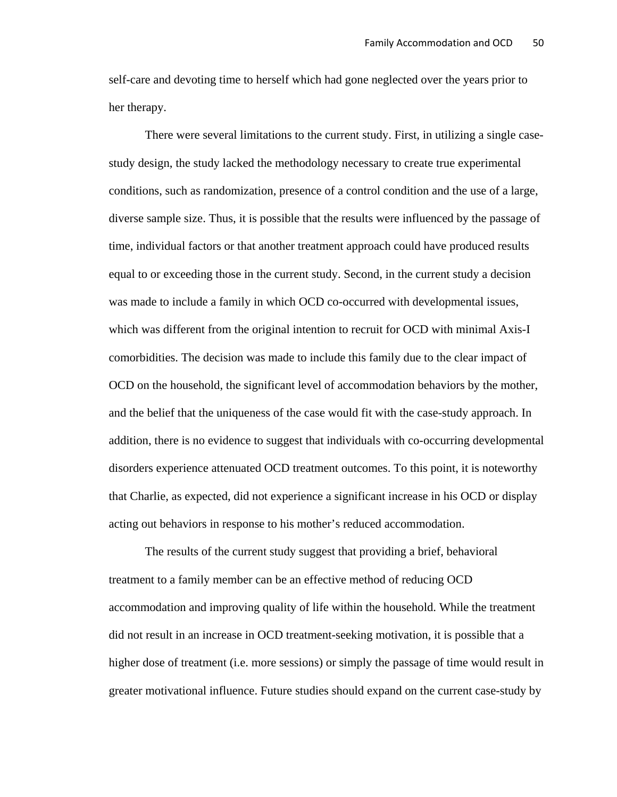self-care and devoting time to herself which had gone neglected over the years prior to her therapy.

There were several limitations to the current study. First, in utilizing a single casestudy design, the study lacked the methodology necessary to create true experimental conditions, such as randomization, presence of a control condition and the use of a large, diverse sample size. Thus, it is possible that the results were influenced by the passage of time, individual factors or that another treatment approach could have produced results equal to or exceeding those in the current study. Second, in the current study a decision was made to include a family in which OCD co-occurred with developmental issues, which was different from the original intention to recruit for OCD with minimal Axis-I comorbidities. The decision was made to include this family due to the clear impact of OCD on the household, the significant level of accommodation behaviors by the mother, and the belief that the uniqueness of the case would fit with the case-study approach. In addition, there is no evidence to suggest that individuals with co-occurring developmental disorders experience attenuated OCD treatment outcomes. To this point, it is noteworthy that Charlie, as expected, did not experience a significant increase in his OCD or display acting out behaviors in response to his mother's reduced accommodation.

The results of the current study suggest that providing a brief, behavioral treatment to a family member can be an effective method of reducing OCD accommodation and improving quality of life within the household. While the treatment did not result in an increase in OCD treatment-seeking motivation, it is possible that a higher dose of treatment (i.e. more sessions) or simply the passage of time would result in greater motivational influence. Future studies should expand on the current case-study by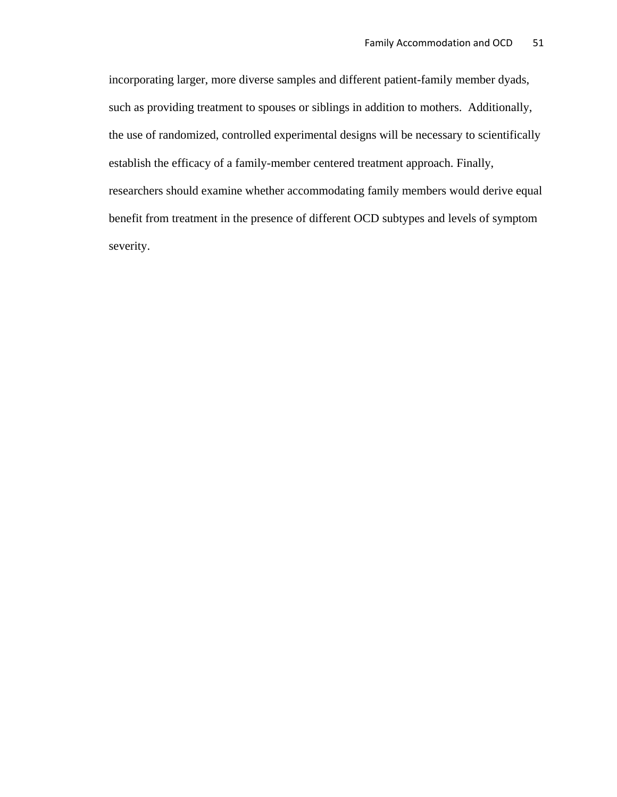incorporating larger, more diverse samples and different patient-family member dyads, such as providing treatment to spouses or siblings in addition to mothers. Additionally, the use of randomized, controlled experimental designs will be necessary to scientifically establish the efficacy of a family-member centered treatment approach. Finally, researchers should examine whether accommodating family members would derive equal benefit from treatment in the presence of different OCD subtypes and levels of symptom severity.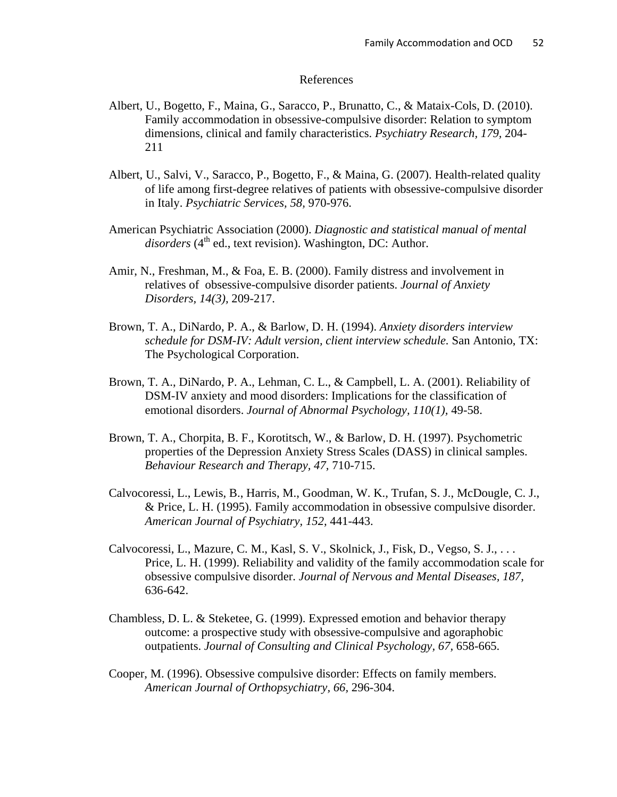#### References

- Albert, U., Bogetto, F., Maina, G., Saracco, P., Brunatto, C., & Mataix-Cols, D. (2010). Family accommodation in obsessive-compulsive disorder: Relation to symptom dimensions, clinical and family characteristics. *Psychiatry Research, 179,* 204- 211
- Albert, U., Salvi, V., Saracco, P., Bogetto, F., & Maina, G. (2007). Health-related quality of life among first-degree relatives of patients with obsessive-compulsive disorder in Italy. *Psychiatric Services, 58,* 970-976.
- American Psychiatric Association (2000). *Diagnostic and statistical manual of mental*  disorders (4<sup>th</sup> ed., text revision). Washington, DC: Author.
- Amir, N., Freshman, M., & Foa, E. B. (2000). Family distress and involvement in relatives of obsessive-compulsive disorder patients. *Journal of Anxiety Disorders, 14(3),* 209-217.
- Brown, T. A., DiNardo, P. A., & Barlow, D. H. (1994). *Anxiety disorders interview schedule for DSM-IV: Adult version, client interview schedule.* San Antonio, TX: The Psychological Corporation.
- Brown, T. A., DiNardo, P. A., Lehman, C. L., & Campbell, L. A. (2001). Reliability of DSM-IV anxiety and mood disorders: Implications for the classification of emotional disorders. *Journal of Abnormal Psychology, 110(1),* 49-58.
- Brown, T. A., Chorpita, B. F., Korotitsch, W., & Barlow, D. H. (1997). Psychometric properties of the Depression Anxiety Stress Scales (DASS) in clinical samples. *Behaviour Research and Therapy, 47,* 710-715.
- Calvocoressi, L., Lewis, B., Harris, M., Goodman, W. K., Trufan, S. J., McDougle, C. J., & Price, L. H. (1995). Family accommodation in obsessive compulsive disorder. *American Journal of Psychiatry, 152,* 441-443.
- Calvocoressi, L., Mazure, C. M., Kasl, S. V., Skolnick, J., Fisk, D., Vegso, S. J., . . . Price, L. H. (1999). Reliability and validity of the family accommodation scale for obsessive compulsive disorder. *Journal of Nervous and Mental Diseases, 187,*  636-642.
- Chambless, D. L. & Steketee, G. (1999). Expressed emotion and behavior therapy outcome: a prospective study with obsessive-compulsive and agoraphobic outpatients. *Journal of Consulting and Clinical Psychology, 67,* 658-665.
- Cooper, M. (1996). Obsessive compulsive disorder: Effects on family members. *American Journal of Orthopsychiatry, 66,* 296-304.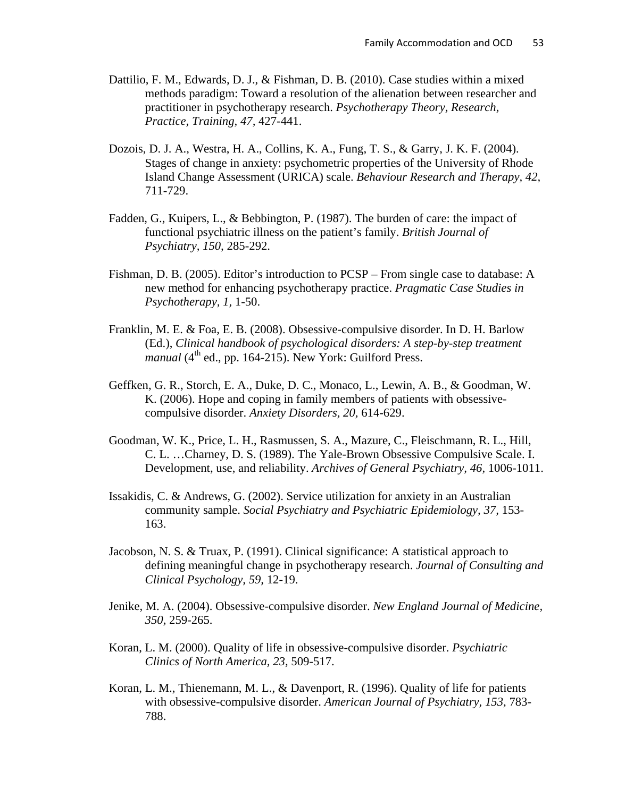- Dattilio, F. M., Edwards, D. J., & Fishman, D. B. (2010). Case studies within a mixed methods paradigm: Toward a resolution of the alienation between researcher and practitioner in psychotherapy research. *Psychotherapy Theory, Research, Practice, Training, 47,* 427-441.
- Dozois, D. J. A., Westra, H. A., Collins, K. A., Fung, T. S., & Garry, J. K. F. (2004). Stages of change in anxiety: psychometric properties of the University of Rhode Island Change Assessment (URICA) scale. *Behaviour Research and Therapy, 42,*  711-729.
- Fadden, G., Kuipers, L., & Bebbington, P. (1987). The burden of care: the impact of functional psychiatric illness on the patient's family. *British Journal of Psychiatry, 150,* 285-292.
- Fishman, D. B. (2005). Editor's introduction to PCSP From single case to database: A new method for enhancing psychotherapy practice. *Pragmatic Case Studies in Psychotherapy, 1,* 1-50.
- Franklin, M. E. & Foa, E. B. (2008). Obsessive-compulsive disorder. In D. H. Barlow (Ed.), *Clinical handbook of psychological disorders: A step-by-step treatment manual* ( $4<sup>th</sup>$  ed., pp. 164-215). New York: Guilford Press.
- Geffken, G. R., Storch, E. A., Duke, D. C., Monaco, L., Lewin, A. B., & Goodman, W. K. (2006). Hope and coping in family members of patients with obsessivecompulsive disorder. *Anxiety Disorders, 20,* 614-629.
- Goodman, W. K., Price, L. H., Rasmussen, S. A., Mazure, C., Fleischmann, R. L., Hill, C. L. …Charney, D. S. (1989). The Yale-Brown Obsessive Compulsive Scale. I. Development, use, and reliability. *Archives of General Psychiatry, 46,* 1006-1011.
- Issakidis, C. & Andrews, G. (2002). Service utilization for anxiety in an Australian community sample. *Social Psychiatry and Psychiatric Epidemiology, 37,* 153- 163.
- Jacobson, N. S. & Truax, P. (1991). Clinical significance: A statistical approach to defining meaningful change in psychotherapy research. *Journal of Consulting and Clinical Psychology, 59,* 12-19.
- Jenike, M. A. (2004). Obsessive-compulsive disorder. *New England Journal of Medicine, 350,* 259-265.
- Koran, L. M. (2000). Quality of life in obsessive-compulsive disorder. *Psychiatric Clinics of North America, 23,* 509-517.
- Koran, L. M., Thienemann, M. L., & Davenport, R. (1996). Quality of life for patients with obsessive-compulsive disorder. *American Journal of Psychiatry, 153,* 783- 788.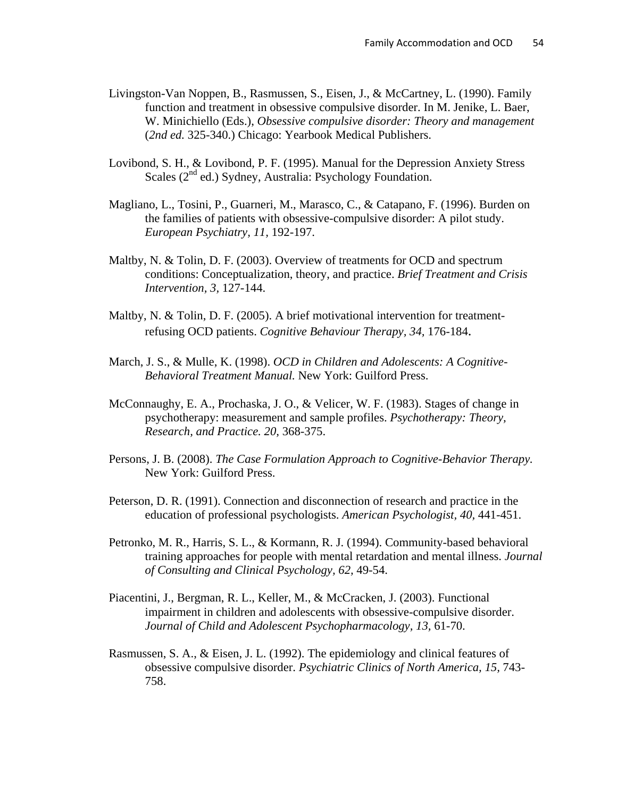- Livingston-Van Noppen, B., Rasmussen, S., Eisen, J., & McCartney, L. (1990). Family function and treatment in obsessive compulsive disorder. In M. Jenike, L. Baer, W. Minichiello (Eds.), *Obsessive compulsive disorder: Theory and management* (*2nd ed.* 325-340.) Chicago: Yearbook Medical Publishers.
- Lovibond, S. H., & Lovibond, P. F. (1995). Manual for the Depression Anxiety Stress Scales  $(2^{nd}$  ed.) Sydney, Australia: Psychology Foundation.
- Magliano, L., Tosini, P., Guarneri, M., Marasco, C., & Catapano, F. (1996). Burden on the families of patients with obsessive-compulsive disorder: A pilot study. *European Psychiatry, 11,* 192-197.
- Maltby, N. & Tolin, D. F. (2003). Overview of treatments for OCD and spectrum conditions: Conceptualization, theory, and practice. *Brief Treatment and Crisis Intervention, 3,* 127-144.
- Maltby, N. & Tolin, D. F. (2005). A brief motivational intervention for treatmentrefusing OCD patients. *Cognitive Behaviour Therapy, 34,* 176-184.
- March, J. S., & Mulle, K. (1998). *OCD in Children and Adolescents: A Cognitive-Behavioral Treatment Manual.* New York: Guilford Press.
- McConnaughy, E. A., Prochaska, J. O., & Velicer, W. F. (1983). Stages of change in psychotherapy: measurement and sample profiles. *Psychotherapy: Theory, Research, and Practice. 20,* 368-375.
- Persons, J. B. (2008). *The Case Formulation Approach to Cognitive-Behavior Therapy.* New York: Guilford Press.
- Peterson, D. R. (1991). Connection and disconnection of research and practice in the education of professional psychologists. *American Psychologist, 40,* 441-451.
- Petronko, M. R., Harris, S. L., & Kormann, R. J. (1994). Community-based behavioral training approaches for people with mental retardation and mental illness. *Journal of Consulting and Clinical Psychology, 62,* 49-54.
- Piacentini, J., Bergman, R. L., Keller, M., & McCracken, J. (2003). Functional impairment in children and adolescents with obsessive-compulsive disorder. *Journal of Child and Adolescent Psychopharmacology, 13,* 61-70.
- Rasmussen, S. A., & Eisen, J. L. (1992). The epidemiology and clinical features of obsessive compulsive disorder. *Psychiatric Clinics of North America, 15,* 743- 758.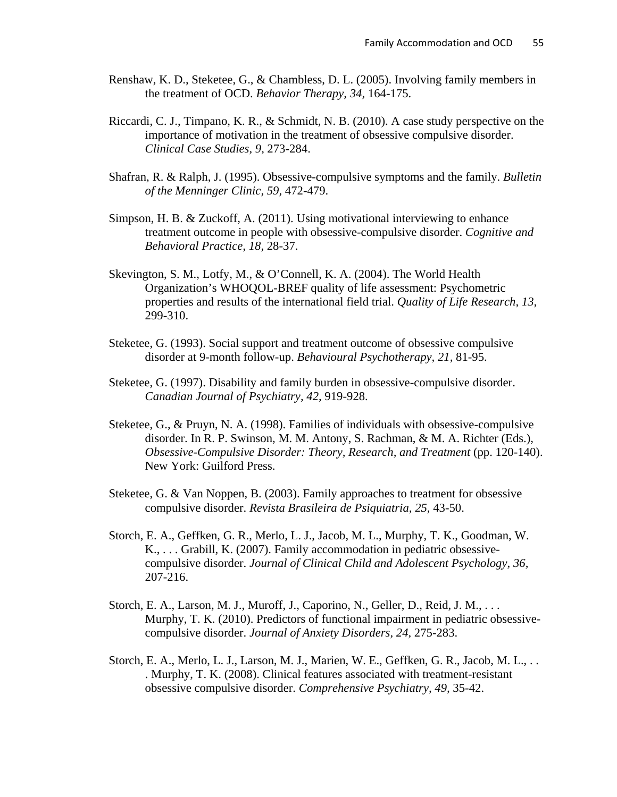- Renshaw, K. D., Steketee, G., & Chambless, D. L. (2005). Involving family members in the treatment of OCD. *Behavior Therapy, 34,* 164-175.
- Riccardi, C. J., Timpano, K. R., & Schmidt, N. B. (2010). A case study perspective on the importance of motivation in the treatment of obsessive compulsive disorder. *Clinical Case Studies, 9,* 273-284.
- Shafran, R. & Ralph, J. (1995). Obsessive-compulsive symptoms and the family. *Bulletin of the Menninger Clinic, 59,* 472-479.
- Simpson, H. B. & Zuckoff, A. (2011). Using motivational interviewing to enhance treatment outcome in people with obsessive-compulsive disorder. *Cognitive and Behavioral Practice, 18,* 28-37.
- Skevington, S. M., Lotfy, M., & O'Connell, K. A. (2004). The World Health Organization's WHOQOL-BREF quality of life assessment: Psychometric properties and results of the international field trial. *Quality of Life Research, 13,*  299-310.
- Steketee, G. (1993). Social support and treatment outcome of obsessive compulsive disorder at 9-month follow-up. *Behavioural Psychotherapy, 21,* 81-95.
- Steketee, G. (1997). Disability and family burden in obsessive-compulsive disorder. *Canadian Journal of Psychiatry, 42,* 919-928.
- Steketee, G., & Pruyn, N. A. (1998). Families of individuals with obsessive-compulsive disorder. In R. P. Swinson, M. M. Antony, S. Rachman, & M. A. Richter (Eds.), *Obsessive-Compulsive Disorder: Theory, Research, and Treatment* (pp. 120-140). New York: Guilford Press.
- Steketee, G. & Van Noppen, B. (2003). Family approaches to treatment for obsessive compulsive disorder. *Revista Brasileira de Psiquiatria, 25,* 43-50.
- Storch, E. A., Geffken, G. R., Merlo, L. J., Jacob, M. L., Murphy, T. K., Goodman, W. K., . . . Grabill, K. (2007). Family accommodation in pediatric obsessivecompulsive disorder. *Journal of Clinical Child and Adolescent Psychology, 36,*  207-216.
- Storch, E. A., Larson, M. J., Muroff, J., Caporino, N., Geller, D., Reid, J. M., . . . Murphy, T. K. (2010). Predictors of functional impairment in pediatric obsessivecompulsive disorder. *Journal of Anxiety Disorders, 24,* 275-283.
- Storch, E. A., Merlo, L. J., Larson, M. J., Marien, W. E., Geffken, G. R., Jacob, M. L., . . . Murphy, T. K. (2008). Clinical features associated with treatment-resistant obsessive compulsive disorder. *Comprehensive Psychiatry, 49,* 35-42.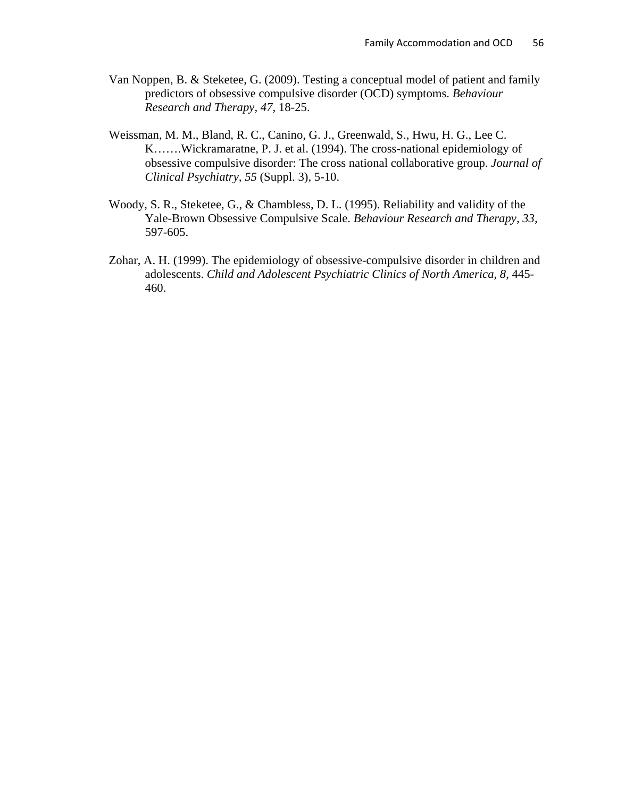- Van Noppen, B. & Steketee, G. (2009). Testing a conceptual model of patient and family predictors of obsessive compulsive disorder (OCD) symptoms. *Behaviour Research and Therapy, 47,* 18-25.
- Weissman, M. M., Bland, R. C., Canino, G. J., Greenwald, S., Hwu, H. G., Lee C. K…….Wickramaratne, P. J. et al. (1994). The cross-national epidemiology of obsessive compulsive disorder: The cross national collaborative group. *Journal of Clinical Psychiatry, 55* (Suppl. 3)*,* 5-10.
- Woody, S. R., Steketee, G., & Chambless, D. L. (1995). Reliability and validity of the Yale-Brown Obsessive Compulsive Scale. *Behaviour Research and Therapy, 33,*  597-605.
- Zohar, A. H. (1999). The epidemiology of obsessive-compulsive disorder in children and adolescents. *Child and Adolescent Psychiatric Clinics of North America, 8, 445-*460.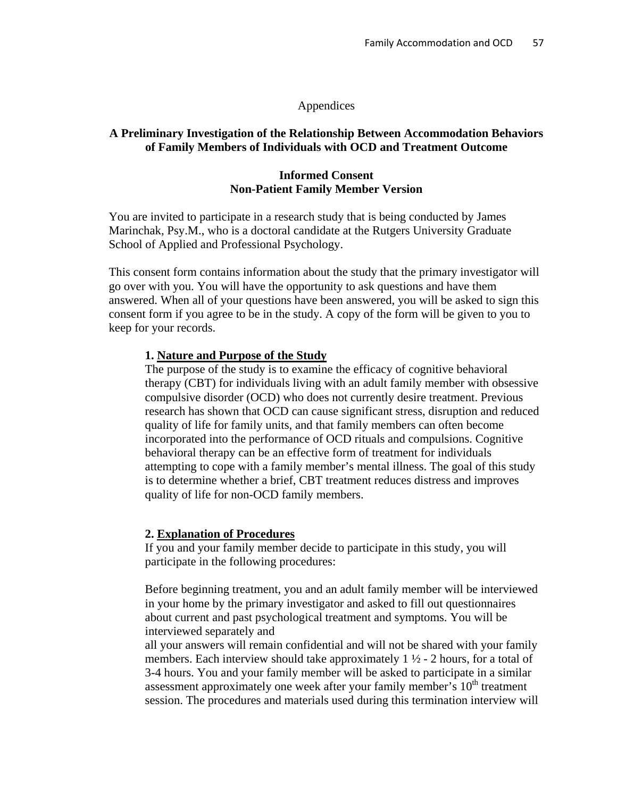## Appendices

# **A Preliminary Investigation of the Relationship Between Accommodation Behaviors of Family Members of Individuals with OCD and Treatment Outcome**

## **Informed Consent Non-Patient Family Member Version**

You are invited to participate in a research study that is being conducted by James Marinchak, Psy.M., who is a doctoral candidate at the Rutgers University Graduate School of Applied and Professional Psychology.

This consent form contains information about the study that the primary investigator will go over with you. You will have the opportunity to ask questions and have them answered. When all of your questions have been answered, you will be asked to sign this consent form if you agree to be in the study. A copy of the form will be given to you to keep for your records.

## **1. Nature and Purpose of the Study**

The purpose of the study is to examine the efficacy of cognitive behavioral therapy (CBT) for individuals living with an adult family member with obsessive compulsive disorder (OCD) who does not currently desire treatment. Previous research has shown that OCD can cause significant stress, disruption and reduced quality of life for family units, and that family members can often become incorporated into the performance of OCD rituals and compulsions. Cognitive behavioral therapy can be an effective form of treatment for individuals attempting to cope with a family member's mental illness. The goal of this study is to determine whether a brief, CBT treatment reduces distress and improves quality of life for non-OCD family members.

## **2. Explanation of Procedures**

If you and your family member decide to participate in this study, you will participate in the following procedures:

Before beginning treatment, you and an adult family member will be interviewed in your home by the primary investigator and asked to fill out questionnaires about current and past psychological treatment and symptoms. You will be interviewed separately and

all your answers will remain confidential and will not be shared with your family members. Each interview should take approximately  $1 \frac{1}{2}$  - 2 hours, for a total of 3-4 hours. You and your family member will be asked to participate in a similar assessment approximately one week after your family member's  $10<sup>th</sup>$  treatment session. The procedures and materials used during this termination interview will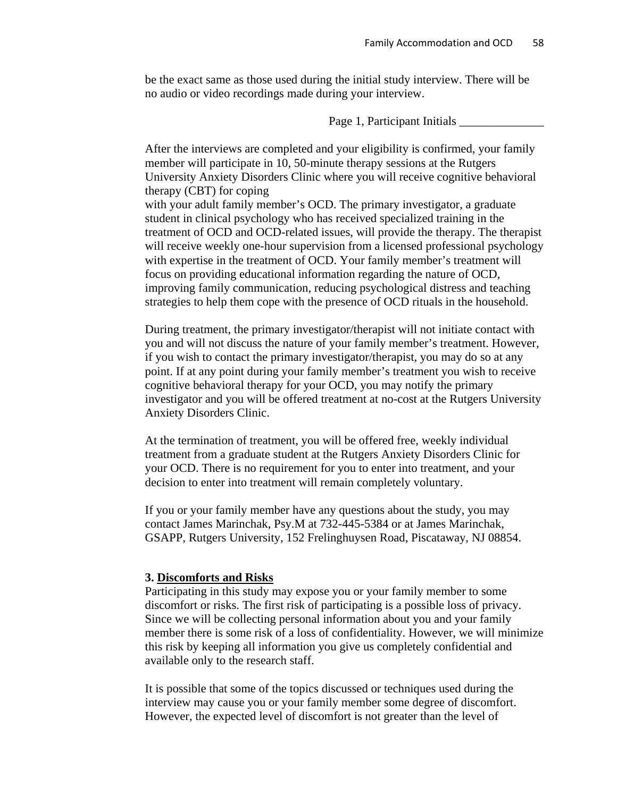be the exact same as those used during the initial study interview. There will be no audio or video recordings made during your interview.

Page 1, Participant Initials \_\_\_\_\_\_\_\_\_\_\_\_\_\_

After the interviews are completed and your eligibility is confirmed, your family member will participate in 10, 50-minute therapy sessions at the Rutgers University Anxiety Disorders Clinic where you will receive cognitive behavioral therapy (CBT) for coping with your adult family member's OCD. The primary investigator, a graduate student in clinical psychology who has received specialized training in the treatment of OCD and OCD-related issues, will provide the therapy. The therapist will receive weekly one-hour supervision from a licensed professional psychology with expertise in the treatment of OCD. Your family member's treatment will focus on providing educational information regarding the nature of OCD, improving family communication, reducing psychological distress and teaching strategies to help them cope with the presence of OCD rituals in the household.

During treatment, the primary investigator/therapist will not initiate contact with you and will not discuss the nature of your family member's treatment. However, if you wish to contact the primary investigator/therapist, you may do so at any point. If at any point during your family member's treatment you wish to receive cognitive behavioral therapy for your OCD, you may notify the primary investigator and you will be offered treatment at no-cost at the Rutgers University Anxiety Disorders Clinic.

At the termination of treatment, you will be offered free, weekly individual treatment from a graduate student at the Rutgers Anxiety Disorders Clinic for your OCD. There is no requirement for you to enter into treatment, and your decision to enter into treatment will remain completely voluntary.

If you or your family member have any questions about the study, you may contact James Marinchak, Psy.M at 732-445-5384 or at James Marinchak, GSAPP, Rutgers University, 152 Frelinghuysen Road, Piscataway, NJ 08854.

### **3. Discomforts and Risks**

Participating in this study may expose you or your family member to some discomfort or risks. The first risk of participating is a possible loss of privacy. Since we will be collecting personal information about you and your family member there is some risk of a loss of confidentiality. However, we will minimize this risk by keeping all information you give us completely confidential and available only to the research staff.

It is possible that some of the topics discussed or techniques used during the interview may cause you or your family member some degree of discomfort. However, the expected level of discomfort is not greater than the level of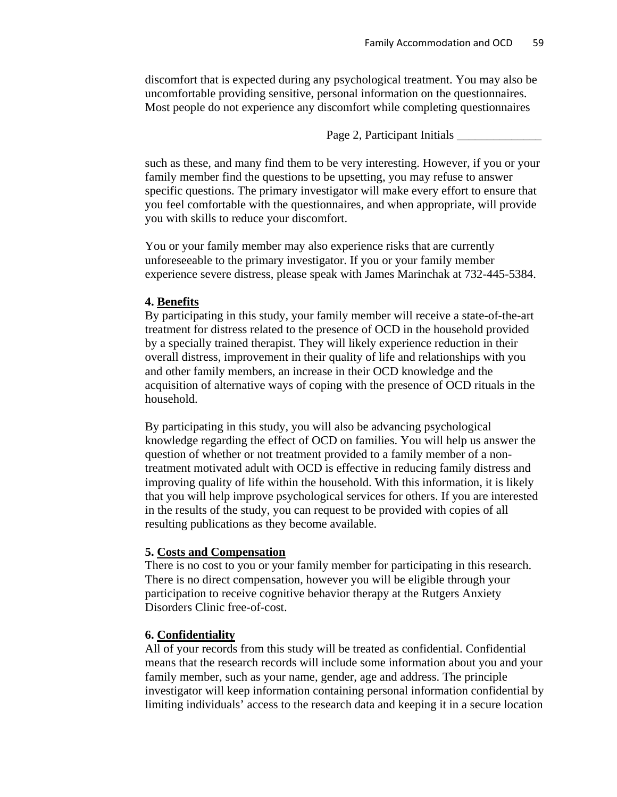discomfort that is expected during any psychological treatment. You may also be uncomfortable providing sensitive, personal information on the questionnaires. Most people do not experience any discomfort while completing questionnaires

Page 2, Participant Initials \_\_\_\_\_\_\_\_\_\_\_\_\_\_

such as these, and many find them to be very interesting. However, if you or your family member find the questions to be upsetting, you may refuse to answer specific questions. The primary investigator will make every effort to ensure that you feel comfortable with the questionnaires, and when appropriate, will provide you with skills to reduce your discomfort.

You or your family member may also experience risks that are currently unforeseeable to the primary investigator. If you or your family member experience severe distress, please speak with James Marinchak at 732-445-5384.

# **4. Benefits**

By participating in this study, your family member will receive a state-of-the-art treatment for distress related to the presence of OCD in the household provided by a specially trained therapist. They will likely experience reduction in their overall distress, improvement in their quality of life and relationships with you and other family members, an increase in their OCD knowledge and the acquisition of alternative ways of coping with the presence of OCD rituals in the household.

By participating in this study, you will also be advancing psychological knowledge regarding the effect of OCD on families. You will help us answer the question of whether or not treatment provided to a family member of a nontreatment motivated adult with OCD is effective in reducing family distress and improving quality of life within the household. With this information, it is likely that you will help improve psychological services for others. If you are interested in the results of the study, you can request to be provided with copies of all resulting publications as they become available.

# **5. Costs and Compensation**

There is no cost to you or your family member for participating in this research. There is no direct compensation, however you will be eligible through your participation to receive cognitive behavior therapy at the Rutgers Anxiety Disorders Clinic free-of-cost.

# **6. Confidentiality**

All of your records from this study will be treated as confidential. Confidential means that the research records will include some information about you and your family member, such as your name, gender, age and address. The principle investigator will keep information containing personal information confidential by limiting individuals' access to the research data and keeping it in a secure location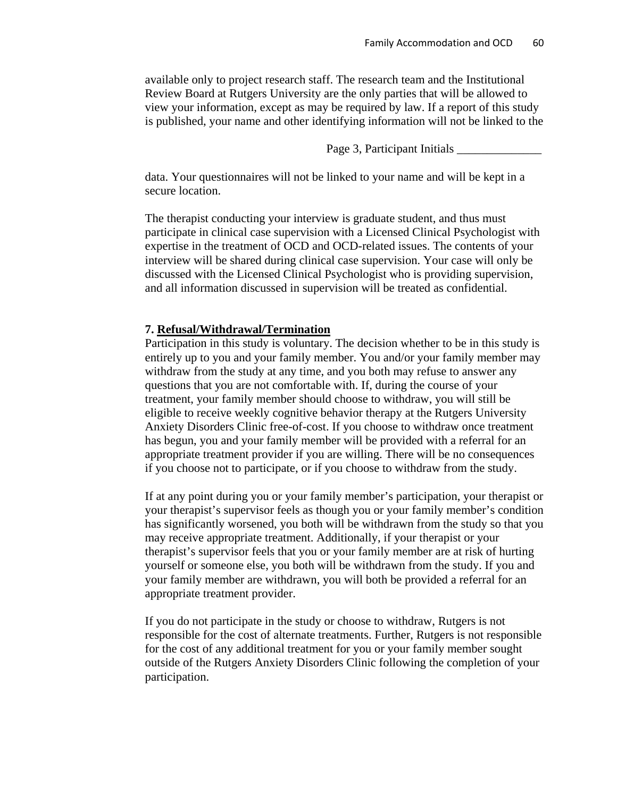available only to project research staff. The research team and the Institutional Review Board at Rutgers University are the only parties that will be allowed to view your information, except as may be required by law. If a report of this study is published, your name and other identifying information will not be linked to the

Page 3, Participant Initials \_\_\_\_\_\_\_\_\_\_\_\_\_\_

data. Your questionnaires will not be linked to your name and will be kept in a secure location.

The therapist conducting your interview is graduate student, and thus must participate in clinical case supervision with a Licensed Clinical Psychologist with expertise in the treatment of OCD and OCD-related issues. The contents of your interview will be shared during clinical case supervision. Your case will only be discussed with the Licensed Clinical Psychologist who is providing supervision, and all information discussed in supervision will be treated as confidential.

## **7. Refusal/Withdrawal/Termination**

Participation in this study is voluntary. The decision whether to be in this study is entirely up to you and your family member. You and/or your family member may withdraw from the study at any time, and you both may refuse to answer any questions that you are not comfortable with. If, during the course of your treatment, your family member should choose to withdraw, you will still be eligible to receive weekly cognitive behavior therapy at the Rutgers University Anxiety Disorders Clinic free-of-cost. If you choose to withdraw once treatment has begun, you and your family member will be provided with a referral for an appropriate treatment provider if you are willing. There will be no consequences if you choose not to participate, or if you choose to withdraw from the study.

If at any point during you or your family member's participation, your therapist or your therapist's supervisor feels as though you or your family member's condition has significantly worsened, you both will be withdrawn from the study so that you may receive appropriate treatment. Additionally, if your therapist or your therapist's supervisor feels that you or your family member are at risk of hurting yourself or someone else, you both will be withdrawn from the study. If you and your family member are withdrawn, you will both be provided a referral for an appropriate treatment provider.

If you do not participate in the study or choose to withdraw, Rutgers is not responsible for the cost of alternate treatments. Further, Rutgers is not responsible for the cost of any additional treatment for you or your family member sought outside of the Rutgers Anxiety Disorders Clinic following the completion of your participation.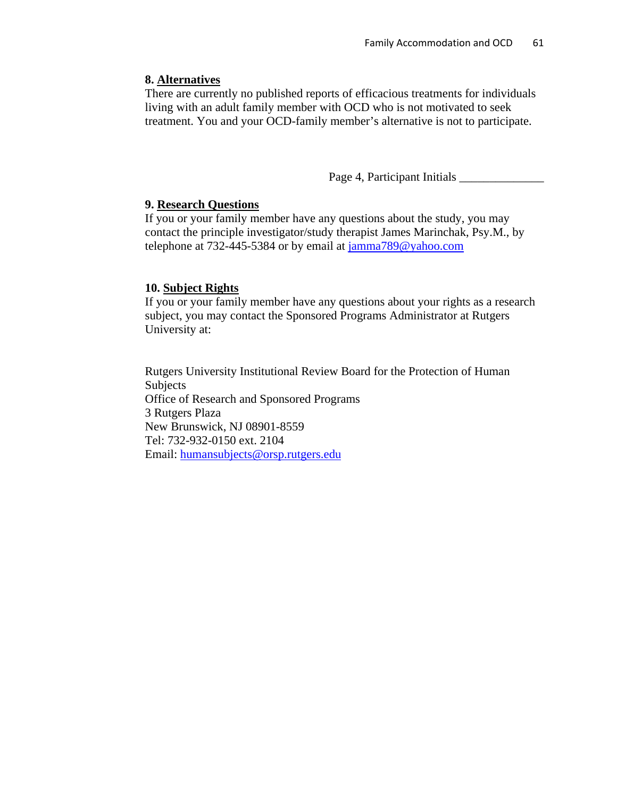# **8. Alternatives**

There are currently no published reports of efficacious treatments for individuals living with an adult family member with OCD who is not motivated to seek treatment. You and your OCD-family member's alternative is not to participate.

Page 4, Participant Initials \_\_\_\_\_\_\_\_\_\_\_\_\_\_

# **9. Research Questions**

If you or your family member have any questions about the study, you may contact the principle investigator/study therapist James Marinchak, Psy.M., by telephone at 732-445-5384 or by email at [jamma789@yahoo.com](mailto:jamma789@yahoo.com)

# **10. Subject Rights**

If you or your family member have any questions about your rights as a research subject, you may contact the Sponsored Programs Administrator at Rutgers University at:

Rutgers University Institutional Review Board for the Protection of Human Subjects Office of Research and Sponsored Programs 3 Rutgers Plaza New Brunswick, NJ 08901-8559 Tel: 732-932-0150 ext. 2104 Email: [humansubjects@orsp.rutgers.edu](mailto:humansubjects@orsp.rutgers.edu)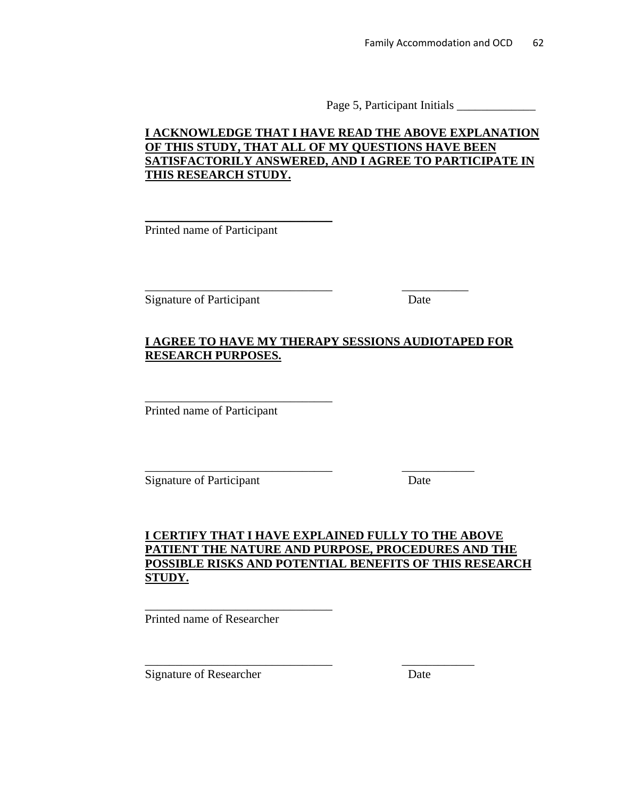Page 5, Participant Initials \_\_\_\_\_\_\_\_\_\_\_\_\_

# **I ACKNOWLEDGE THAT I HAVE READ THE ABOVE EXPLANATION OF THIS STUDY, THAT ALL OF MY QUESTIONS HAVE BEEN SATISFACTORILY ANSWERED, AND I AGREE TO PARTICIPATE IN THIS RESEARCH STUDY.**

Printed name of Participant

\_\_\_\_\_\_\_\_\_\_\_\_\_\_\_\_\_\_\_\_\_\_\_\_\_\_\_\_\_\_\_

Signature of Participant Date

# **I AGREE TO HAVE MY THERAPY SESSIONS AUDIOTAPED FOR RESEARCH PURPOSES.**

\_\_\_\_\_\_\_\_\_\_\_\_\_\_\_\_\_\_\_\_\_\_\_\_\_\_\_\_\_\_\_ \_\_\_\_\_\_\_\_\_\_\_

\_\_\_\_\_\_\_\_\_\_\_\_\_\_\_\_\_\_\_\_\_\_\_\_\_\_\_\_\_\_\_ \_\_\_\_\_\_\_\_\_\_\_\_

\_\_\_\_\_\_\_\_\_\_\_\_\_\_\_\_\_\_\_\_\_\_\_\_\_\_\_\_\_\_\_ \_\_\_\_\_\_\_\_\_\_\_\_

Printed name of Participant

\_\_\_\_\_\_\_\_\_\_\_\_\_\_\_\_\_\_\_\_\_\_\_\_\_\_\_\_\_\_\_

Signature of Participant Date

# **I CERTIFY THAT I HAVE EXPLAINED FULLY TO THE ABOVE PATIENT THE NATURE AND PURPOSE, PROCEDURES AND THE POSSIBLE RISKS AND POTENTIAL BENEFITS OF THIS RESEARCH STUDY.**

Printed name of Researcher

\_\_\_\_\_\_\_\_\_\_\_\_\_\_\_\_\_\_\_\_\_\_\_\_\_\_\_\_\_\_\_

Signature of Researcher Date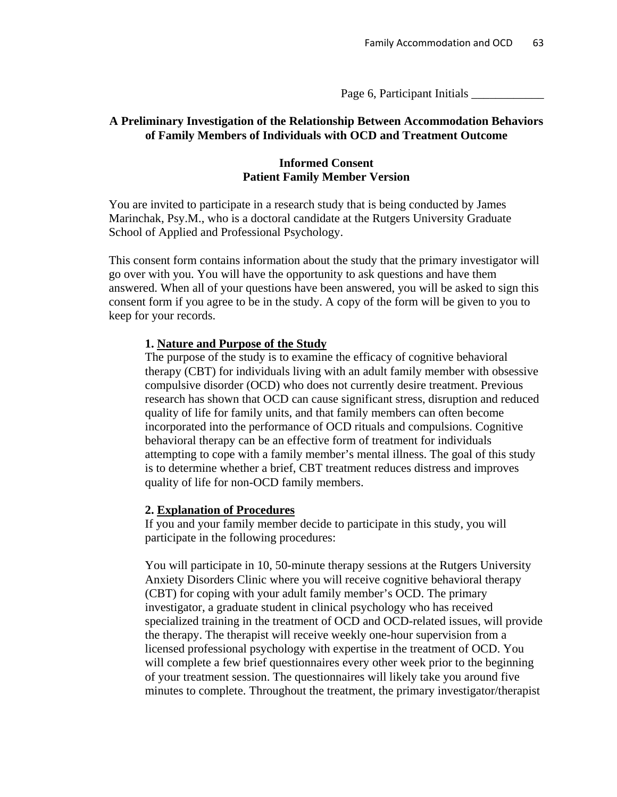Page 6, Participant Initials

## **A Preliminary Investigation of the Relationship Between Accommodation Behaviors of Family Members of Individuals with OCD and Treatment Outcome**

## **Informed Consent Patient Family Member Version**

You are invited to participate in a research study that is being conducted by James Marinchak, Psy.M., who is a doctoral candidate at the Rutgers University Graduate School of Applied and Professional Psychology.

This consent form contains information about the study that the primary investigator will go over with you. You will have the opportunity to ask questions and have them answered. When all of your questions have been answered, you will be asked to sign this consent form if you agree to be in the study. A copy of the form will be given to you to keep for your records.

## **1. Nature and Purpose of the Study**

The purpose of the study is to examine the efficacy of cognitive behavioral therapy (CBT) for individuals living with an adult family member with obsessive compulsive disorder (OCD) who does not currently desire treatment. Previous research has shown that OCD can cause significant stress, disruption and reduced quality of life for family units, and that family members can often become incorporated into the performance of OCD rituals and compulsions. Cognitive behavioral therapy can be an effective form of treatment for individuals attempting to cope with a family member's mental illness. The goal of this study is to determine whether a brief, CBT treatment reduces distress and improves quality of life for non-OCD family members.

### **2. Explanation of Procedures**

If you and your family member decide to participate in this study, you will participate in the following procedures:

You will participate in 10, 50-minute therapy sessions at the Rutgers University Anxiety Disorders Clinic where you will receive cognitive behavioral therapy (CBT) for coping with your adult family member's OCD. The primary investigator, a graduate student in clinical psychology who has received specialized training in the treatment of OCD and OCD-related issues, will provide the therapy. The therapist will receive weekly one-hour supervision from a licensed professional psychology with expertise in the treatment of OCD. You will complete a few brief questionnaires every other week prior to the beginning of your treatment session. The questionnaires will likely take you around five minutes to complete. Throughout the treatment, the primary investigator/therapist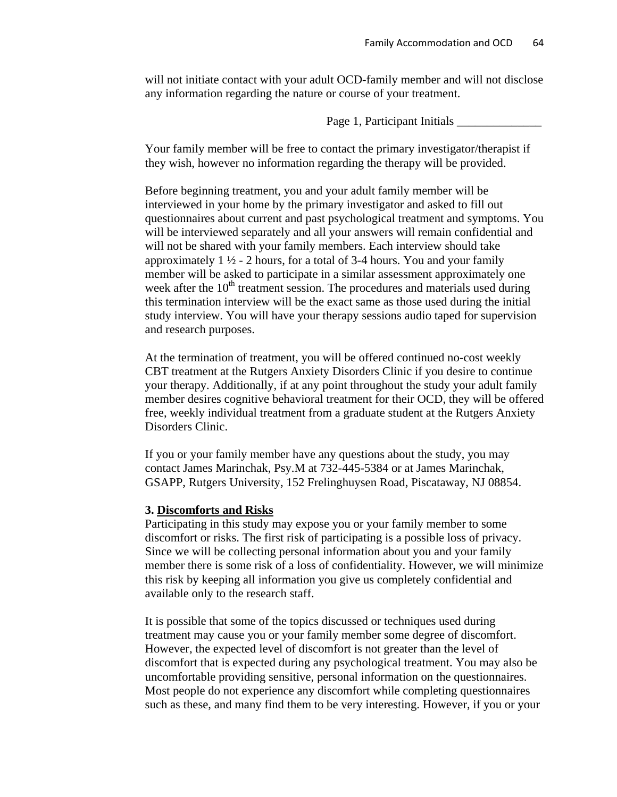will not initiate contact with your adult OCD-family member and will not disclose any information regarding the nature or course of your treatment.

Page 1, Participant Initials \_

Your family member will be free to contact the primary investigator/therapist if they wish, however no information regarding the therapy will be provided.

Before beginning treatment, you and your adult family member will be interviewed in your home by the primary investigator and asked to fill out questionnaires about current and past psychological treatment and symptoms. You will be interviewed separately and all your answers will remain confidential and will not be shared with your family members. Each interview should take approximately  $1 \frac{1}{2}$  - 2 hours, for a total of 3-4 hours. You and your family member will be asked to participate in a similar assessment approximately one week after the  $10<sup>th</sup>$  treatment session. The procedures and materials used during this termination interview will be the exact same as those used during the initial study interview. You will have your therapy sessions audio taped for supervision and research purposes.

At the termination of treatment, you will be offered continued no-cost weekly CBT treatment at the Rutgers Anxiety Disorders Clinic if you desire to continue your therapy. Additionally, if at any point throughout the study your adult family member desires cognitive behavioral treatment for their OCD, they will be offered free, weekly individual treatment from a graduate student at the Rutgers Anxiety Disorders Clinic.

If you or your family member have any questions about the study, you may contact James Marinchak, Psy.M at 732-445-5384 or at James Marinchak, GSAPP, Rutgers University, 152 Frelinghuysen Road, Piscataway, NJ 08854.

### **3. Discomforts and Risks**

Participating in this study may expose you or your family member to some discomfort or risks. The first risk of participating is a possible loss of privacy. Since we will be collecting personal information about you and your family member there is some risk of a loss of confidentiality. However, we will minimize this risk by keeping all information you give us completely confidential and available only to the research staff.

It is possible that some of the topics discussed or techniques used during treatment may cause you or your family member some degree of discomfort. However, the expected level of discomfort is not greater than the level of discomfort that is expected during any psychological treatment. You may also be uncomfortable providing sensitive, personal information on the questionnaires. Most people do not experience any discomfort while completing questionnaires such as these, and many find them to be very interesting. However, if you or your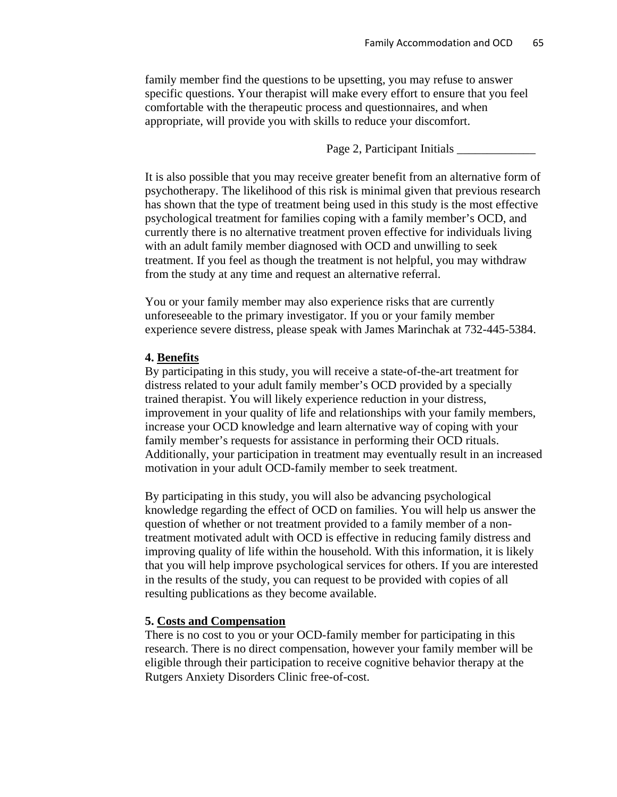family member find the questions to be upsetting, you may refuse to answer specific questions. Your therapist will make every effort to ensure that you feel comfortable with the therapeutic process and questionnaires, and when appropriate, will provide you with skills to reduce your discomfort.

Page 2, Participant Initials \_\_\_\_\_\_\_\_\_\_\_\_\_

It is also possible that you may receive greater benefit from an alternative form of psychotherapy. The likelihood of this risk is minimal given that previous research has shown that the type of treatment being used in this study is the most effective psychological treatment for families coping with a family member's OCD, and currently there is no alternative treatment proven effective for individuals living with an adult family member diagnosed with OCD and unwilling to seek treatment. If you feel as though the treatment is not helpful, you may withdraw from the study at any time and request an alternative referral.

You or your family member may also experience risks that are currently unforeseeable to the primary investigator. If you or your family member experience severe distress, please speak with James Marinchak at 732-445-5384.

#### **4. Benefits**

By participating in this study, you will receive a state-of-the-art treatment for distress related to your adult family member's OCD provided by a specially trained therapist. You will likely experience reduction in your distress, improvement in your quality of life and relationships with your family members, increase your OCD knowledge and learn alternative way of coping with your family member's requests for assistance in performing their OCD rituals. Additionally, your participation in treatment may eventually result in an increased motivation in your adult OCD-family member to seek treatment.

By participating in this study, you will also be advancing psychological knowledge regarding the effect of OCD on families. You will help us answer the question of whether or not treatment provided to a family member of a nontreatment motivated adult with OCD is effective in reducing family distress and improving quality of life within the household. With this information, it is likely that you will help improve psychological services for others. If you are interested in the results of the study, you can request to be provided with copies of all resulting publications as they become available.

#### **5. Costs and Compensation**

There is no cost to you or your OCD-family member for participating in this research. There is no direct compensation, however your family member will be eligible through their participation to receive cognitive behavior therapy at the Rutgers Anxiety Disorders Clinic free-of-cost.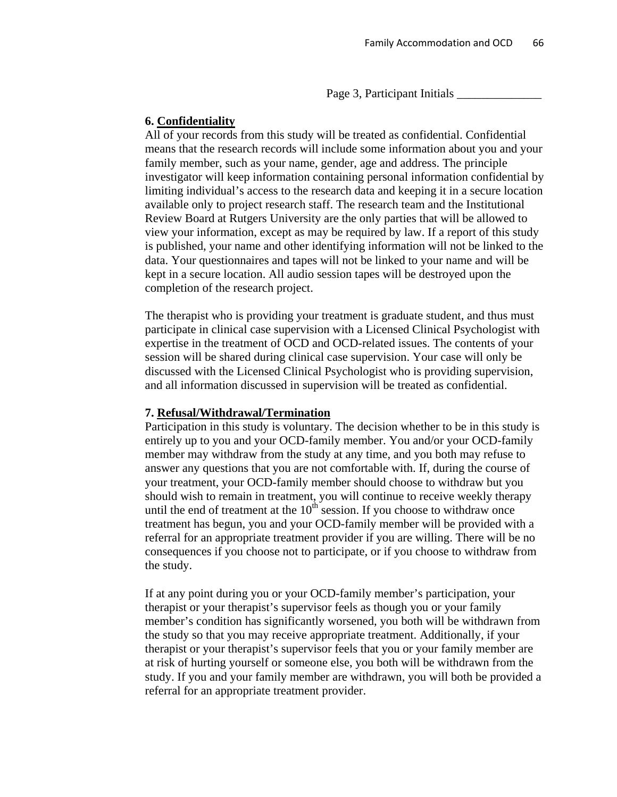Page 3, Participant Initials \_

#### **6. Confidentiality**

All of your records from this study will be treated as confidential. Confidential means that the research records will include some information about you and your family member, such as your name, gender, age and address. The principle investigator will keep information containing personal information confidential by limiting individual's access to the research data and keeping it in a secure location available only to project research staff. The research team and the Institutional Review Board at Rutgers University are the only parties that will be allowed to view your information, except as may be required by law. If a report of this study is published, your name and other identifying information will not be linked to the data. Your questionnaires and tapes will not be linked to your name and will be kept in a secure location. All audio session tapes will be destroyed upon the completion of the research project.

The therapist who is providing your treatment is graduate student, and thus must participate in clinical case supervision with a Licensed Clinical Psychologist with expertise in the treatment of OCD and OCD-related issues. The contents of your session will be shared during clinical case supervision. Your case will only be discussed with the Licensed Clinical Psychologist who is providing supervision, and all information discussed in supervision will be treated as confidential.

#### **7. Refusal/Withdrawal/Termination**

Participation in this study is voluntary. The decision whether to be in this study is entirely up to you and your OCD-family member. You and/or your OCD-family member may withdraw from the study at any time, and you both may refuse to answer any questions that you are not comfortable with. If, during the course of your treatment, your OCD-family member should choose to withdraw but you should wish to remain in treatment, you will continue to receive weekly therapy until the end of treatment at the  $10<sup>th</sup>$  session. If you choose to withdraw once treatment has begun, you and your OCD-family member will be provided with a referral for an appropriate treatment provider if you are willing. There will be no consequences if you choose not to participate, or if you choose to withdraw from the study.

If at any point during you or your OCD-family member's participation, your therapist or your therapist's supervisor feels as though you or your family member's condition has significantly worsened, you both will be withdrawn from the study so that you may receive appropriate treatment. Additionally, if your therapist or your therapist's supervisor feels that you or your family member are at risk of hurting yourself or someone else, you both will be withdrawn from the study. If you and your family member are withdrawn, you will both be provided a referral for an appropriate treatment provider.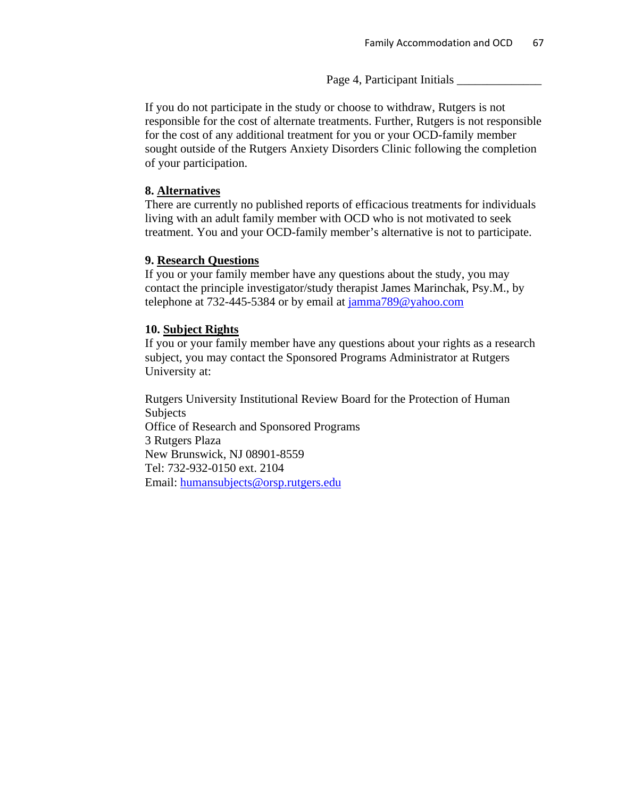Page 4, Participant Initials \_\_\_\_\_\_\_\_\_\_\_\_\_\_

If you do not participate in the study or choose to withdraw, Rutgers is not responsible for the cost of alternate treatments. Further, Rutgers is not responsible for the cost of any additional treatment for you or your OCD-family member sought outside of the Rutgers Anxiety Disorders Clinic following the completion of your participation.

## **8. Alternatives**

There are currently no published reports of efficacious treatments for individuals living with an adult family member with OCD who is not motivated to seek treatment. You and your OCD-family member's alternative is not to participate.

### **9. Research Questions**

If you or your family member have any questions about the study, you may contact the principle investigator/study therapist James Marinchak, Psy.M., by telephone at 732-445-5384 or by email at [jamma789@yahoo.com](mailto:jamma789@yahoo.com)

### **10. Subject Rights**

If you or your family member have any questions about your rights as a research subject, you may contact the Sponsored Programs Administrator at Rutgers University at:

Rutgers University Institutional Review Board for the Protection of Human Subjects Office of Research and Sponsored Programs 3 Rutgers Plaza New Brunswick, NJ 08901-8559 Tel: 732-932-0150 ext. 2104 Email: [humansubjects@orsp.rutgers.edu](mailto:humansubjects@orsp.rutgers.edu)